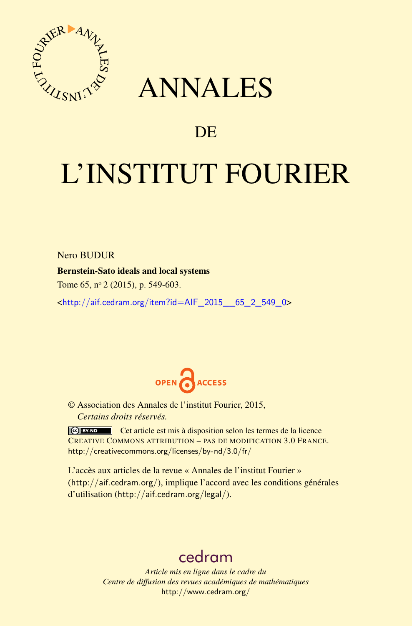

# ANNALES

# **DE**

# L'INSTITUT FOURIER

Nero BUDUR

Bernstein-Sato ideals and local systems

Tome 65, nº 2 (2015), p. 549-603.

<[http://aif.cedram.org/item?id=AIF\\_2015\\_\\_65\\_2\\_549\\_0](http://aif.cedram.org/item?id=AIF_2015__65_2_549_0)>



© Association des Annales de l'institut Fourier, 2015, *Certains droits réservés.*

Cet article est mis à disposition selon les termes de la licence CREATIVE COMMONS ATTRIBUTION – PAS DE MODIFICATION 3.0 FRANCE. <http://creativecommons.org/licenses/by-nd/3.0/fr/>

L'accès aux articles de la revue « Annales de l'institut Fourier » (<http://aif.cedram.org/>), implique l'accord avec les conditions générales d'utilisation (<http://aif.cedram.org/legal/>).

# [cedram](http://www.cedram.org/)

*Article mis en ligne dans le cadre du Centre de diffusion des revues académiques de mathématiques* <http://www.cedram.org/>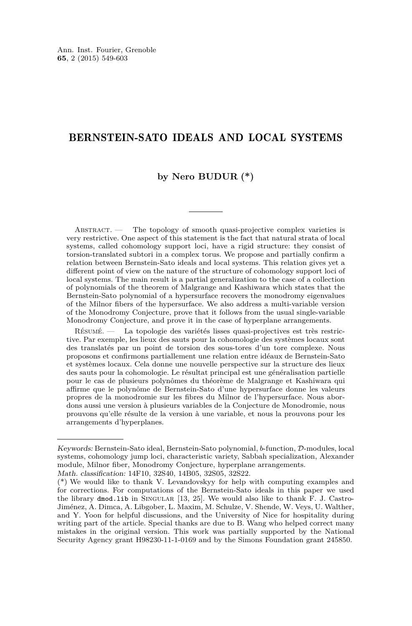# BERNSTEIN-SATO IDEALS AND LOCAL SYSTEMS

# **by Nero BUDUR (\*)**

ABSTRACT. — The topology of smooth quasi-projective complex varieties is very restrictive. One aspect of this statement is the fact that natural strata of local systems, called cohomology support loci, have a rigid structure: they consist of torsion-translated subtori in a complex torus. We propose and partially confirm a relation between Bernstein-Sato ideals and local systems. This relation gives yet a different point of view on the nature of the structure of cohomology support loci of local systems. The main result is a partial generalization to the case of a collection of polynomials of the theorem of Malgrange and Kashiwara which states that the Bernstein-Sato polynomial of a hypersurface recovers the monodromy eigenvalues of the Milnor fibers of the hypersurface. We also address a multi-variable version of the Monodromy Conjecture, prove that it follows from the usual single-variable Monodromy Conjecture, and prove it in the case of hyperplane arrangements.

Résumé. — La topologie des variétés lisses quasi-projectives est très restrictive. Par exemple, les lieux des sauts pour la cohomologie des systèmes locaux sont des translatés par un point de torsion des sous-tores d'un tore complexe. Nous proposons et confirmons partiallement une relation entre idéaux de Bernstein-Sato et systèmes locaux. Cela donne une nouvelle perspective sur la structure des lieux des sauts pour la cohomologie. Le résultat principal est une généralisation partielle pour le cas de plusieurs polynômes du théorème de Malgrange et Kashiwara qui affirme que le polynôme de Bernstein-Sato d'une hypersurface donne les valeurs propres de la monodromie sur les fibres du Milnor de l'hypersurface. Nous abordons aussi une version à plusieurs variables de la Conjecture de Monodromie, nous prouvons qu'elle résulte de la version à une variable, et nous la prouvons pour les arrangements d'hyperplanes.

Keywords: Bernstein-Sato ideal, Bernstein-Sato polynomial, *b*-function, D-modules, local systems, cohomology jump loci, characteristic variety, Sabbah specialization, Alexander module, Milnor fiber, Monodromy Conjecture, hyperplane arrangements.

Math. classification: 14F10, 32S40, 14B05, 32S05, 32S22.

<sup>(\*)</sup> We would like to thank V. Levandovskyy for help with computing examples and for corrections. For computations of the Bernstein-Sato ideals in this paper we used the library dmod.lib in SINGULAR [\[13,](#page-53-0) [25\]](#page-54-0). We would also like to thank F. J. Castro-Jiménez, A. Dimca, A. Libgober, L. Maxim, M. Schulze, V. Shende, W. Veys, U. Walther, and Y. Yoon for helpful discussions, and the University of Nice for hospitality during writing part of the article. Special thanks are due to B. Wang who helped correct many mistakes in the original version. This work was partially supported by the National Security Agency grant H98230-11-1-0169 and by the Simons Foundation grant 245850.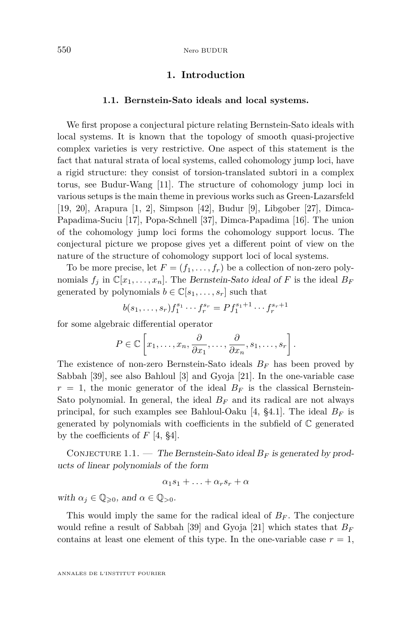# **1. Introduction**

#### **1.1. Bernstein-Sato ideals and local systems.**

<span id="page-2-0"></span>We first propose a conjectural picture relating Bernstein-Sato ideals with local systems. It is known that the topology of smooth quasi-projective complex varieties is very restrictive. One aspect of this statement is the fact that natural strata of local systems, called cohomology jump loci, have a rigid structure: they consist of torsion-translated subtori in a complex torus, see Budur-Wang [\[11\]](#page-53-0). The structure of cohomology jump loci in various setups is the main theme in previous works such as Green-Lazarsfeld [\[19,](#page-53-0) [20\]](#page-53-0), Arapura [\[1,](#page-53-0) [2\]](#page-53-0), Simpson [\[42\]](#page-54-0), Budur [\[9\]](#page-53-0), Libgober [\[27\]](#page-54-0), Dimca-Papadima-Suciu [\[17\]](#page-53-0), Popa-Schnell [\[37\]](#page-54-0), Dimca-Papadima [\[16\]](#page-53-0). The union of the cohomology jump loci forms the cohomology support locus. The conjectural picture we propose gives yet a different point of view on the nature of the structure of cohomology support loci of local systems.

To be more precise, let  $F = (f_1, \ldots, f_r)$  be a collection of non-zero polynomials  $f_i$  in  $\mathbb{C}[x_1,\ldots,x_n]$ . The Bernstein-Sato ideal of *F* is the ideal  $B_F$ generated by polynomials  $b \in \mathbb{C}[s_1, \ldots, s_r]$  such that

$$
b(s_1, \ldots, s_r) f_1^{s_1} \cdots f_r^{s_r} = P f_1^{s_1 + 1} \cdots f_r^{s_r + 1}
$$

for some algebraic differential operator

$$
P \in \mathbb{C}\left[x_1,\ldots,x_n,\frac{\partial}{\partial x_1},\ldots,\frac{\partial}{\partial x_n},s_1,\ldots,s_r\right].
$$

The existence of non-zero Bernstein-Sato ideals *B<sup>F</sup>* has been proved by Sabbah [\[39\]](#page-54-0), see also Bahloul [\[3\]](#page-53-0) and Gyoja [\[21\]](#page-53-0). In the one-variable case  $r = 1$ , the monic generator of the ideal  $B_F$  is the classical Bernstein-Sato polynomial. In general, the ideal  $B_F$  and its radical are not always principal, for such examples see Bahloul-Oaku [\[4,](#page-53-0) §4.1]. The ideal *B<sup>F</sup>* is generated by polynomials with coefficients in the subfield of  $\mathbb C$  generated by the coefficients of *F* [\[4,](#page-53-0) §4].

CONJECTURE 1.1. — The Bernstein-Sato ideal  $B_F$  is generated by products of linear polynomials of the form

$$
\alpha_1s_1+\ldots+\alpha_r s_r+\alpha
$$

with  $\alpha_j \in \mathbb{Q}_{\geqslant 0}$ , and  $\alpha \in \mathbb{Q}_{>0}$ .

This would imply the same for the radical ideal of *B<sup>F</sup>* . The conjecture would refine a result of Sabbah [\[39\]](#page-54-0) and Gyoja [\[21\]](#page-53-0) which states that *B<sup>F</sup>* contains at least one element of this type. In the one-variable case  $r = 1$ ,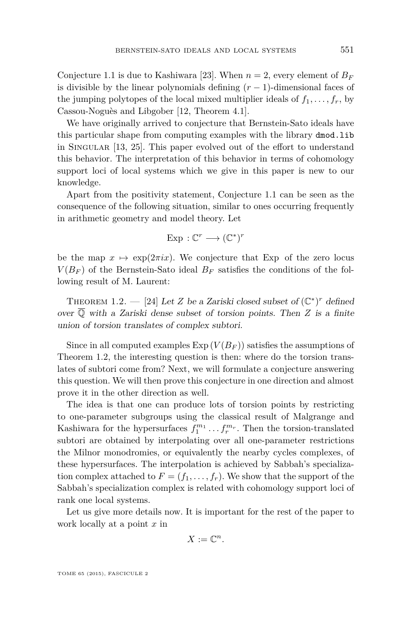Conjecture [1.1](#page-2-0) is due to Kashiwara [\[23\]](#page-54-0). When  $n = 2$ , every element of  $B_F$ is divisible by the linear polynomials defining  $(r-1)$ -dimensional faces of the jumping polytopes of the local mixed multiplier ideals of  $f_1, \ldots, f_r$ , by Cassou-Noguès and Libgober [\[12,](#page-53-0) Theorem 4.1].

We have originally arrived to conjecture that Bernstein-Sato ideals have this particular shape from computing examples with the library dmod.lib in Singular [\[13,](#page-53-0) [25\]](#page-54-0). This paper evolved out of the effort to understand this behavior. The interpretation of this behavior in terms of cohomology support loci of local systems which we give in this paper is new to our knowledge.

Apart from the positivity statement, Conjecture [1.1](#page-2-0) can be seen as the consequence of the following situation, similar to ones occurring frequently in arithmetic geometry and model theory. Let

$$
Exp: \mathbb{C}^r \longrightarrow (\mathbb{C}^*)^r
$$

be the map  $x \mapsto \exp(2\pi i x)$ . We conjecture that Exp of the zero locus  $V(B_F)$  of the Bernstein-Sato ideal  $B_F$  satisfies the conditions of the following result of M. Laurent:

THEOREM 1.2. — [\[24\]](#page-54-0) Let *Z* be a Zariski closed subset of  $(\mathbb{C}^*)^r$  defined over  $\overline{Q}$  with a Zariski dense subset of torsion points. Then *Z* is a finite union of torsion translates of complex subtori.

Since in all computed examples  $Exp(V(B_F))$  satisfies the assumptions of Theorem 1.2, the interesting question is then: where do the torsion translates of subtori come from? Next, we will formulate a conjecture answering this question. We will then prove this conjecture in one direction and almost prove it in the other direction as well.

The idea is that one can produce lots of torsion points by restricting to one-parameter subgroups using the classical result of Malgrange and Kashiwara for the hypersurfaces  $f_1^{m_1} \dots f_r^{m_r}$ . Then the torsion-translated subtori are obtained by interpolating over all one-parameter restrictions the Milnor monodromies, or equivalently the nearby cycles complexes, of these hypersurfaces. The interpolation is achieved by Sabbah's specialization complex attached to  $F = (f_1, \ldots, f_r)$ . We show that the support of the Sabbah's specialization complex is related with cohomology support loci of rank one local systems.

Let us give more details now. It is important for the rest of the paper to work locally at a point *x* in

$$
X:=\mathbb{C}^n.
$$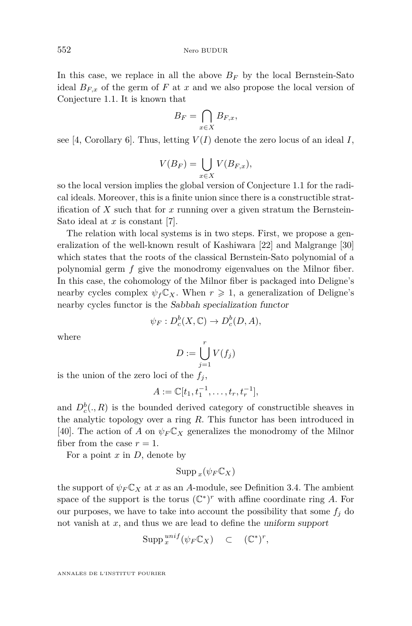In this case, we replace in all the above  $B_F$  by the local Bernstein-Sato ideal  $B_{F,x}$  of the germ of  $F$  at  $x$  and we also propose the local version of Conjecture [1.1.](#page-2-0) It is known that

$$
B_F = \bigcap_{x \in X} B_{F,x},
$$

see [\[4,](#page-53-0) Corollary 6]. Thus, letting  $V(I)$  denote the zero locus of an ideal *I*,

$$
V(B_F) = \bigcup_{x \in X} V(B_{F,x}),
$$

so the local version implies the global version of Conjecture [1.1](#page-2-0) for the radical ideals. Moreover, this is a finite union since there is a constructible stratification of *X* such that for *x* running over a given stratum the Bernstein-Sato ideal at *x* is constant [\[7\]](#page-53-0).

The relation with local systems is in two steps. First, we propose a generalization of the well-known result of Kashiwara [\[22\]](#page-54-0) and Malgrange [\[30\]](#page-54-0) which states that the roots of the classical Bernstein-Sato polynomial of a polynomial germ *f* give the monodromy eigenvalues on the Milnor fiber. In this case, the cohomology of the Milnor fiber is packaged into Deligne's nearby cycles complex  $\psi_f C_X$ . When  $r \geq 1$ , a generalization of Deligne's nearby cycles functor is the Sabbah specialization functor

$$
\psi_F: D_c^b(X, \mathbb{C}) \to D_c^b(D, A),
$$

where

$$
D := \bigcup_{j=1}^r V(f_j)
$$

is the union of the zero loci of the  $f_j$ ,

$$
A := \mathbb{C}[t_1, t_1^{-1}, \dots, t_r, t_r^{-1}],
$$

and  $D_c^b(., R)$  is the bounded derived category of constructible sheaves in the analytic topology over a ring *R*. This functor has been introduced in [\[40\]](#page-54-0). The action of *A* on  $\psi_F C_X$  generalizes the monodromy of the Milnor fiber from the case  $r = 1$ .

For a point *x* in *D*, denote by

$$
\mathrm{Supp\,}_x(\psi_F\mathbb{C}_X)
$$

the support of  $\psi_F C_X$  at *x* as an *A*-module, see Definition [3.4.](#page-15-0) The ambient space of the support is the torus  $(\mathbb{C}^*)^r$  with affine coordinate ring A. For our purposes, we have to take into account the possibility that some  $f_j$  do not vanish at *x*, and thus we are lead to define the uniform support

$$
\operatorname{Supp} \, _x^{unif}(\psi_F \mathbb{C}_X) \quad \subset \quad (\mathbb{C}^*)^r,
$$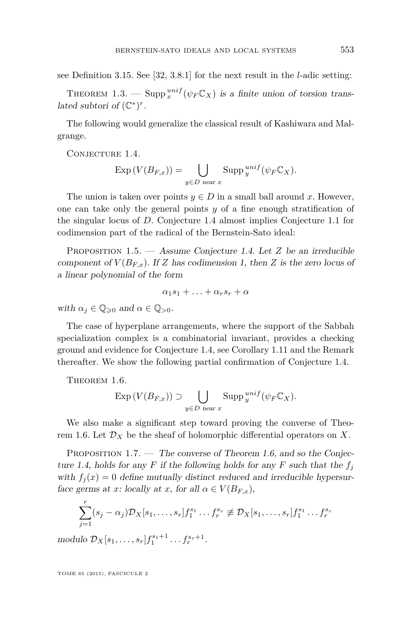<span id="page-5-0"></span>see Definition [3.15.](#page-19-0) See [\[32,](#page-54-0) 3.8.1] for the next result in the *l*-adic setting:

THEOREM 1.3. — Supp  $^{unif}_{x}(\psi_F \mathbb{C}_X)$  is a finite union of torsion translated subtori of  $(\mathbb{C}^*)^r$ .

The following would generalize the classical result of Kashiwara and Malgrange.

CONJECTURE 1.4.

$$
\operatorname{Exp}\left(V(B_{F,x})\right) = \bigcup_{y \in D \text{ near } x} \operatorname{Supp} \, {}^{unif}_{y}(\psi_F \mathbb{C}_X).
$$

The union is taken over points  $y \in D$  in a small ball around x. However, one can take only the general points *y* of a fine enough stratification of the singular locus of *D*. Conjecture 1.4 almost implies Conjecture [1.1](#page-2-0) for codimension part of the radical of the Bernstein-Sato ideal:

Proposition 1.5. — Assume Conjecture 1.4. Let *Z* be an irreducible component of  $V(B_{F,x})$ . If *Z* has codimension 1, then *Z* is the zero locus of a linear polynomial of the form

$$
\alpha_1s_1+\ldots+\alpha_r s_r+\alpha
$$

with  $\alpha_j \in \mathbb{Q}_{\geqslant 0}$  and  $\alpha \in \mathbb{Q}_{>0}$ .

The case of hyperplane arrangements, where the support of the Sabbah specialization complex is a combinatorial invariant, provides a checking ground and evidence for Conjecture 1.4, see Corollary [1.11](#page-8-0) and the Remark thereafter. We show the following partial confirmation of Conjecture 1.4.

THEOREM 1.6.

$$
\operatorname{Exp}\left(V(B_{F,x})\right) \supset \bigcup_{y \in D \text{ near } x} \operatorname{Supp} \, {}^{unif}_{y}(\psi_F \mathbb{C}_X).
$$

We also make a significant step toward proving the converse of Theorem 1.6. Let  $\mathcal{D}_X$  be the sheaf of holomorphic differential operators on X.

PROPOSITION  $1.7.$  — The converse of Theorem 1.6, and so the Conjecture 1.4, holds for any *F* if the following holds for any *F* such that the  $f_i$ with  $f_i(x) = 0$  define mutually distinct reduced and irreducible hypersurface germs at *x*: locally at *x*, for all  $\alpha \in V(B_{F,x}),$ 

$$
\sum_{j=1}^{r} (s_j - \alpha_j) \mathcal{D}_X [s_1, \dots, s_r] f_1^{s_1} \dots f_r^{s_r} \neq \mathcal{D}_X [s_1, \dots, s_r] f_1^{s_1} \dots f_r^{s_r}
$$

modulo  $\mathcal{D}_X[s_1, \ldots, s_r] f_1^{s_1+1} \ldots f_r^{s_r+1}$ .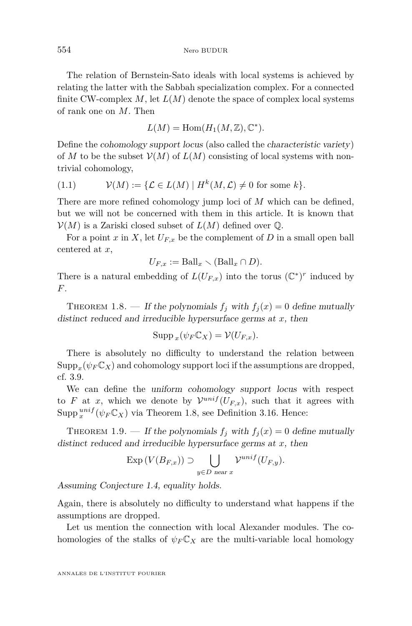<span id="page-6-0"></span>The relation of Bernstein-Sato ideals with local systems is achieved by relating the latter with the Sabbah specialization complex. For a connected finite CW-complex *M*, let *L*(*M*) denote the space of complex local systems of rank one on *M*. Then

$$
L(M) = \text{Hom}(H_1(M, \mathbb{Z}), \mathbb{C}^*).
$$

Define the cohomology support locus (also called the characteristic variety) of *M* to be the subset  $V(M)$  of  $L(M)$  consisting of local systems with nontrivial cohomology,

$$
(1.1) \t\mathcal{V}(M) := \{ \mathcal{L} \in L(M) \mid H^k(M, \mathcal{L}) \neq 0 \text{ for some } k \}.
$$

There are more refined cohomology jump loci of *M* which can be defined, but we will not be concerned with them in this article. It is known that  $\mathcal{V}(M)$  is a Zariski closed subset of  $L(M)$  defined over  $\mathbb{O}$ .

For a point *x* in *X*, let  $U_{F,x}$  be the complement of *D* in a small open ball centered at *x*,

$$
U_{F,x} := \text{Ball}_x \setminus (\text{Ball}_x \cap D).
$$

There is a natural embedding of  $L(U_{F,x})$  into the torus  $(\mathbb{C}^*)^r$  induced by *F*.

THEOREM 1.8. — If the polynomials  $f_j$  with  $f_j(x) = 0$  define mutually distinct reduced and irreducible hypersurface germs at *x*, then

$$
\operatorname{Supp}_{x}(\psi_{F}\mathbb{C}_{X})=\mathcal{V}(U_{F,x}).
$$

There is absolutely no difficulty to understand the relation between  $\mathrm{Supp}_x(\psi_F \mathbb{C}_X)$  and cohomology support loci if the assumptions are dropped, cf. [3.9.](#page-27-0)

We can define the uniform cohomology support locus with respect to *F* at *x*, which we denote by  $\mathcal{V}^{unif}(U_{F,x})$ , such that it agrees with  $\text{Supp }_{x}^{unif}(\psi_{F}\mathbb{C}_{X})$  via Theorem 1.8, see Definition [3.16.](#page-20-0) Hence:

THEOREM 1.9. — If the polynomials  $f_j$  with  $f_j(x) = 0$  define mutually distinct reduced and irreducible hypersurface germs at *x*, then

$$
\operatorname{Exp}\left(V(B_{F,x})\right) \supset \bigcup_{y \in D \text{ near } x} \mathcal{V}^{unif}(U_{F,y}).
$$

Assuming Conjecture [1.4,](#page-5-0) equality holds.

Again, there is absolutely no difficulty to understand what happens if the assumptions are dropped.

Let us mention the connection with local Alexander modules. The cohomologies of the stalks of  $\psi_F \mathbb{C}_X$  are the multi-variable local homology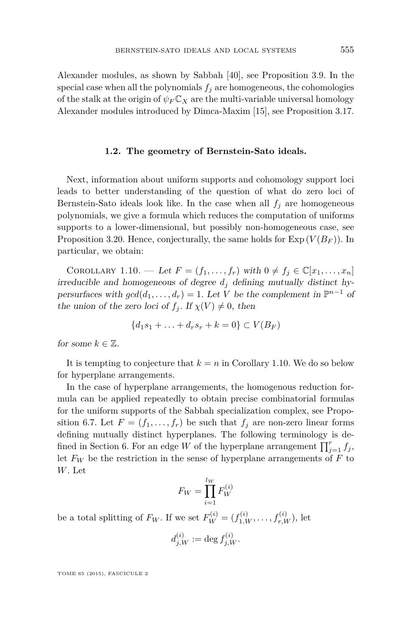<span id="page-7-0"></span>Alexander modules, as shown by Sabbah [\[40\]](#page-54-0), see Proposition [3.9.](#page-17-0) In the special case when all the polynomials  $f_i$  are homogeneous, the cohomologies of the stalk at the origin of  $\psi_F \mathbb{C}_X$  are the multi-variable universal homology Alexander modules introduced by Dimca-Maxim [\[15\]](#page-53-0), see Proposition [3.17.](#page-21-0)

#### **1.2. The geometry of Bernstein-Sato ideals.**

Next, information about uniform supports and cohomology support loci leads to better understanding of the question of what do zero loci of Bernstein-Sato ideals look like. In the case when all  $f_i$  are homogeneous polynomials, we give a formula which reduces the computation of uniforms supports to a lower-dimensional, but possibly non-homogeneous case, see Proposition [3.20.](#page-23-0) Hence, conjecturally, the same holds for  $\text{Exp}(V(B_F))$ . In particular, we obtain:

COROLLARY 1.10. — Let  $F = (f_1, \ldots, f_r)$  with  $0 \neq f_j \in \mathbb{C}[x_1, \ldots, x_n]$ irreducible and homogeneous of degree  $d_j$  defining mutually distinct hypersurfaces with  $gcd(d_1, ..., d_r) = 1$ . Let *V* be the complement in  $\mathbb{P}^{n-1}$  of the union of the zero loci of  $f_i$ . If  $\chi(V) \neq 0$ , then

$$
\{d_1s_1+\ldots+d_r s_r+k=0\}\subset V(B_F)
$$

for some  $k \in \mathbb{Z}$ .

It is tempting to conjecture that  $k = n$  in Corollary 1.10. We do so below for hyperplane arrangements.

In the case of hyperplane arrangements, the homogenous reduction formula can be applied repeatedly to obtain precise combinatorial formulas for the uniform supports of the Sabbah specialization complex, see Propo-sition [6.7.](#page-47-0) Let  $F = (f_1, \ldots, f_r)$  be such that  $f_j$  are non-zero linear forms defining mutually distinct hyperplanes. The following terminology is de-fined in Section [6.](#page-45-0) For an edge *W* of the hyperplane arrangement  $\prod_{j=1}^{r} f_j$ , let  $F_W$  be the restriction in the sense of hyperplane arrangements of  $F$  to *W*. Let

$$
F_W = \prod_{i=1}^{l_W} F_W^{(i)}
$$

be a total splitting of  $F_W$ . If we set  $F_W^{(i)} = (f_{1,W}^{(i)}, \ldots, f_{r,W}^{(i)}),$  let

$$
d_{j,W}^{(i)} := \deg f_{j,W}^{(i)}.
$$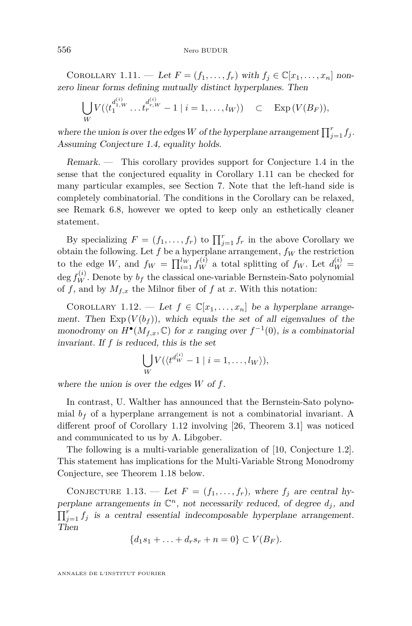<span id="page-8-0"></span>COROLLARY 1.11. — Let  $F = (f_1, \ldots, f_r)$  with  $f_j \in \mathbb{C}[x_1, \ldots, x_n]$  nonzero linear forms defining mutually distinct hyperplanes. Then

$$
\bigcup_{W} V(\langle t_1^{d_1^{(i)}} \dots t_r^{d_r^{(i)}} - 1 \mid i = 1, \dots, l_W \rangle) \quad \subset \quad \text{Exp}\,(V(B_F)),
$$

where the union is over the edges *W* of the hyperplane arrangement  $\prod_{j=1}^{r} f_j$ . Assuming Conjecture [1.4,](#page-5-0) equality holds.

Remark. — This corollary provides support for Conjecture [1.4](#page-5-0) in the sense that the conjectured equality in Corollary 1.11 can be checked for many particular examples, see Section [7.](#page-51-0) Note that the left-hand side is completely combinatorial. The conditions in the Corollary can be relaxed, see Remark [6.8,](#page-48-0) however we opted to keep only an esthetically cleaner statement.

By specializing  $F = (f_1, \ldots, f_r)$  to  $\prod_{j=1}^r f_r$  in the above Corollary we obtain the following. Let  $f$  be a hyperplane arrangement,  $f_W$  the restriction to the edge *W*, and  $f_W = \prod_{i=1}^{l_W} f_W^{(i)}$  a total splitting of  $f_W$ . Let  $d_W^{(i)} =$ deg  $f_W^{(i)}$ . Denote by  $b_f$  the classical one-variable Bernstein-Sato polynomial of  $f$ , and by  $M_{f,x}$  the Milnor fiber of  $f$  at  $x$ . With this notation:

COROLLARY 1.12. — Let  $f \in \mathbb{C}[x_1, \ldots, x_n]$  be a hyperplane arrangement. Then  $Exp(V(b_f))$ , which equals the set of all eigenvalues of the monodromy on  $H^{\bullet}(M_{f,x}, \mathbb{C})$  for *x* ranging over  $f^{-1}(0)$ , is a combinatorial invariant. If *f* is reduced, this is the set

$$
\bigcup_{W} V(\langle t^{d^{(i)}_W} - 1 \mid i = 1, \dots, l_W \rangle),
$$

where the union is over the edges *W* of *f*.

In contrast, U. Walther has announced that the Bernstein-Sato polynomial  $b_f$  of a hyperplane arrangement is not a combinatorial invariant. A different proof of Corollary 1.12 involving [\[26,](#page-54-0) Theorem 3.1] was noticed and communicated to us by A. Libgober.

The following is a multi-variable generalization of [\[10,](#page-53-0) Conjecture 1.2]. This statement has implications for the Multi-Variable Strong Monodromy Conjecture, see Theorem [1.18](#page-10-0) below.

CONJECTURE 1.13. — Let  $F = (f_1, \ldots, f_r)$ , where  $f_j$  are central hyperplane arrangements in  $\mathbb{C}^n$ , not necessarily reduced, of degree  $d_j$ , and  $\prod_{j=1}^r f_j$  is a central essential indecomposable hyperplane arrangement. Then

$$
\{d_1s_1 + \ldots + d_r s_r + n = 0\} \subset V(B_F).
$$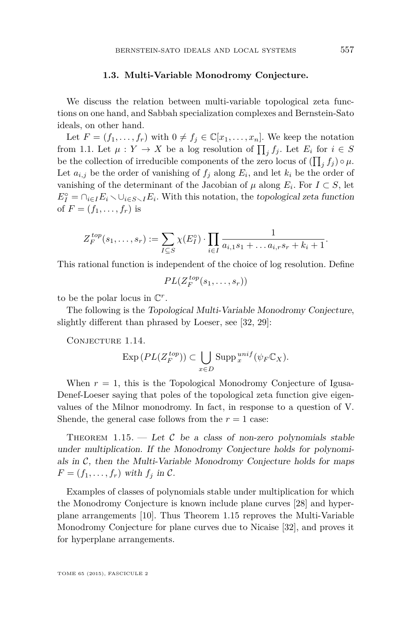#### **1.3. Multi-Variable Monodromy Conjecture.**

<span id="page-9-0"></span>We discuss the relation between multi-variable topological zeta functions on one hand, and Sabbah specialization complexes and Bernstein-Sato ideals, on other hand.

Let  $F = (f_1, \ldots, f_r)$  with  $0 \neq f_i \in \mathbb{C}[x_1, \ldots, x_n]$ . We keep the notation from 1.1. Let  $\mu: Y \to X$  be a log resolution of  $\prod_j f_j$ . Let  $E_i$  for  $i \in S$ be the collection of irreducible components of the zero locus of  $(\prod_j f_j) \circ \mu$ . Let  $a_{i,j}$  be the order of vanishing of  $f_j$  along  $E_i$ , and let  $k_i$  be the order of vanishing of the determinant of the Jacobian of  $\mu$  along  $E_i$ . For  $I \subset S$ , let  $E_I^{\circ} = \bigcap_{i \in I} E_i \setminus \bigcup_{i \in S \setminus I} E_i$ . With this notation, the topological zeta function of  $F = (f_1, ..., f_r)$  is

$$
Z_F^{top}(s_1,\ldots,s_r) := \sum_{I \subseteq S} \chi(E_I^{\circ}) \cdot \prod_{i \in I} \frac{1}{a_{i,1}s_1 + \ldots a_{i,r}s_r + k_i + 1}.
$$

This rational function is independent of the choice of log resolution. Define

$$
PL(Z_F^{top}(s_1,\ldots,s_r))
$$

to be the polar locus in  $\mathbb{C}^r$ .

The following is the Topological Multi-Variable Monodromy Conjecture, slightly different than phrased by Loeser, see [\[32,](#page-54-0) [29\]](#page-54-0):

CONJECTURE 1.14.

$$
\operatorname{Exp}\left(PL(Z_F^{top})\right) \subset \bigcup_{x \in D} \operatorname{Supp}^{unif}_x(\psi_F \mathbb{C}_X).
$$

When  $r = 1$ , this is the Topological Monodromy Conjecture of Igusa-Denef-Loeser saying that poles of the topological zeta function give eigenvalues of the Milnor monodromy. In fact, in response to a question of V. Shende, the general case follows from the  $r = 1$  case:

THEOREM 1.15.  $-$  Let C be a class of non-zero polynomials stable under multiplication. If the Monodromy Conjecture holds for polynomials in  $C$ , then the Multi-Variable Monodromy Conjecture holds for maps  $F = (f_1, \ldots, f_r)$  with  $f_j$  in C.

Examples of classes of polynomials stable under multiplication for which the Monodromy Conjecture is known include plane curves [\[28\]](#page-54-0) and hyperplane arrangements [\[10\]](#page-53-0). Thus Theorem 1.15 reproves the Multi-Variable Monodromy Conjecture for plane curves due to Nicaise [\[32\]](#page-54-0), and proves it for hyperplane arrangements.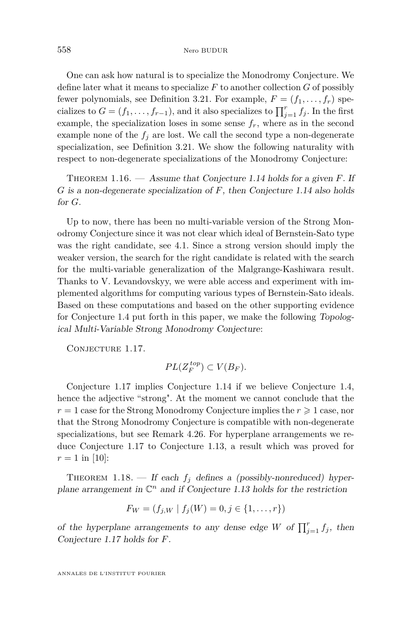<span id="page-10-0"></span>One can ask how natural is to specialize the Monodromy Conjecture. We define later what it means to specialize  $F$  to another collection  $G$  of possibly fewer polynomials, see Definition [3.21.](#page-23-0) For example,  $F = (f_1, \ldots, f_r)$  specializes to  $G = (f_1, \ldots, f_{r-1})$ , and it also specializes to  $\prod_{j=1}^r f_j$ . In the first example, the specialization loses in some sense  $f_r$ , where as in the second example none of the  $f_i$  are lost. We call the second type a non-degenerate specialization, see Definition [3.21.](#page-23-0) We show the following naturality with respect to non-degenerate specializations of the Monodromy Conjecture:

Theorem 1.16. — Assume that Conjecture [1.14](#page-9-0) holds for a given *F*. If *G* is a non-degenerate specialization of *F*, then Conjecture [1.14](#page-9-0) also holds for *G*.

Up to now, there has been no multi-variable version of the Strong Monodromy Conjecture since it was not clear which ideal of Bernstein-Sato type was the right candidate, see [4.1.](#page-28-0) Since a strong version should imply the weaker version, the search for the right candidate is related with the search for the multi-variable generalization of the Malgrange-Kashiwara result. Thanks to V. Levandovskyy, we were able access and experiment with implemented algorithms for computing various types of Bernstein-Sato ideals. Based on these computations and based on the other supporting evidence for Conjecture [1.4](#page-5-0) put forth in this paper, we make the following Topological Multi-Variable Strong Monodromy Conjecture:

CONJECTURE 1.17.

$$
PL(Z_F^{top}) \subset V(B_F).
$$

Conjecture 1.17 implies Conjecture [1.14](#page-9-0) if we believe Conjecture [1.4,](#page-5-0) hence the adjective "strong". At the moment we cannot conclude that the  $r = 1$  case for the Strong Monodromy Conjecture implies the  $r \geq 1$  case, nor that the Strong Monodromy Conjecture is compatible with non-degenerate specializations, but see Remark [4.26.](#page-39-0) For hyperplane arrangements we reduce Conjecture 1.17 to Conjecture [1.13,](#page-8-0) a result which was proved for  $r = 1$  in [\[10\]](#page-53-0):

THEOREM 1.18. — If each  $f_j$  defines a (possibly-nonreduced) hyperplane arrangement in  $\mathbb{C}^n$  and if Conjecture [1.13](#page-8-0) holds for the restriction

$$
F_W = (f_{j,W} \mid f_j(W) = 0, j \in \{1, \dots, r\})
$$

of the hyperplane arrangements to any dense edge *W* of  $\prod_{j=1}^{r} f_j$ , then Conjecture 1.17 holds for *F*.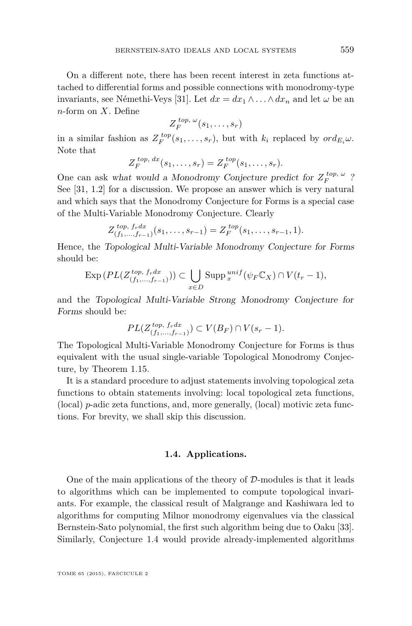On a different note, there has been recent interest in zeta functions attached to differential forms and possible connections with monodromy-type invariants, see Némethi-Veys [\[31\]](#page-54-0). Let  $dx = dx_1 \wedge \ldots \wedge dx_n$  and let  $\omega$  be an *n*-form on *X*. Define

$$
Z_F^{top, \ \omega}(s_1, \ldots, s_r)
$$

in a similar fashion as  $Z_F^{top}(s_1, \ldots, s_r)$ , but with  $k_i$  replaced by  $ord_{E_i}\omega$ . Note that

$$
Z_F^{top, dx}(s_1,\ldots,s_r)=Z_F^{top}(s_1,\ldots,s_r).
$$

One can ask what would a Monodromy Conjecture predict for  $Z_F^{top,\omega}$ ? See [\[31,](#page-54-0) 1.2] for a discussion. We propose an answer which is very natural and which says that the Monodromy Conjecture for Forms is a special case of the Multi-Variable Monodromy Conjecture. Clearly

$$
Z_{(f_1,\ldots,f_{r-1})}^{top, f_r dx}(s_1,\ldots,s_{r-1}) = Z_F^{top}(s_1,\ldots,s_{r-1},1).
$$

Hence, the Topological Multi-Variable Monodromy Conjecture for Forms should be:

$$
\operatorname{Exp}\left(PL(Z_{(f_1,\ldots,f_{r-1})}^{top},f_rdx)\right) \subset \bigcup_{x\in D} \operatorname{Supp}^{unif}_x(\psi_F \mathbb{C}_X) \cap V(t_r-1),
$$

and the Topological Multi-Variable Strong Monodromy Conjecture for Forms should be:

$$
PL(Z_{(f_1,\ldots,f_{r-1})}^{top, f_r dx}) \subset V(B_F) \cap V(s_r - 1).
$$

The Topological Multi-Variable Monodromy Conjecture for Forms is thus equivalent with the usual single-variable Topological Monodromy Conjecture, by Theorem [1.15.](#page-9-0)

It is a standard procedure to adjust statements involving topological zeta functions to obtain statements involving: local topological zeta functions, (local) *p*-adic zeta functions, and, more generally, (local) motivic zeta functions. For brevity, we shall skip this discussion.

# **1.4. Applications.**

One of the main applications of the theory of  $D$ -modules is that it leads to algorithms which can be implemented to compute topological invariants. For example, the classical result of Malgrange and Kashiwara led to algorithms for computing Milnor monodromy eigenvalues via the classical Bernstein-Sato polynomial, the first such algorithm being due to Oaku [\[33\]](#page-54-0). Similarly, Conjecture [1.4](#page-5-0) would provide already-implemented algorithms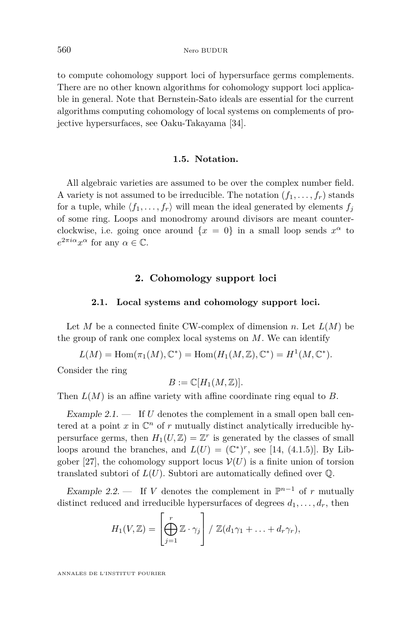<span id="page-12-0"></span>to compute cohomology support loci of hypersurface germs complements. There are no other known algorithms for cohomology support loci applicable in general. Note that Bernstein-Sato ideals are essential for the current algorithms computing cohomology of local systems on complements of projective hypersurfaces, see Oaku-Takayama [\[34\]](#page-54-0).

# **1.5. Notation.**

All algebraic varieties are assumed to be over the complex number field. A variety is not assumed to be irreducible. The notation  $(f_1, \ldots, f_r)$  stands for a tuple, while  $\langle f_1, \ldots, f_r \rangle$  will mean the ideal generated by elements  $f_i$ of some ring. Loops and monodromy around divisors are meant counterclockwise, i.e. going once around  $\{x = 0\}$  in a small loop sends  $x^{\alpha}$  to  $e^{2\pi i \alpha} x^{\alpha}$  for any  $\alpha \in \mathbb{C}$ .

# **2. Cohomology support loci**

#### **2.1. Local systems and cohomology support loci.**

Let *M* be a connected finite CW-complex of dimension *n*. Let  $L(M)$  be the group of rank one complex local systems on *M*. We can identify

 $L(M) = \text{Hom}(\pi_1(M), \mathbb{C}^*) = \text{Hom}(H_1(M, \mathbb{Z}), \mathbb{C}^*) = H^1(M, \mathbb{C}^*).$ 

Consider the ring

$$
B := \mathbb{C}[H_1(M, \mathbb{Z})].
$$

Then  $L(M)$  is an affine variety with affine coordinate ring equal to *B*.

Example  $2.1$ .  $\qquad$  If *U* denotes the complement in a small open ball centered at a point  $x$  in  $\mathbb{C}^n$  of  $r$  mutually distinct analytically irreducible hypersurface germs, then  $H_1(U, \mathbb{Z}) = \mathbb{Z}^r$  is generated by the classes of small loops around the branches, and  $L(U) = (\mathbb{C}^*)^r$ , see [\[14,](#page-53-0) (4.1.5)]. By Lib-gober [\[27\]](#page-54-0), the cohomology support locus  $V(U)$  is a finite union of torsion translated subtori of  $L(U)$ . Subtori are automatically defined over  $\mathbb{Q}$ .

Example 2.2. — If *V* denotes the complement in  $\mathbb{P}^{n-1}$  of *r* mutually distinct reduced and irreducible hypersurfaces of degrees  $d_1, \ldots, d_r$ , then

$$
H_1(V,\mathbb{Z})=\left[\bigoplus_{j=1}^r\mathbb{Z}\cdot\gamma_j\right]/\mathbb{Z}(d_1\gamma_1+\ldots+d_r\gamma_r),
$$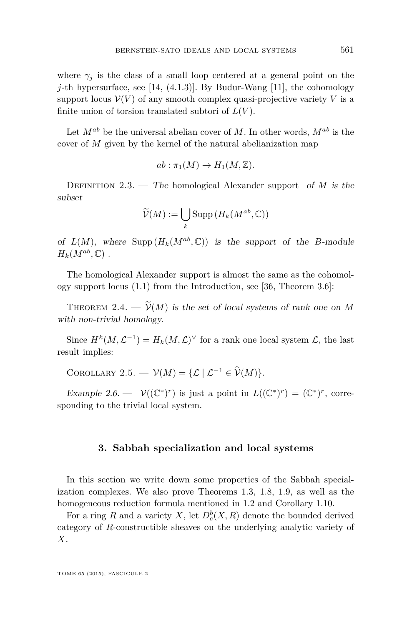<span id="page-13-0"></span>where  $\gamma_i$  is the class of a small loop centered at a general point on the *j*-th hypersurface, see [\[14,](#page-53-0) (4.1.3)]. By Budur-Wang [\[11\]](#page-53-0), the cohomology support locus  $V(V)$  of any smooth complex quasi-projective variety V is a finite union of torsion translated subtori of  $L(V)$ .

Let  $M^{ab}$  be the universal abelian cover of M. In other words,  $M^{ab}$  is the cover of *M* given by the kernel of the natural abelianization map

$$
ab: \pi_1(M) \to H_1(M, \mathbb{Z}).
$$

DEFINITION 2.3. — The homological Alexander support of  $M$  is the subset

$$
\widetilde{\mathcal{V}}(M) := \bigcup_{k} \operatorname{Supp} \left( H_k(M^{ab}, \mathbb{C}) \right)
$$

of  $L(M)$ , where Supp  $(H_k(M^{ab}, \mathbb{C}))$  is the support of the *B*-module  $H_k(M^{ab}, \mathbb{C})$ .

The homological Alexander support is almost the same as the cohomology support locus [\(1.1\)](#page-6-0) from the Introduction, see [\[36,](#page-54-0) Theorem 3.6]:

THEOREM 2.4.  $-\widetilde{V}(M)$  is the set of local systems of rank one on M with non-trivial homology.

Since  $H^k(M, \mathcal{L}^{-1}) = H_k(M, \mathcal{L})^\vee$  for a rank one local system  $\mathcal{L}$ , the last result implies:

COROLLARY 2.5. —  $\mathcal{V}(M) = \{ \mathcal{L} \mid \mathcal{L}^{-1} \in \widetilde{\mathcal{V}}(M) \}.$ 

Example 2.6. —  $\mathcal{V}((\mathbb{C}^*)^r)$  is just a point in  $L((\mathbb{C}^*)^r) = (\mathbb{C}^*)^r$ , corresponding to the trivial local system.

# **3. Sabbah specialization and local systems**

In this section we write down some properties of the Sabbah specialization complexes. We also prove Theorems [1.3,](#page-5-0) [1.8,](#page-6-0) [1.9,](#page-6-0) as well as the homogeneous reduction formula mentioned in [1.2](#page-7-0) and Corollary [1.10.](#page-7-0)

For a ring *R* and a variety *X*, let  $D_c^b(X, R)$  denote the bounded derived category of *R*-constructible sheaves on the underlying analytic variety of *X*.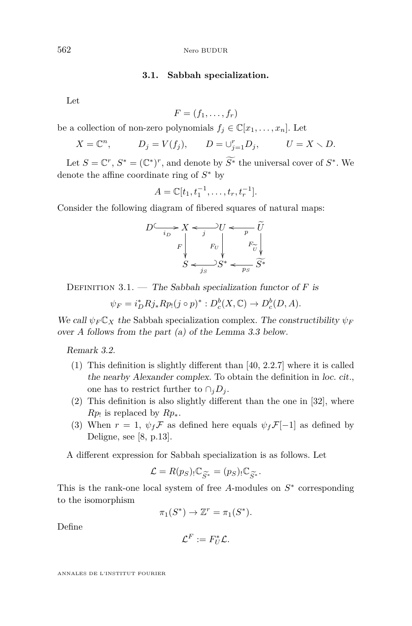# **3.1. Sabbah specialization.**

<span id="page-14-0"></span>Let

$$
F=(f_1,\ldots,f_r)
$$

be a collection of non-zero polynomials  $f_j \in \mathbb{C}[x_1, \ldots, x_n]$ . Let

$$
X = \mathbb{C}^n
$$
,  $D_j = V(f_j)$ ,  $D = \bigcup_{j=1}^r D_j$ ,  $U = X \setminus D$ .

Let  $S = \mathbb{C}^r$ ,  $S^* = (\mathbb{C}^*)^r$ , and denote by  $\widetilde{S^*}$  the universal cover of  $S^*$ . We denote the affine coordinate ring of *S* <sup>∗</sup> by

$$
A = \mathbb{C}[t_1, t_1^{-1}, \dots, t_r, t_r^{-1}].
$$

Consider the following diagram of fibered squares of natural maps:

$$
D \xrightarrow{i_D} X \xleftarrow{j} U \xleftarrow{p} \widetilde{U}
$$

$$
F \downarrow \qquad F_U \downarrow \qquad F_U \downarrow
$$

$$
S \xleftarrow{j_S} S^* \xleftarrow{p_S} \widetilde{S^*}
$$

DEFINITION 3.1. — The Sabbah specialization functor of *F* is

$$
\psi_F = i_D^* R j_* R p_! (j \circ p)^* : D_c^b(X, \mathbb{C}) \to D_c^b(D, A).
$$

We call  $\psi_F C_X$  the Sabbah specialization complex. The constructibility  $\psi_F$ over *A* follows from the part (a) of the Lemma [3.3](#page-15-0) below.

Remark 3.2.

- (1) This definition is slightly different than [\[40,](#page-54-0) 2.2.7] where it is called the nearby Alexander complex. To obtain the definition in loc. cit., one has to restrict further to  $\cap_i D_i$ .
- (2) This definition is also slightly different than the one in [\[32\]](#page-54-0), where *Rp*! is replaced by *Rp*∗.
- (3) When  $r = 1$ ,  $\psi_f \mathcal{F}$  as defined here equals  $\psi_f \mathcal{F}[-1]$  as defined by Deligne, see [\[8,](#page-53-0) p.13].

A different expression for Sabbah specialization is as follows. Let

$$
\mathcal{L} = R(p_S) \cdot \mathbb{C}_{\widetilde{S}^*} = (p_S) \cdot \mathbb{C}_{\widetilde{S}^*}.
$$

 $\mathcal{L} = R(p_S) \cdot \mathbb{C}_{\widetilde{S}^*} = (p_S) \cdot \mathbb{C}_{\widetilde{S}^*}.$ <br>This is the rank-one local system of free *A*-modules on  $S^*$  corresponding to the isomorphism

$$
\pi_1(S^*) \to \mathbb{Z}^r = \pi_1(S^*).
$$

Define

$$
\mathcal{L}^F:=F_U^*\mathcal{L}.
$$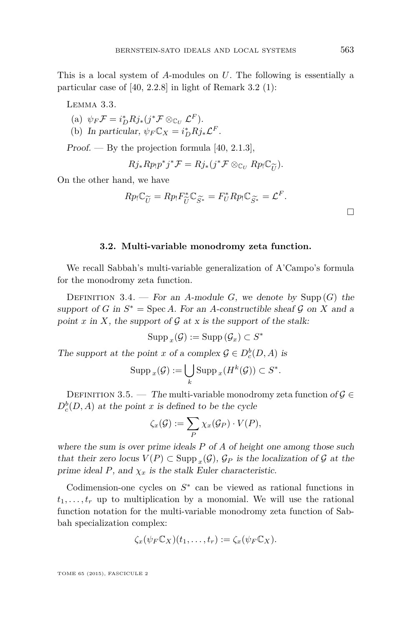<span id="page-15-0"></span>This is a local system of *A*-modules on *U*. The following is essentially a particular case of [\[40,](#page-54-0) 2.2.8] in light of Remark [3.2](#page-14-0) (1):

Lemma 3.3.

- $(i) \psi_F \mathcal{F} = i_D^* R j_* (j^* \mathcal{F} \otimes_{\mathbb{C}_U} \mathcal{L}^F).$
- (b) In particular,  $\psi_F C_X = i_D^* R j_* \mathcal{L}^F$ .

Proof. — By the projection formula  $[40, 2.1.3]$  $[40, 2.1.3]$ ,

$$
Rj_* R p_! p^* j^* \mathcal{F} = Rj_* (j^* \mathcal{F} \otimes_{\mathbb{C}_U} R p_! \mathbb{C}_{\widetilde{U}}).
$$

On the other hand, we have

$$
Rp_! \mathbb{C}_{\widetilde{U}} = Rp_! F_{\widetilde{U}}^* \mathbb{C}_{\widetilde{S}^*} = F_U^* Rp_! \mathbb{C}_{\widetilde{S}^*} = \mathcal{L}^F.
$$

# **3.2. Multi-variable monodromy zeta function.**

We recall Sabbah's multi-variable generalization of A'Campo's formula for the monodromy zeta function.

DEFINITION 3.4. — For an *A*-module *G*, we denote by Supp  $(G)$  the support of *G* in  $S^* = \text{Spec } A$ . For an *A*-constructible sheaf  $G$  on  $X$  and a point  $x$  in  $X$ , the support of  $G$  at  $x$  is the support of the stalk:

$$
\operatorname{Supp}_x(\mathcal{G}) := \operatorname{Supp}\left(\mathcal{G}_x\right) \subset S^*
$$

The support at the point *x* of a complex  $\mathcal{G} \in D_c^b(D, A)$  is

$$
\operatorname{Supp}_x(\mathcal{G}) := \bigcup_k \operatorname{Supp}_x(H^k(\mathcal{G})) \subset S^*.
$$

DEFINITION 3.5. — The multi-variable monodromy zeta function of  $\mathcal{G} \in$  $D_c^b(D, A)$  at the point *x* is defined to be the cycle

$$
\zeta_x(\mathcal{G}) := \sum_P \chi_x(\mathcal{G}_P) \cdot V(P),
$$

where the sum is over prime ideals *P* of *A* of height one among those such that their zero locus  $V(P) \subset \text{Supp}_x(\mathcal{G})$ ,  $\mathcal{G}_P$  is the localization of  $\mathcal G$  at the prime ideal  $P$ , and  $\chi_x$  is the stalk Euler characteristic.

Codimension-one cycles on  $S^*$  can be viewed as rational functions in  $t_1, \ldots, t_r$  up to multiplication by a monomial. We will use the rational function notation for the multi-variable monodromy zeta function of Sabbah specialization complex:

$$
\zeta_x(\psi_F \mathbb{C}_X)(t_1,\ldots,t_r):=\zeta_x(\psi_F \mathbb{C}_X).
$$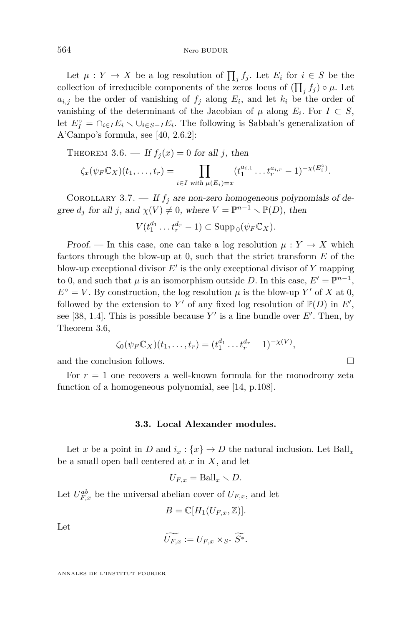<span id="page-16-0"></span>Let  $\mu: Y \to X$  be a log resolution of  $\prod_j f_j$ . Let  $E_i$  for  $i \in S$  be the collection of irreducible components of the zeros locus of  $(\prod_j f_j) \circ \mu$ . Let  $a_{i,j}$  be the order of vanishing of  $f_j$  along  $E_i$ , and let  $k_i$  be the order of vanishing of the determinant of the Jacobian of  $\mu$  along  $E_i$ . For  $I \subset S$ , let  $E_I^{\circ} = \bigcap_{i \in I} E_i \setminus \bigcup_{i \in S-I} E_i$ . The following is Sabbah's generalization of A'Campo's formula, see [\[40,](#page-54-0) 2.6.2]:

THEOREM 3.6. — If  $f_i(x) = 0$  for all *j*, then

$$
\zeta_x(\psi_F \mathbb{C}_X)(t_1,\ldots,t_r)=\prod_{i\in I \text{ with }\mu(E_i)=x}(t_1^{a_{i,1}}\ldots t_r^{a_{i,r}}-1)^{-\chi(E_i^{\circ})}.
$$

COROLLARY 3.7. — If  $f_j$  are non-zero homogeneous polynomials of degree  $d_j$  for all *j*, and  $\chi(V) \neq 0$ , where  $V = \mathbb{P}^{n-1} \setminus \mathbb{P}(D)$ , then

$$
V(t_1^{d_1}\dots t_r^{d_r}-1)\subset \operatorname{Supp}_0(\psi_F\mathbb{C}_X).
$$

Proof. — In this case, one can take a log resolution  $\mu: Y \to X$  which factors through the blow-up at 0, such that the strict transform *E* of the blow-up exceptional divisor  $E'$  is the only exceptional divisor of  $Y$  mapping to 0, and such that  $\mu$  is an isomorphism outside *D*. In this case,  $E' = \mathbb{P}^{n-1}$ ,  $E^{\circ} = V$ . By construction, the log resolution  $\mu$  is the blow-up Y' of X at 0, followed by the extension to Y' of any fixed log resolution of  $\mathbb{P}(D)$  in  $E'$ , see [\[38,](#page-54-0) 1.4]. This is possible because  $Y'$  is a line bundle over  $E'$ . Then, by Theorem 3.6,

$$
\zeta_0(\psi_F \mathbb{C}_X)(t_1,\ldots,t_r)=(t_1^{d_1}\ldots t_r^{d_r}-1)^{-\chi(V)},
$$

and the conclusion follows.

For  $r = 1$  one recovers a well-known formula for the monodromy zeta function of a homogeneous polynomial, see [\[14,](#page-53-0) p.108].

# **3.3. Local Alexander modules.**

Let *x* be a point in *D* and  $i_x$  :  $\{x\} \rightarrow D$  the natural inclusion. Let Ball<sub>*x*</sub> be a small open ball centered at *x* in *X*, and let

$$
U_{F,x} = \text{Ball}_x \setminus D.
$$

Let  $U_{F,x}^{ab}$  be the universal abelian cover of  $U_{F,x}$ , and let

$$
B=\mathbb{C}[H_1(U_{F,x},\mathbb{Z})].
$$

Let

$$
\widetilde{U_{F,x}} := U_{F,x} \times_{S^*} \widetilde{S^*}.
$$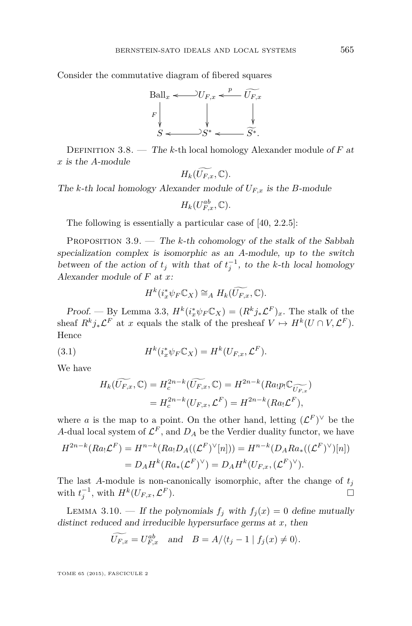<span id="page-17-0"></span>Consider the commutative diagram of fibered squares



Definition 3.8. — The *k*-th local homology Alexander module of *F* at *x* is the *A*-module

$$
H_k(\widetilde{U_{F,x}},\mathbb{C}).
$$

The *k*-th local homology Alexander module of  $U_{F,x}$  is the *B*-module

 $H_k(U_{F,x}^{ab}, \mathbb{C})$ *.* 

The following is essentially a particular case of [\[40,](#page-54-0) 2.2.5]:

PROPOSITION 3.9. — The *k*-th cohomology of the stalk of the Sabbah specialization complex is isomorphic as an *A*-module, up to the switch between of the action of  $t_j$  with that of  $t_j^{-1}$ , to the *k*-th local homology Alexander module of *F* at *x*:

$$
H^k(i_x^*\psi_F\mathbb{C}_X)\cong_A H_k(\widetilde{U_{F,x}},\mathbb{C}).
$$

Proof. — By Lemma [3.3,](#page-15-0)  $H^k(i_x^* \psi_F C_X) = (R^k j_* \mathcal{L}^F)_x$ . The stalk of the sheaf  $R^k j_* \mathcal{L}^F$  at *x* equals the stalk of the presheaf  $V \mapsto H^k(U \cap V, \mathcal{L}^F)$ . Hence

(3.1) 
$$
H^k(i_x^*\psi_F \mathbb{C}_X) = H^k(U_{F,x}, \mathcal{L}^F).
$$

We have

$$
H_k(\widetilde{U_{F,x}}, \mathbb{C}) = H_c^{2n-k}(\widetilde{U_{F,x}}, \mathbb{C}) = H^{2n-k}(Ra_!p_!\mathbb{C}_{\widetilde{U_{F,x}}})
$$
  
= 
$$
H_c^{2n-k}(U_{F,x}, \mathcal{L}^F) = H^{2n-k}(Ra_! \mathcal{L}^F),
$$

where *a* is the map to a point. On the other hand, letting  $(L^F)^\vee$  be the *A*-dual local system of  $\mathcal{L}^F$ , and  $D_A$  be the Verdier duality functor, we have

$$
H^{2n-k}(Ra_!\mathcal{L}^F) = H^{n-k}(Ra_!\mathcal{D}_A((\mathcal{L}^F)^\vee[n])) = H^{n-k}(\mathcal{D}_A Ra_*((\mathcal{L}^F)^\vee)[n])
$$
  
= 
$$
\mathcal{D}_A H^k(Ra_*(\mathcal{L}^F)^\vee) = \mathcal{D}_A H^k(U_{F,x}, (\mathcal{L}^F)^\vee).
$$

The last *A*-module is non-canonically isomorphic, after the change of  $t_j$ with  $t_j^{-1}$ , with  $H^k(U_{F,x}, \mathcal{L})$  $F$ ).

LEMMA 3.10. — If the polynomials  $f_i$  with  $f_i(x) = 0$  define mutually distinct reduced and irreducible hypersurface germs at *x*, then

$$
\widetilde{U_{F,x}} = U_{F,x}^{ab} \quad \text{and} \quad B = A/\langle t_j - 1 \mid f_j(x) \neq 0 \rangle.
$$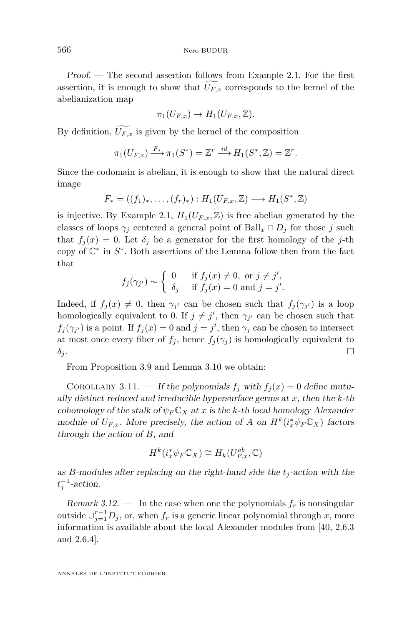<span id="page-18-0"></span>Proof. — The second assertion follows from Example [2.1.](#page-12-0) For the first assertion, it is enough to show that  $U_{F,x}$  corresponds to the kernel of the abelianization map

$$
\pi_1(U_{F,x}) \to H_1(U_{F,x}, \mathbb{Z}).
$$

By definition,  $\widetilde{U_{F,x}}$  is given by the kernel of the composition

$$
\pi_1(U_{F,x}) \xrightarrow{F_*} \pi_1(S^*) = \mathbb{Z}^r \xrightarrow{id} H_1(S^*, \mathbb{Z}) = \mathbb{Z}^r.
$$

Since the codomain is abelian, it is enough to show that the natural direct image

$$
F_* = ((f_1)_*, \ldots, (f_r)_*) : H_1(U_{F,x}, \mathbb{Z}) \longrightarrow H_1(S^*, \mathbb{Z})
$$

is injective. By Example [2.1,](#page-12-0)  $H_1(U_{F,x}, \mathbb{Z})$  is free abelian generated by the classes of loops  $\gamma_j$  centered a general point of Ball<sub>*x*</sub> ∩ *D<sub>j</sub>* for those *j* such that  $f_i(x) = 0$ . Let  $\delta_i$  be a generator for the first homology of the *j*-th copy of  $\mathbb{C}^*$  in  $S^*$ . Both assertions of the Lemma follow then from the fact that

$$
f_j(\gamma_{j'}) \sim \begin{cases} 0 & \text{if } f_j(x) \neq 0, \text{ or } j \neq j', \\ \delta_j & \text{if } f_j(x) = 0 \text{ and } j = j'. \end{cases}
$$

Indeed, if  $f_j(x) \neq 0$ , then  $\gamma_{j'}$  can be chosen such that  $f_j(\gamma_{j'})$  is a loop homologically equivalent to 0. If  $j \neq j'$ , then  $\gamma_{j'}$  can be chosen such that  $f_j(\gamma_{j'})$  is a point. If  $f_j(x) = 0$  and  $j = j'$ , then  $\gamma_j$  can be chosen to intersect at most once every fiber of  $f_j$ , hence  $f_j(\gamma_j)$  is homologically equivalent to  $\delta_j$ .

From Proposition [3.9](#page-17-0) and Lemma [3.10](#page-17-0) we obtain:

COROLLARY 3.11. — If the polynomials  $f_j$  with  $f_j(x) = 0$  define mutually distinct reduced and irreducible hypersurface germs at *x*, then the *k*-th cohomology of the stalk of  $\psi_F C_X$  at *x* is the *k*-th local homology Alexander module of  $U_{F,x}$ . More precisely, the action of *A* on  $H^k(i_x^*\psi_F\mathbb{C}_X)$  factors through the action of *B*, and

$$
H^k(i_x^* \psi_F \mathbb{C}_X) \cong H_k(U_{F,x}^{ab}, \mathbb{C})
$$

as *B*-modules after replacing on the right-hand side the  $t_j$ -action with the  $t_j^{-1}$ -action.

Remark 3.12.  $\blacksquare$  In the case when one the polynomials  $f_r$  is nonsingular outside  $\cup_{j=1}^{r-1} D_j$ , or, when  $f_r$  is a generic linear polynomial through *x*, more information is available about the local Alexander modules from [\[40,](#page-54-0) 2.6.3 and 2.6.4].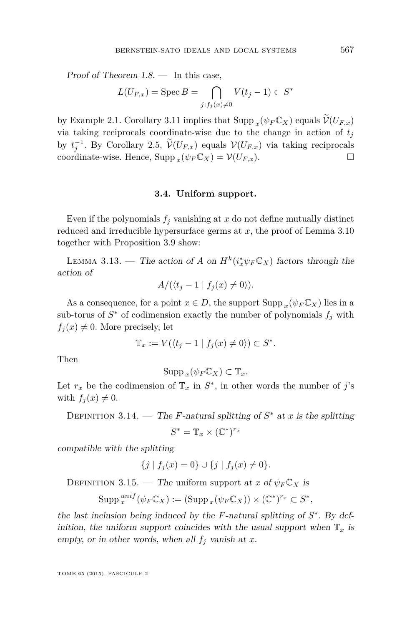<span id="page-19-0"></span>Proof of Theorem  $1.8.$  — In this case,

$$
L(U_{F,x}) = \operatorname{Spec} B = \bigcap_{j:f_j(x)\neq 0} V(t_j - 1) \subset S^*
$$

by Example [2.1.](#page-12-0) Corollary [3.11](#page-18-0) implies that  $\text{Supp}_x(\psi_F C_X)$  equals  $\mathcal{V}(U_{F,x})$ via taking reciprocals coordinate-wise due to the change in action of  $t_j$ by  $t_j^{-1}$ . By Corollary [2.5,](#page-13-0)  $\widetilde{\mathcal{V}}(U_{F,x})$  equals  $\mathcal{V}(U_{F,x})$  via taking reciprocals coordinate-wise. Hence,  $\text{Supp}_x(\psi_F \mathbb{C}_X) = \mathcal{V}(U_{F,x})$ .

# **3.4. Uniform support.**

Even if the polynomials  $f_j$  vanishing at  $x$  do not define mutually distinct reduced and irreducible hypersurface germs at *x*, the proof of Lemma [3.10](#page-17-0) together with Proposition [3.9](#page-17-0) show:

LEMMA 3.13. — The action of *A* on  $H^k(i^*_{x}\psi_F\mathbb{C}_X)$  factors through the action of

$$
A/(\langle t_j - 1 \mid f_j(x) \neq 0 \rangle).
$$

As a consequence, for a point  $x \in D$ , the support  $\text{Supp } x(\psi_F \mathbb{C}_X)$  lies in a sub-torus of  $S^*$  of codimension exactly the number of polynomials  $f_j$  with  $f_i(x) \neq 0$ . More precisely, let

$$
\mathbb{T}_x := V(\langle t_j - 1 \mid f_j(x) \neq 0 \rangle) \subset S^*.
$$

Then

$$
\operatorname{Supp}_x(\psi_F \mathbb{C}_X) \subset \mathbb{T}_x.
$$

Let  $r_x$  be the codimension of  $\mathbb{T}_x$  in  $S^*$ , in other words the number of *j*'s with  $f_j(x) \neq 0$ .

DEFINITION 3.14. — The *F*-natural splitting of  $S^*$  at *x* is the splitting  $S^* = \mathbb{T}_x \times (\mathbb{C}^*)^{r_x}$ 

compatible with the splitting

$$
\{j \mid f_j(x) = 0\} \cup \{j \mid f_j(x) \neq 0\}.
$$

DEFINITION 3.15. — The uniform support at *x* of  $\psi_F C_X$  is

$$
\operatorname{Supp}^{unif}_{x}(\psi_{F}\mathbb{C}_{X}) := (\operatorname{Supp}_{x}(\psi_{F}\mathbb{C}_{X})) \times (\mathbb{C}^{*})^{r_{x}} \subset S^{*},
$$

the last inclusion being induced by the  $F$ -natural splitting of  $S^*$ . By definition, the uniform support coincides with the usual support when  $\mathbb{T}_x$  is empty, or in other words, when all  $f_j$  vanish at  $x$ .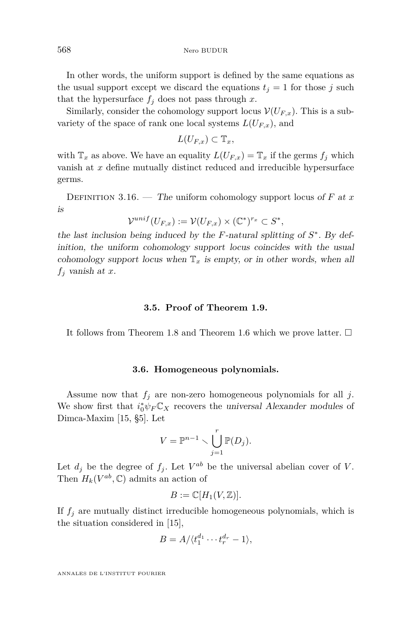<span id="page-20-0"></span>In other words, the uniform support is defined by the same equations as the usual support except we discard the equations  $t_j = 1$  for those *j* such that the hypersurface  $f_j$  does not pass through  $x$ .

Similarly, consider the cohomology support locus  $\mathcal{V}(U_{F,x})$ . This is a subvariety of the space of rank one local systems  $L(U_{F,x})$ , and

 $L(U_{F,r}) \subset \mathbb{T}_r$ ,

with  $\mathbb{T}_x$  as above. We have an equality  $L(U_{F,x}) = \mathbb{T}_x$  if the germs  $f_j$  which vanish at *x* define mutually distinct reduced and irreducible hypersurface germs.

DEFINITION 3.16. — The uniform cohomology support locus of  $F$  at  $x$ is

$$
\mathcal{V}^{unif}(U_{F,x}) := \mathcal{V}(U_{F,x}) \times (\mathbb{C}^*)^{r_x} \subset S^*,
$$

the last inclusion being induced by the  $F$ -natural splitting of  $S^*$ . By definition, the uniform cohomology support locus coincides with the usual cohomology support locus when  $\mathbb{T}_x$  is empty, or in other words, when all *f<sup>j</sup>* vanish at *x*.

# **3.5. Proof of Theorem [1.9.](#page-6-0)**

It follows from Theorem [1.8](#page-6-0) and Theorem [1.6](#page-5-0) which we prove latter.  $\Box$ 

#### **3.6. Homogeneous polynomials.**

Assume now that  $f_i$  are non-zero homogeneous polynomials for all  $j$ . We show first that  $i_0^* \psi_F \mathbb{C}_X$  recovers the universal Alexander modules of Dimca-Maxim [\[15,](#page-53-0) §5]. Let

$$
V = \mathbb{P}^{n-1} \setminus \bigcup_{j=1}^r \mathbb{P}(D_j).
$$

Let  $d_j$  be the degree of  $f_j$ . Let  $V^{ab}$  be the universal abelian cover of V. Then  $H_k(V^{ab}, \mathbb{C})$  admits an action of

$$
B := \mathbb{C}[H_1(V, \mathbb{Z})].
$$

If  $f_j$  are mutually distinct irreducible homogeneous polynomials, which is the situation considered in [\[15\]](#page-53-0),

$$
B = A/\langle t_1^{d_1} \cdots t_r^{d_r} - 1 \rangle,
$$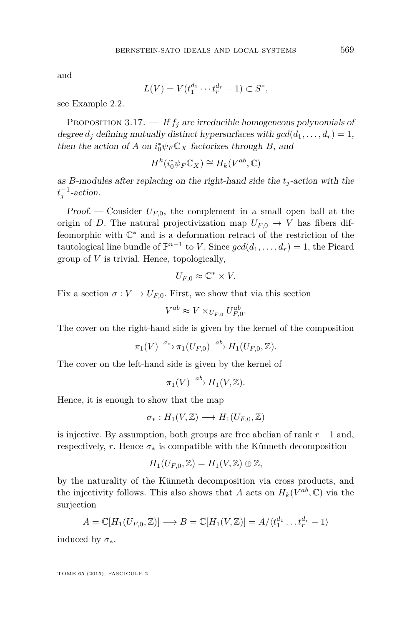<span id="page-21-0"></span>and

$$
L(V) = V(t_1^{d_1} \cdots t_r^{d_r} - 1) \subset S^*,
$$

see Example [2.2.](#page-12-0)

PROPOSITION 3.17.  $\frac{f}{f_j}$  are irreducible homogeneous polynomials of degree  $d_i$  defining mutually distinct hypersurfaces with  $gcd(d_1, \ldots, d_r) = 1$ , then the action of *A* on  $i_0^* \psi_F C_X$  factorizes through *B*, and

$$
H^k(i_0^*\psi_F\mathbb{C}_X) \cong H_k(V^{ab}, \mathbb{C})
$$

as *B*-modules after replacing on the right-hand side the  $t_i$ -action with the  $t_j^{-1}$ -action.

Proof. — Consider  $U_{F,0}$ , the complement in a small open ball at the origin of *D*. The natural projectivization map  $U_{F,0} \rightarrow V$  has fibers diffeomorphic with  $\mathbb{C}^*$  and is a deformation retract of the restriction of the tautological line bundle of  $\mathbb{P}^{n-1}$  to *V*. Since  $gcd(d_1, \ldots, d_r) = 1$ , the Picard group of *V* is trivial. Hence, topologically,

$$
U_{F,0} \approx \mathbb{C}^* \times V.
$$

Fix a section  $\sigma: V \to U_{F,0}$ . First, we show that via this section

$$
V^{ab} \approx V \times_{U_{F,0}} U_{F,0}^{ab}.
$$

The cover on the right-hand side is given by the kernel of the composition

$$
\pi_1(V) \xrightarrow{\sigma_*} \pi_1(U_{F,0}) \xrightarrow{ab} H_1(U_{F,0}, \mathbb{Z}).
$$

The cover on the left-hand side is given by the kernel of

$$
\pi_1(V) \xrightarrow{ab} H_1(V, \mathbb{Z}).
$$

Hence, it is enough to show that the map

$$
\sigma_*: H_1(V, \mathbb{Z}) \longrightarrow H_1(U_{F,0}, \mathbb{Z})
$$

is injective. By assumption, both groups are free abelian of rank *r* − 1 and, respectively, *r*. Hence  $\sigma_*$  is compatible with the Künneth decomposition

$$
H_1(U_{F,0},\mathbb{Z})=H_1(V,\mathbb{Z})\oplus\mathbb{Z},
$$

by the naturality of the Künneth decomposition via cross products, and the injectivity follows. This also shows that *A* acts on  $H_k(V^{ab}, \mathbb{C})$  via the surjection

$$
A = \mathbb{C}[H_1(U_{F,0}, \mathbb{Z})] \longrightarrow B = \mathbb{C}[H_1(V, \mathbb{Z})] = A/\langle t_1^{d_1} \dots t_r^{d_r} - 1 \rangle
$$

induced by  $\sigma_*$ .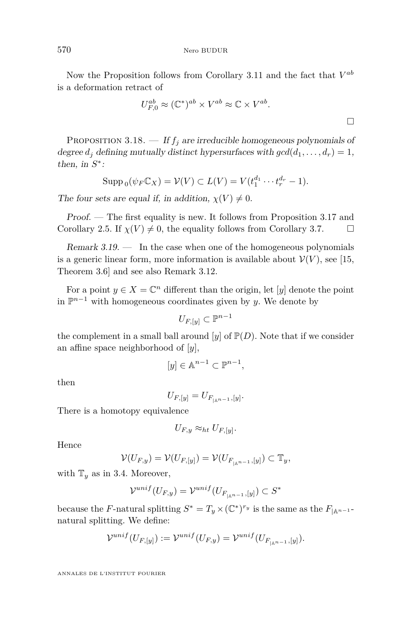<span id="page-22-0"></span>Now the Proposition follows from Corollary [3.11](#page-18-0) and the fact that  $V^{ab}$ is a deformation retract of

$$
U_{F,0}^{ab} \approx (\mathbb{C}^*)^{ab} \times V^{ab} \approx \mathbb{C} \times V^{ab}.
$$

PROPOSITION 3.18.  $-$  If  $f_j$  are irreducible homogeneous polynomials of degree  $d_i$  defining mutually distinct hypersurfaces with  $gcd(d_1, \ldots, d_r) = 1$ , then, in  $S^*$ :

$$
\operatorname{Supp}_{0}(\psi_{F}\mathbb{C}_{X}) = \mathcal{V}(V) \subset L(V) = V(t_{1}^{d_{1}} \cdots t_{r}^{d_{r}} - 1).
$$

The four sets are equal if, in addition,  $\chi(V) \neq 0$ .

Proof. — The first equality is new. It follows from Proposition [3.17](#page-21-0) and Corollary [2.5.](#page-13-0) If  $\chi(V) \neq 0$ , the equality follows from Corollary [3.7.](#page-16-0)

Remark  $3.19.$  — In the case when one of the homogeneous polynomials is a generic linear form, more information is available about  $\mathcal{V}(V)$ , see [\[15,](#page-53-0) Theorem 3.6] and see also Remark [3.12.](#page-18-0)

For a point  $y \in X = \mathbb{C}^n$  different than the origin, let [*y*] denote the point in  $\mathbb{P}^{n-1}$  with homogeneous coordinates given by *y*. We denote by

$$
U_{F,[y]}\subset\mathbb{P}^{n-1}
$$

the complement in a small ball around  $[y]$  of  $\mathbb{P}(D)$ . Note that if we consider an affine space neighborhood of [*y*],

$$
[y]\in \mathbb{A}^{n-1}\subset \mathbb{P}^{n-1},
$$

then

$$
U_{F,[y]} = U_{F_{|\mathbb{A}^{n-1}},[y]}.
$$

There is a homotopy equivalence

$$
U_{F,y} \approx_{ht} U_{F,[y]}.
$$

Hence

$$
\mathcal{V}(U_{F,y}) = \mathcal{V}(U_{F,[y]}) = \mathcal{V}(U_{F_{|\mathbb{A}^{n-1}},[y]}) \subset \mathbb{T}_y,
$$

with  $\mathbb{T}_y$  as in [3.4.](#page-19-0) Moreover,

$$
\mathcal{V}^{unif}(U_{F,y}) = \mathcal{V}^{unif}(U_{F_{|\mathbb{A}^{n-1}},[y]}) \subset S^*
$$

because the *F*-natural splitting  $S^* = T_y \times (\mathbb{C}^*)^{r_y}$  is the same as the  $F_{|\mathbb{A}^{n-1}}$ natural splitting. We define:

$$
\mathcal{V}^{unif}(U_{F,[y]}):=\mathcal{V}^{unif}(U_{F,y})=\mathcal{V}^{unif}(U_{F_{|{\mathbb{A}}^{n-1}},[y]}).
$$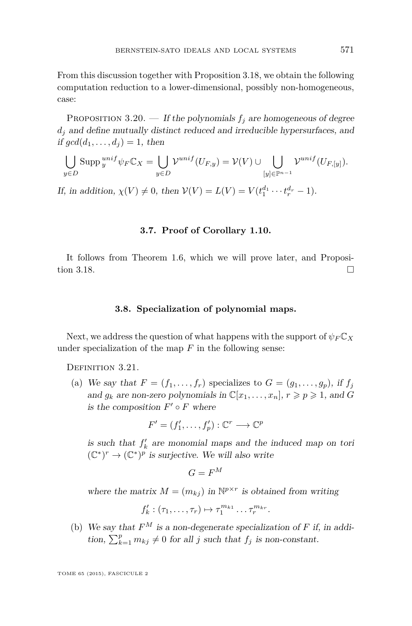<span id="page-23-0"></span>From this discussion together with Proposition [3.18,](#page-22-0) we obtain the following computation reduction to a lower-dimensional, possibly non-homogeneous, case:

PROPOSITION 3.20. — If the polynomials  $f_j$  are homogeneous of degree  $d_i$  and define mutually distinct reduced and irreducible hypersurfaces, and if  $gcd(d_1, \ldots, d_i) = 1$ , then

$$
\bigcup_{y \in D} \mathrm{Supp} \, {}^{unif}_{y} \psi_F \mathbb{C}_X = \bigcup_{y \in D} \mathcal{V}^{unif}(U_{F,y}) = \mathcal{V}(V) \cup \bigcup_{[y] \in \mathbb{P}^{n-1}} \mathcal{V}^{unif}(U_{F,[y]}).
$$

If, in addition,  $\chi(V) \neq 0$ , then  $V(V) = L(V) = V(t_1^{d_1} \cdots t_r^{d_r} - 1)$ .

# **3.7. Proof of Corollary [1.10.](#page-7-0)**

It follows from Theorem [1.6,](#page-5-0) which we will prove later, and Proposi-tion [3.18.](#page-22-0)

# **3.8. Specialization of polynomial maps.**

Next, we address the question of what happens with the support of  $\psi_F C_X$ under specialization of the map *F* in the following sense:

DEFINITION 3.21.

(a) We say that  $F = (f_1, \ldots, f_r)$  specializes to  $G = (g_1, \ldots, g_p)$ , if  $f_j$ and  $g_k$  are non-zero polynomials in  $\mathbb{C}[x_1, \ldots, x_n], r \geqslant p \geqslant 1$ , and G is the composition  $F' \circ F$  where

$$
F' = (f'_1, \ldots, f'_p) : \mathbb{C}^r \longrightarrow \mathbb{C}^p
$$

is such that  $f'_k$  are monomial maps and the induced map on tori  $(\mathbb{C}^*)^r \to (\mathbb{C}^*)^p$  is surjective. We will also write

$$
G = F^M
$$

where the matrix  $M = (m_{kj})$  in  $\mathbb{N}^{p \times r}$  is obtained from writing

$$
f'_{k}:(\tau_1,\ldots,\tau_r)\mapsto \tau_1^{m_{k1}}\ldots\tau_r^{m_{kr}}.
$$

(b) We say that  $F^M$  is a non-degenerate specialization of F if, in addition,  $\sum_{k=1}^{p} m_{kj} \neq 0$  for all *j* such that  $f_j$  is non-constant.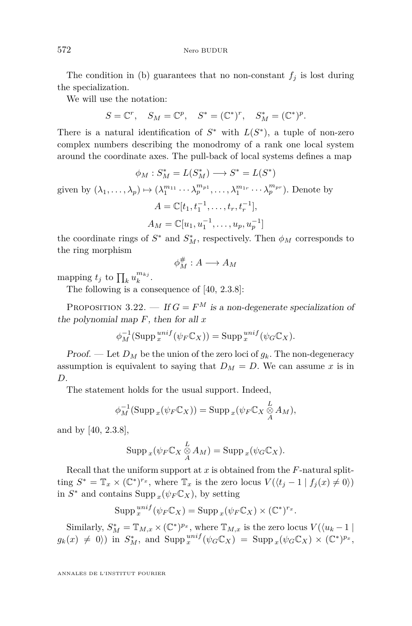The condition in (b) guarantees that no non-constant  $f_j$  is lost during the specialization.

We will use the notation:

$$
S=\mathbb{C}^r, \quad S_M=\mathbb{C}^p, \quad S^*=(\mathbb{C}^*)^r, \quad S_M^*=(\mathbb{C}^*)^p.
$$

There is a natural identification of  $S^*$  with  $L(S^*)$ , a tuple of non-zero complex numbers describing the monodromy of a rank one local system around the coordinate axes. The pull-back of local systems defines a map

$$
\phi_M : S_M^* = L(S_M^*) \longrightarrow S^* = L(S^*)
$$
  
given by  $(\lambda_1, ..., \lambda_p) \mapsto (\lambda_1^{m_{11}} \cdots \lambda_p^{m_{p1}}, ..., \lambda_1^{m_{1r}} \cdots \lambda_p^{m_{pr}})$ . Denote by  

$$
A = \mathbb{C}[t_1, t_1^{-1}, ..., t_r, t_r^{-1}],
$$

$$
A_M = \mathbb{C}[u_1, u_1^{-1}, ..., u_p, u_p^{-1}]
$$

the coordinate rings of  $S^*$  and  $S^*_M$ , respectively. Then  $\phi_M$  corresponds to the ring morphism

$$
\phi_M^{\#}: A \longrightarrow A_M
$$

mapping  $t_j$  to  $\prod_k u_k^{m_{kj}}$ .

The following is a consequence of [\[40,](#page-54-0) 2.3.8]:

PROPOSITION 3.22. — If  $G = F^M$  is a non-degenerate specialization of the polynomial map *F*, then for all *x*

$$
\phi_M^{-1}(\operatorname{Supp}^{unif}_{x}(\psi_F \mathbb{C}_X)) = \operatorname{Supp}^{unif}_{x}(\psi_G \mathbb{C}_X).
$$

**Proof.** — Let  $D_M$  be the union of the zero loci of  $g_k$ . The non-degeneracy assumption is equivalent to saying that  $D_M = D$ . We can assume *x* is in *D*.

The statement holds for the usual support. Indeed,

$$
\phi_M^{-1}(\operatorname{Supp}_x(\psi_F \mathbb{C}_X)) = \operatorname{Supp}_x(\psi_F \mathbb{C}_X \underset{A}{\otimes} A_M),
$$

and by [\[40,](#page-54-0) 2.3.8],

$$
\operatorname{Supp}_x(\psi_F \mathbb{C}_X \underset{A}{\overset{L}{\otimes}} A_M) = \operatorname{Supp}_x(\psi_G \mathbb{C}_X).
$$

Recall that the uniform support at *x* is obtained from the *F*-natural splitting  $S^* = \mathbb{T}_x \times (\mathbb{C}^*)^{r_x}$ , where  $\mathbb{T}_x$  is the zero locus  $V(\langle t_j - 1 | f_j(x) \neq 0 \rangle)$ in  $S^*$  and contains Supp  $_x(\psi_F \mathbb{C}_X)$ , by setting

$$
\operatorname{Supp}^{unif}_{x}(\psi_{F}\mathbb{C}_{X}) = \operatorname{Supp}_{x}(\psi_{F}\mathbb{C}_{X}) \times (\mathbb{C}^{*})^{r_{x}}.
$$

Similarly,  $S_M^* = \mathbb{T}_{M,x} \times (\mathbb{C}^*)^{p_x}$ , where  $\mathbb{T}_{M,x}$  is the zero locus  $V(\langle u_k - 1 |$  $g_k(x) \neq 0$ ) in  $S_M^*$ , and  $\text{Supp}_x^{unif}(\psi_G \mathbb{C}_X) = \text{Supp}_x(\psi_G \mathbb{C}_X) \times (\mathbb{C}^*)^{p_x}$ ,

<span id="page-24-0"></span>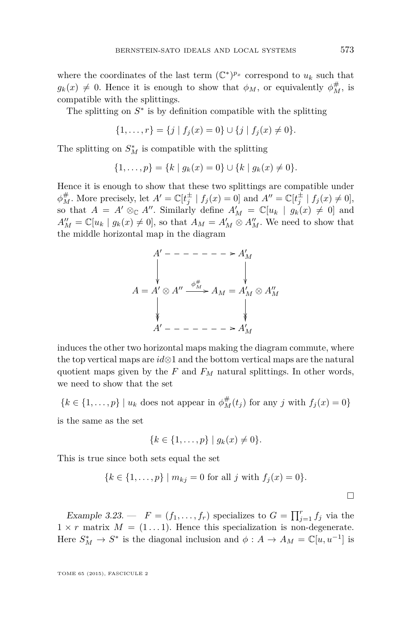<span id="page-25-0"></span>where the coordinates of the last term  $(\mathbb{C}^*)^{p_x}$  correspond to  $u_k$  such that  $g_k(x) \neq 0$ . Hence it is enough to show that  $\phi_M$ , or equivalently  $\phi_M^{\#}$ , is compatible with the splittings.

The splitting on  $S^*$  is by definition compatible with the splitting

$$
\{1,\ldots,r\} = \{j \mid f_j(x) = 0\} \cup \{j \mid f_j(x) \neq 0\}.
$$

The splitting on  $S_M^*$  is compatible with the splitting

$$
\{1,\ldots,p\} = \{k \mid g_k(x) = 0\} \cup \{k \mid g_k(x) \neq 0\}.
$$

Hence it is enough to show that these two splittings are compatible under  $\phi_M^{\#}$ . More precisely, let  $A' = \mathbb{C}[t_j^{\pm} \mid f_j(x) = 0]$  and  $A'' = \mathbb{C}[t_j^{\pm} \mid f_j(x) \neq 0]$ , so that  $A = A' \otimes_{\mathbb{C}} A''$ . Similarly define  $A'_M = \mathbb{C}[u_k \mid g_k(x) \neq 0]$  and  $A''_M = \mathbb{C}[u_k | g_k(x) \neq 0]$ , so that  $A_M = A'_M \otimes A''_M$ . We need to show that the middle horizontal map in the diagram



induces the other two horizontal maps making the diagram commute, where the top vertical maps are *id*⊗1 and the bottom vertical maps are the natural quotient maps given by the *F* and *F<sup>M</sup>* natural splittings. In other words, we need to show that the set

 ${k \in \{1, ..., p\} \mid u_k \text{ does not appear in } \phi_M^{\#}(t_j) \text{ for any } j \text{ with } f_j(x) = 0}$ is the same as the set

$$
\{k \in \{1, \ldots, p\} \mid g_k(x) \neq 0\}.
$$

This is true since both sets equal the set

$$
\{k \in \{1, ..., p\} \mid m_{kj} = 0 \text{ for all } j \text{ with } f_j(x) = 0\}.
$$

Example 3.23.  $\qquad$   $F = (f_1, \ldots, f_r)$  specializes to  $G = \prod_{j=1}^r f_j$  via the  $1 \times r$  matrix  $M = (1 \dots 1)$ . Hence this specialization is non-degenerate. Here  $S_M^* \to S^*$  is the diagonal inclusion and  $\phi: A \to A_M = \mathbb{C}[u, u^{-1}]$  is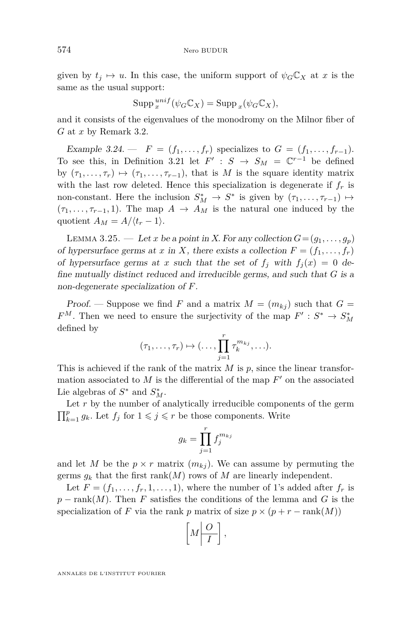<span id="page-26-0"></span>given by  $t_j \mapsto u$ . In this case, the uniform support of  $\psi_G C_X$  at *x* is the same as the usual support:

$$
\operatorname{Supp}^{unif}_{x}(\psi_{G}\mathbb{C}_{X}) = \operatorname{Supp}_{x}(\psi_{G}\mathbb{C}_{X}),
$$

and it consists of the eigenvalues of the monodromy on the Milnor fiber of *G* at *x* by Remark [3.2.](#page-14-0)

Example 3.24. —  $F = (f_1, \ldots, f_r)$  specializes to  $G = (f_1, \ldots, f_{r-1})$ . To see this, in Definition [3.21](#page-23-0) let  $F' : S \to S_M = \mathbb{C}^{r-1}$  be defined by  $(\tau_1, \ldots, \tau_r) \mapsto (\tau_1, \ldots, \tau_{r-1})$ , that is *M* is the square identity matrix with the last row deleted. Hence this specialization is degenerate if  $f<sub>r</sub>$  is non-constant. Here the inclusion  $S_M^* \to S^*$  is given by  $(\tau_1, \ldots, \tau_{r-1}) \mapsto$  $(\tau_1, \ldots, \tau_{r-1}, 1)$ . The map  $A \rightarrow A_M$  is the natural one induced by the quotient  $A_M = A/(t_r - 1)$ .

LEMMA 3.25. — Let *x* be a point in *X*. For any collection  $G = (q_1, \ldots, q_p)$ of hypersurface germs at *x* in *X*, there exists a collection  $F = (f_1, \ldots, f_r)$ of hypersurface germs at *x* such that the set of  $f_i$  with  $f_i(x) = 0$  define mutually distinct reduced and irreducible germs, and such that *G* is a non-degenerate specialization of *F*.

Proof. — Suppose we find *F* and a matrix  $M = (m_{kj})$  such that  $G =$  $F^M$ . Then we need to ensure the surjectivity of the map  $F' : S^* \to S^*_M$ defined by

$$
(\tau_1,\ldots,\tau_r)\mapsto(\ldots,\prod_{j=1}^r\tau_k^{m_{kj}},\ldots).
$$

This is achieved if the rank of the matrix *M* is *p*, since the linear transformation associated to  $M$  is the differential of the map  $F'$  on the associated Lie algebras of  $S^*$  and  $S^*$ <sub>M</sub>.

Let  $r$  by the number of analytically irreducible components of the germ  $\prod_{k=1}^{p} g_k$ . Let  $f_j$  for  $1 \leqslant j \leqslant r$  be those components. Write

$$
g_k = \prod_{j=1}^r f_j^{m_{kj}}
$$

and let *M* be the  $p \times r$  matrix  $(m_{kj})$ . We can assume by permuting the germs  $g_k$  that the first rank(*M*) rows of *M* are linearly independent.

Let  $F = (f_1, \ldots, f_r, 1, \ldots, 1)$ , where the number of 1's added after  $f_r$  is  $p - \text{rank}(M)$ . Then *F* satisfies the conditions of the lemma and *G* is the specialization of *F* via the rank *p* matrix of size  $p \times (p + r - \text{rank}(M))$ 

$$
\left[M\left|\frac{O}{I}\right.\right],
$$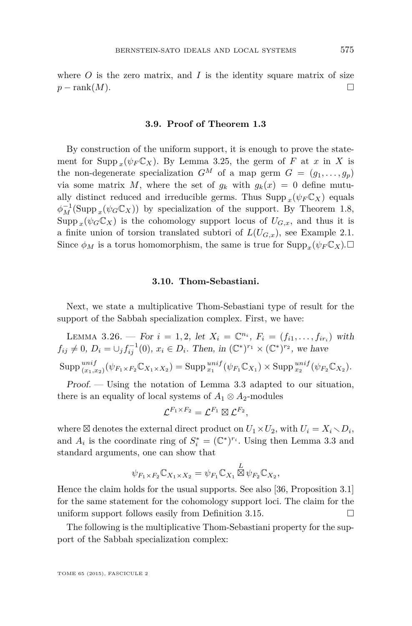<span id="page-27-0"></span>where  $O$  is the zero matrix, and  $I$  is the identity square matrix of size  $p - \text{rank}(M)$ .

# **3.9. Proof of Theorem [1.3](#page-5-0)**

By construction of the uniform support, it is enough to prove the statement for Supp  $_x(\psi_F \mathbb{C}_X)$ . By Lemma [3.25,](#page-26-0) the germ of *F* at *x* in *X* is the non-degenerate specialization  $G^M$  of a map germ  $G = (g_1, \ldots, g_p)$ via some matrix M, where the set of  $g_k$  with  $g_k(x) = 0$  define mutually distinct reduced and irreducible germs. Thus  $\text{Supp}_x(\psi_F \mathbb{C}_X)$  equals  $\phi_M^{-1}(\text{Supp}_x(\psi_G\mathbb{C}_X))$  by specialization of the support. By Theorem [1.8,](#page-6-0)  $\text{Supp } _{x}(\psi_{G}\mathbb{C}_{X})$  is the cohomology support locus of  $U_{G,x}$ , and thus it is a finite union of torsion translated subtori of  $L(U_{G,x})$ , see Example [2.1.](#page-12-0) Since  $\phi_M$  is a torus homomorphism, the same is true for  $\text{Supp}_x(\psi_F \mathbb{C}_X)$ .  $\Box$ 

#### **3.10. Thom-Sebastiani.**

Next, we state a multiplicative Thom-Sebastiani type of result for the support of the Sabbah specialization complex. First, we have:

LEMMA 3.26. — For  $i = 1, 2$ , let  $X_i = \mathbb{C}^{n_i}$ ,  $F_i = (f_{i1}, \ldots, f_{ir_i})$  with  $f_{ij} \neq 0, D_i = \bigcup_j f_{ij}^{-1}(0), x_i \in D_i$ . Then, in  $(\mathbb{C}^*)^{r_1} \times (\mathbb{C}^*)^{r_2}$ , we have  $\text{Supp} \, \lim_{(x_1,x_2)} (\psi_{F_1 \times F_2} \mathbb{C}_{X_1 \times X_2}) = \text{Supp} \, \lim_{x_1}^{unif} (\psi_{F_1} \mathbb{C}_{X_1}) \times \text{Supp} \, \lim_{x_2}^{unif} (\psi_{F_2} \mathbb{C}_{X_2}).$ 

Proof. — Using the notation of Lemma [3.3](#page-15-0) adapted to our situation, there is an equality of local systems of  $A_1 \otimes A_2$ -modules

$$
\mathcal{L}^{F_1 \times F_2} = \mathcal{L}^{F_1} \boxtimes \mathcal{L}^{F_2},
$$

where  $\boxtimes$  denotes the external direct product on  $U_1 \times U_2$ , with  $U_i = X_i \setminus D_i$ , and  $A_i$  is the coordinate ring of  $S_i^* = (\mathbb{C}^*)^{r_i}$ . Using then Lemma [3.3](#page-15-0) and standard arguments, one can show that

$$
\psi_{F_1 \times F_2} \mathbb{C}_{X_1 \times X_2} = \psi_{F_1} \mathbb{C}_{X_1} \boxtimes \psi_{F_2} \mathbb{C}_{X_2},
$$

Hence the claim holds for the usual supports. See also [\[36,](#page-54-0) Proposition 3.1] for the same statement for the cohomology support loci. The claim for the uniform support follows easily from Definition [3.15.](#page-19-0)

The following is the multiplicative Thom-Sebastiani property for the support of the Sabbah specialization complex: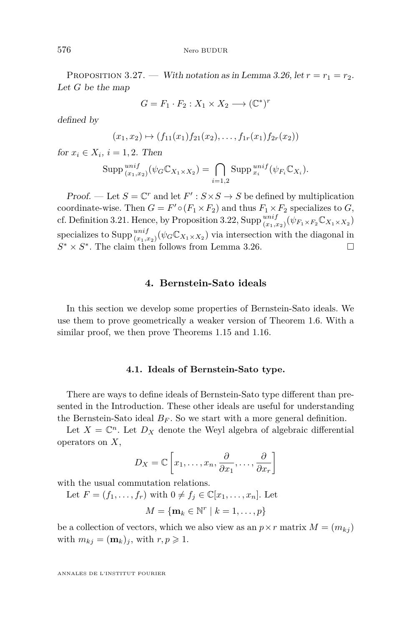<span id="page-28-0"></span>PROPOSITION 3.27. — With notation as in Lemma [3.26,](#page-27-0) let  $r = r_1 = r_2$ . Let *G* be the map

$$
G = F_1 \cdot F_2 : X_1 \times X_2 \longrightarrow (\mathbb{C}^*)^r
$$

defined by

$$
(x_1,x_2)\mapsto (f_{11}(x_1)f_{21}(x_2),\ldots,f_{1r}(x_1)f_{2r}(x_2))
$$

for  $x_i \in X_i$ ,  $i = 1, 2$ . Then

$$
\mathrm{Supp} \, \underset{(x_1,x_2)}{unif} \, (\psi_G \mathbb{C}_{X_1 \times X_2}) = \bigcap_{i=1,2} \mathrm{Supp} \, \underset{x_i}{unif} \, (\psi_{F_i} \mathbb{C}_{X_i}).
$$

Proof. — Let  $S = \mathbb{C}^r$  and let  $F' : S \times S \to S$  be defined by multiplication coordinate-wise. Then  $G = F' \circ (F_1 \times F_2)$  and thus  $F_1 \times F_2$  specializes to  $G$ , cf. Definition [3.21.](#page-23-0) Hence, by Proposition [3.22,](#page-24-0)  $\text{Supp}\frac{unif}{(x_1,x_2)}(\psi_{F_1\times F_2}\mathbb{C}_{X_1\times X_2})$ specializes to  $\text{Supp}\frac{unif}{(x_1,x_2)}(\psi_G\mathbb{C}_{X_1\times X_2})$  via intersection with the diagonal in  $S^* \times S^*$ . The claim then follows from Lemma [3.26.](#page-27-0)

# **4. Bernstein-Sato ideals**

In this section we develop some properties of Bernstein-Sato ideals. We use them to prove geometrically a weaker version of Theorem [1.6.](#page-5-0) With a similar proof, we then prove Theorems [1.15](#page-9-0) and [1.16.](#page-10-0)

#### **4.1. Ideals of Bernstein-Sato type.**

There are ways to define ideals of Bernstein-Sato type different than presented in the Introduction. These other ideals are useful for understanding the Bernstein-Sato ideal  $B_F$ . So we start with a more general definition.

Let  $X = \mathbb{C}^n$ . Let  $D_X$  denote the Weyl algebra of algebraic differential operators on *X*,

$$
D_X = \mathbb{C}\left[x_1, \dots, x_n, \frac{\partial}{\partial x_1}, \dots, \frac{\partial}{\partial x_r}\right]
$$

with the usual commutation relations.

Let  $F = (f_1, \ldots, f_r)$  with  $0 \neq f_j \in \mathbb{C}[x_1, \ldots, x_n]$ . Let

$$
M = \{ \mathbf{m}_k \in \mathbb{N}^r \mid k = 1, \dots, p \}
$$

be a collection of vectors, which we also view as an  $p \times r$  matrix  $M = (m_{kj})$ with  $m_{kj} = (\mathbf{m}_k)_j$ , with  $r, p \geq 1$ .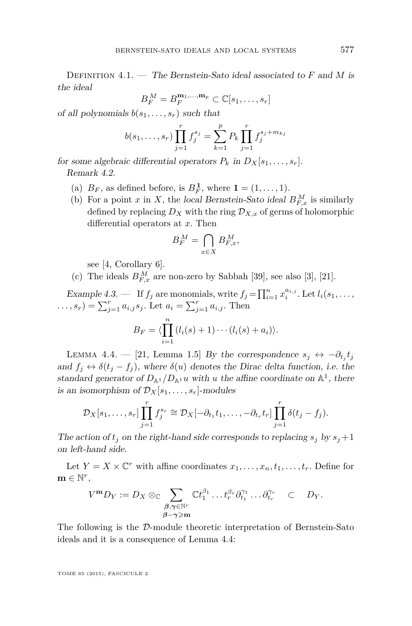Definition 4.1. — The Bernstein-Sato ideal associated to *F* and *M* is the ideal

$$
B_F^M = B_F^{\mathbf{m}_1,\dots,\mathbf{m}_p} \subset \mathbb{C}[s_1,\dots,s_r]
$$

of all polynomials  $b(s_1, \ldots, s_r)$  such that

$$
b(s_1, \ldots, s_r) \prod_{j=1}^r f_j^{s_j} = \sum_{k=1}^p P_k \prod_{j=1}^r f_j^{s_j + m_{kj}}
$$

for some algebraic differential operators  $P_k$  in  $D_X[s_1, \ldots, s_r]$ . Remark 4.2.

- (a)  $B_F$ , as defined before, is  $B_F^1$ , where  $\mathbf{1} = (1, \ldots, 1)$ .
- (b) For a point *x* in *X*, the local Bernstein-Sato ideal  $B_{F,x}^M$  is similarly defined by replacing  $D_X$  with the ring  $\mathcal{D}_{X,x}$  of germs of holomorphic differential operators at *x*. Then

$$
B_F^M = \bigcap_{x \in X} B_{F,x}^M,
$$

see [\[4,](#page-53-0) Corollary 6].

(c) The ideals  $B_{F,x}^M$  are non-zero by Sabbah [\[39\]](#page-54-0), see also [\[3\]](#page-53-0), [\[21\]](#page-53-0).

Example 4.3.  $\qquad$  If  $f_j$  are monomials, write  $f_j = \prod_{i=1}^n x_i^{a_{i,j}}$ . Let  $l_i(s_1, \ldots,$  $(i...s_r) = \sum_{j=1}^r a_{i,j} s_j$ . Let  $a_i = \sum_{j=1}^r a_{i,j}$ . Then

$$
B_F = \langle \prod_{i=1}^n (l_i(s) + 1) \cdots (l_i(s) + a_i) \rangle.
$$

LEMMA 4.4. — [\[21,](#page-53-0) Lemma 1.5] By the correspondence  $s_j \leftrightarrow -\partial_{t_j} t_j$ and  $f_j \leftrightarrow \delta(t_j - f_j)$ , where  $\delta(u)$  denotes the Dirac delta function, i.e. the standard generator of  $D_{\mathbb{A}^1}/D_{\mathbb{A}^1}u$  with *u* the affine coordinate on  $\mathbb{A}^1$ , there is an isomorphism of  $\mathcal{D}_X[s_1, \ldots, s_r]$ -modules

$$
\mathcal{D}_X[s_1,\ldots,s_r]\prod_{j=1}^r f_j^{s_r} \cong \mathcal{D}_X[-\partial_{t_1}t_1,\ldots,-\partial_{t_r}t_r]\prod_{j=1}^r \delta(t_j-f_j).
$$

The action of  $t_j$  on the right-hand side corresponds to replacing  $s_j$  by  $s_j + 1$ on left-hand side.

Let  $Y = X \times \mathbb{C}^r$  with affine coordinates  $x_1, \ldots, x_n, t_1, \ldots, t_r$ . Define for  $\mathbf{m} \in \mathbb{N}^r$ ,

$$
V^{\mathbf{m}}D_Y := D_X \otimes_{\mathbb{C}} \sum_{\substack{\beta, \gamma \in \mathbb{N}^r \\ \beta - \gamma \geqslant \mathbf{m}}} \mathbb{C} t_1^{\beta_1} \dots t_r^{\beta_r} \partial_{t_1}^{\gamma_1} \dots \partial_{t_r}^{\gamma_r} \quad \subset \quad D_Y.
$$

The following is the D-module theoretic interpretation of Bernstein-Sato ideals and it is a consequence of Lemma 4.4: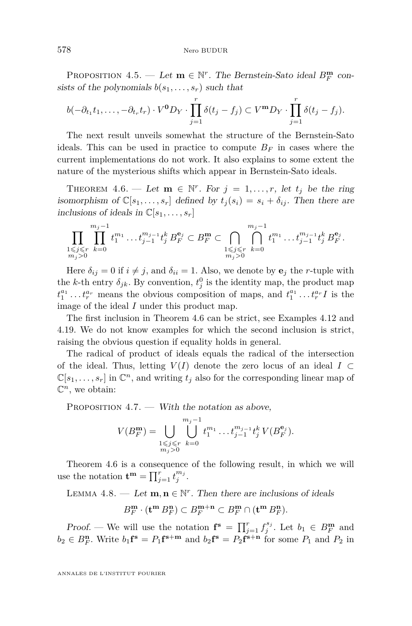<span id="page-30-0"></span>PROPOSITION 4.5. — Let  $\mathbf{m} \in \mathbb{N}^r$ . The Bernstein-Sato ideal  $B_F^{\mathbf{m}}$  consists of the polynomials  $b(s_1, \ldots, s_r)$  such that

$$
b(-\partial_{t_1}t_1,\ldots,-\partial_{t_r}t_r)\cdot V^{\mathbf{0}}D_Y\cdot\prod_{j=1}^r\delta(t_j-f_j)\subset V^{\mathbf{m}}D_Y\cdot\prod_{j=1}^r\delta(t_j-f_j).
$$

The next result unveils somewhat the structure of the Bernstein-Sato ideals. This can be used in practice to compute  $B_F$  in cases where the current implementations do not work. It also explains to some extent the nature of the mysterious shifts which appear in Bernstein-Sato ideals.

THEOREM 4.6. — Let  $\mathbf{m} \in \mathbb{N}^r$ . For  $j = 1, \ldots, r$ , let  $t_j$  be the ring isomorphism of  $\mathbb{C}[s_1,\ldots,s_r]$  defined by  $t_i(s_i) = s_i + \delta_{ij}$ . Then there are inclusions of ideals in  $\mathbb{C}[s_1,\ldots,s_r]$ 

$$
\prod_{\substack{1 \leqslant j \leqslant r \\ m_j > 0}} \prod_{k=0}^{m_j-1} t_1^{m_1} \dots t_{j-1}^{m_j-1} t_j^k \, B_F^{\mathbf{e}_j} \subset B_F^{\mathbf{m}} \subset \bigcap_{\substack{1 \leqslant j \leqslant r \\ m_j > 0}} \bigcap_{k=0}^{m_j-1} t_1^{m_1} \dots t_{j-1}^{m_j-1} t_j^k \, B_F^{\mathbf{e}_j}.
$$

Here  $\delta_{ij} = 0$  if  $i \neq j$ , and  $\delta_{ii} = 1$ . Also, we denote by  $\mathbf{e}_j$  the *r*-tuple with the *k*-th entry  $\delta_{jk}$ . By convention,  $t_j^0$  is the identity map, the product map  $t_1^{a_1} \ldots t_r^{a_r}$  means the obvious composition of maps, and  $t_1^{a_1} \ldots t_r^{a_r} I$  is the image of the ideal *I* under this product map.

The first inclusion in Theorem 4.6 can be strict, see Examples [4.12](#page-32-0) and [4.19.](#page-33-0) We do not know examples for which the second inclusion is strict, raising the obvious question if equality holds in general.

The radical of product of ideals equals the radical of the intersection of the ideal. Thus, letting  $V(I)$  denote the zero locus of an ideal  $I \subset$  $\mathbb{C}[s_1,\ldots,s_r]$  in  $\mathbb{C}^n$ , and writing  $t_j$  also for the corresponding linear map of  $\mathbb{C}^n$ , we obtain:

PROPOSITION  $4.7.$  — With the notation as above,

$$
V(B_F^{\mathbf{m}}) = \bigcup_{\substack{1 \le j \le r \\ m_j > 0}} \bigcup_{k=0}^{m_j - 1} t_1^{m_1} \dots t_{j-1}^{m_{j-1}} t_j^k V(B_F^{\mathbf{e}_j}).
$$

Theorem 4.6 is a consequence of the following result, in which we will use the notation  $\mathbf{t}^{\mathbf{m}} = \prod_{j=1}^{r} t_j^{m_j}$ .

LEMMA  $4.8.$  — Let  $\mathbf{m}, \mathbf{n} \in \mathbb{N}^r$ . Then there are inclusions of ideals

$$
B_F^{\mathbf{m}} \cdot ({\mathbf t}^{\mathbf m} \, B_F^{\mathbf n}) \subset B_F^{{\mathbf m}+{\mathbf n}} \subset B_F^{\mathbf m} \cap ({\mathbf t}^{\mathbf m} \, B_F^{\mathbf n}).
$$

Proof. — We will use the notation  $\mathbf{f}^s = \prod_{j=1}^r f_j^{s_j}$ . Let  $b_1 \in B_F^{\mathbf{m}}$  and  $b_2 \in B_F^n$ . Write  $b_1 \mathbf{f}^s = P_1 \mathbf{f}^{s+m}$  and  $b_2 \mathbf{f}^s = P_2 \mathbf{f}^{s+n}$  for some  $P_1$  and  $P_2$  in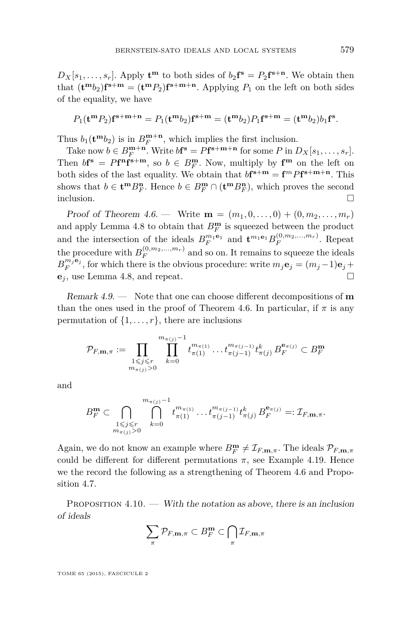<span id="page-31-0"></span> $D_X[s_1, \ldots, s_r]$ . Apply  $\mathbf{t}^{\mathbf{m}}$  to both sides of  $b_2 \mathbf{f}^{\mathbf{s}} = P_2 \mathbf{f}^{\mathbf{s}+\mathbf{n}}$ . We obtain then that  $(\mathbf{t}^{\mathbf{m}}b_2)\mathbf{f}^{\mathbf{s}+\mathbf{m}} = (\mathbf{t}^{\mathbf{m}}P_2)\mathbf{f}^{\mathbf{s}+\mathbf{m}+\mathbf{n}}$ . Applying  $P_1$  on the left on both sides of the equality, we have

$$
P_1(\mathbf{t}^{\mathbf{m}} P_2)\mathbf{f}^{\mathbf{s}+\mathbf{m}+\mathbf{n}} = P_1(\mathbf{t}^{\mathbf{m}} b_2)\mathbf{f}^{\mathbf{s}+\mathbf{m}} = (\mathbf{t}^{\mathbf{m}} b_2)P_1\mathbf{f}^{\mathbf{s}+\mathbf{m}} = (\mathbf{t}^{\mathbf{m}} b_2) b_1\mathbf{f}^{\mathbf{s}}.
$$

Thus  $b_1(\mathbf{t}^{\mathbf{m}}b_2)$  is in  $B_F^{\mathbf{m}+\mathbf{n}}$ , which implies the first inclusion.

Take now  $b \in B_F^{\mathbf{m}+\mathbf{n}}$ . Write  $b\mathbf{f}^{\mathbf{s}} = P\mathbf{f}^{\mathbf{s}+\mathbf{m}+\mathbf{n}}$  for some P in  $D_X[s_1, \ldots, s_r]$ . Then  $bf^s = Pf^n f^{s+m}$ , so  $b \in B_F^m$ . Now, multiply by  $f^m$  on the left on both sides of the last equality. We obtain that  $b$ **f**<sup>s+m</sup> = **f**<sup>*m*</sup>*P***f**<sup>s+m+n</sup>. This shows that  $b \in \mathbf{t}^m B_F^n$ . Hence  $b \in B_F^m \cap (\mathbf{t}^m B_F^n)$ , which proves the second inclusion.  $\Box$ 

Proof of Theorem [4.6.](#page-30-0) — Write  $\mathbf{m} = (m_1, 0, \dots, 0) + (0, m_2, \dots, m_r)$ and apply Lemma [4.8](#page-30-0) to obtain that  $B_F^{\mathbf{m}}$  is squeezed between the product and the intersection of the ideals  $B_F^{m_1e_1}$  and  $\mathbf{t}^{m_1e_1}B_F^{(0,m_2,...,m_r)}$ . Repeat the procedure with  $B_F^{(0,m_2,...,m_r)}$  and so on. It remains to squeeze the ideals  $B_F^{m_j \mathbf{e}_j}$ , for which there is the obvious procedure: write  $m_j \mathbf{e}_j = (m_j - 1)\mathbf{e}_j +$ **e***<sup>j</sup>* , use Lemma [4.8,](#page-30-0) and repeat.

Remark 4.9. — Note that one can choose different decompositions of **m** than the ones used in the proof of Theorem [4.6.](#page-30-0) In particular, if  $\pi$  is any permutation of  $\{1, \ldots, r\}$ , there are inclusions

$$
\mathcal{P}_{F,\mathbf{m},\pi} := \prod_{\substack{1 \le j \le r \\ m_{\pi(j)} > 0}} \prod_{k=0}^{m_{\pi(j)} - 1} t_{\pi(1)}^{m_{\pi(1)}} \dots t_{\pi(j-1)}^{m_{\pi(j-1)}} t_{\pi(j)}^k B_F^{\mathbf{e}_{\pi(j)}} \subset B_F^{\mathbf{m}}
$$

and

$$
B_F^{\mathbf{m}} \subset \bigcap_{\substack{1 \leq j \leq r \\ m_{\pi(j)} > 0}} \bigcap_{k=0}^{m_{\pi(j)}-1} t_{\pi(1)}^{m_{\pi(1)}} \dots t_{\pi(j-1)}^{m_{\pi(j-1)}} t_{\pi(j)}^k B_F^{\mathbf{e}_{\pi(j)}} =: \mathcal{I}_{F, \mathbf{m}, \pi}.
$$

Again, we do not know an example where  $B_F^{\mathbf{m}} \neq \mathcal{I}_{F,\mathbf{m},\pi}$ . The ideals  $\mathcal{P}_{F,\mathbf{m},\pi}$ could be different for different permutations  $\pi$ , see Example [4.19.](#page-33-0) Hence we the record the following as a strengthening of Theorem [4.6](#page-30-0) and Proposition [4.7.](#page-30-0)

PROPOSITION  $4.10.$  — With the notation as above, there is an inclusion of ideals

$$
\sum_{\pi} \mathcal{P}_{F, \mathbf{m}, \pi} \subset B_F^{\mathbf{m}} \subset \bigcap_{\pi} \mathcal{I}_{F, \mathbf{m}, \pi}
$$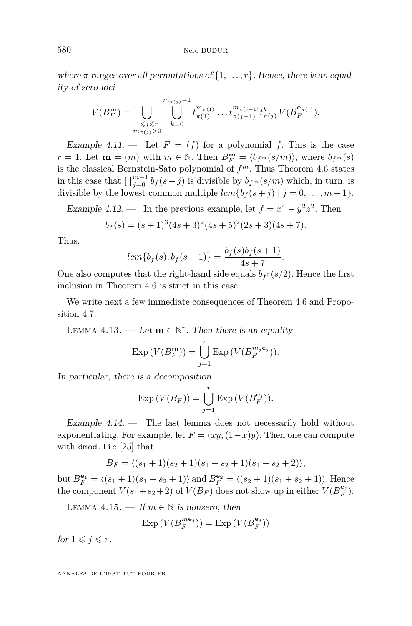<span id="page-32-0"></span>where  $\pi$  ranges over all permutations of  $\{1, \ldots, r\}$ . Hence, there is an equality of zero loci

$$
V(B_F^{\mathbf{m}}) = \bigcup_{\substack{1 \leq j \leq r \\ m_{\pi(j)} > 0}} \bigcup_{k=0}^{m_{\pi(j)} - 1} t_{\pi(1)}^{m_{\pi(1)}} \dots t_{\pi(j-1)}^{m_{\pi(j-1)}} t_{\pi(j)}^k V(B_F^{\mathbf{e}_{\pi(j)}}).
$$

Example 4.11.  $\qquad$  Let  $F = (f)$  for a polynomial f. This is the case *r* = 1. Let **m** = (*m*) with  $m \in \mathbb{N}$ . Then  $B_F^{\mathbf{m}} = \langle b_{f^m}(s/m) \rangle$ , where  $b_{f^m}(s)$ is the classical Bernstein-Sato polynomial of *f <sup>m</sup>*. Thus Theorem [4.6](#page-30-0) states in this case that  $\prod_{j=0}^{m-1} b_j(s+j)$  is divisible by  $b_{f^m}(s/m)$  which, in turn, is divisible by the lowest common multiple  $lcm{b<sub>f</sub>(s+j) | j = 0, ..., m-1}$ .

Example 4.12. — In the previous example, let  $f = x^4 - y^2z^2$ . Then

$$
b_f(s) = (s+1)^3(4s+3)^2(4s+5)^2(2s+3)(4s+7).
$$

Thus,

$$
lcm{bf(s), bf(s+1)} = {bf(s)bf(s+1) \over 4s+7}.
$$

One also computes that the right-hand side equals  $b_f(z)(z)$ . Hence the first inclusion in Theorem [4.6](#page-30-0) is strict in this case.

We write next a few immediate consequences of Theorem [4.6](#page-30-0) and Proposition [4.7.](#page-30-0)

LEMMA 4.13. — Let  $\mathbf{m} \in \mathbb{N}^r$ . Then there is an equality

$$
\operatorname{Exp}\left(V(B_{F}^{\mathbf{m}})\right)=\bigcup_{j=1}^{r}\operatorname{Exp}\left(V(B_{F}^{m_{j}\mathbf{e}_{j}})\right).
$$

In particular, there is a decomposition

$$
\operatorname{Exp}\left(V(B_F)\right) = \bigcup_{j=1}^r \operatorname{Exp}\left(V(B_F^{\mathbf{e}_j})\right).
$$

Example  $4.14.$  — The last lemma does not necessarily hold without exponentiating. For example, let  $F = (xy, (1-x)y)$ . Then one can compute with dmod.lib [\[25\]](#page-54-0) that

$$
B_F = \langle (s_1 + 1)(s_2 + 1)(s_1 + s_2 + 1)(s_1 + s_2 + 2) \rangle,
$$

but  $B_F^{\mathbf{e}_1} = \langle (s_1 + 1)(s_1 + s_2 + 1) \rangle$  and  $B_F^{\mathbf{e}_2} = \langle (s_2 + 1)(s_1 + s_2 + 1) \rangle$ . Hence the component  $V(s_1 + s_2 + 2)$  of  $V(B_F)$  does not show up in either  $V(B_F^{\mathbf{e}_j})$ .

LEMMA 4.15. — If  $m \in \mathbb{N}$  is nonzero, then

$$
\mathrm{Exp}\left(V(B_{F}^{{m} \mathbf{e}_j})\right) = \mathrm{Exp}\left(V(B_{F}^{\mathbf{e}_j})\right)
$$

for  $1 \leqslant j \leqslant r$ .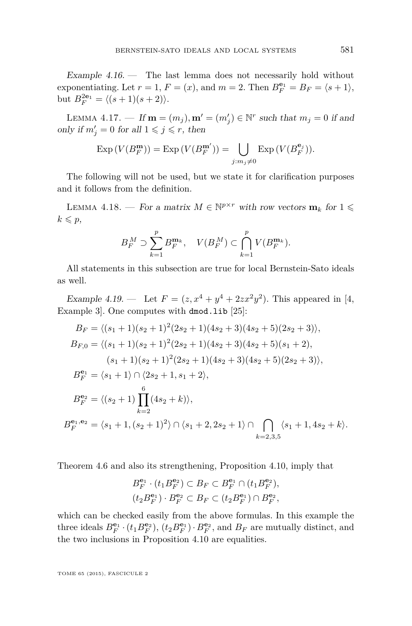<span id="page-33-0"></span>Example  $4.16.$  — The last lemma does not necessarily hold without exponentiating. Let  $r = 1$ ,  $F = (x)$ , and  $m = 2$ . Then  $B_F^{\mathbf{e}_1} = B_F = \langle s + 1 \rangle$ , but  $B_F^{2\mathbf{e}_1} = \langle (s+1)(s+2) \rangle.$ 

LEMMA 4.17. — If  $\mathbf{m} = (m_j), \mathbf{m}' = (m'_j) \in \mathbb{N}^r$  such that  $m_j = 0$  if and only if  $m'_j = 0$  for all  $1 \leq j \leq r$ , then

$$
\operatorname{Exp}\left(V(B_F^{\mathbf{m}})\right) = \operatorname{Exp}\left(V(B_F^{\mathbf{m}'})\right) = \bigcup_{j:m_j \neq 0} \operatorname{Exp}\left(V(B_F^{\mathbf{e}_j})\right).
$$

The following will not be used, but we state it for clarification purposes and it follows from the definition.

LEMMA 4.18. — For a matrix  $M \in \mathbb{N}^{p \times r}$  with row vectors  $\mathbf{m}_k$  for  $1 \leq$  $k \leqslant p$ ,

$$
B_F^M \supset \sum_{k=1}^p B_F^{\mathbf{m}_k}, \quad V(B_F^M) \subset \bigcap_{k=1}^p V(B_F^{\mathbf{m}_k}).
$$

All statements in this subsection are true for local Bernstein-Sato ideals as well.

Example 4.19. — Let  $F = (z, x^4 + y^4 + 2zx^2y^2)$ . This appeared in [\[4,](#page-53-0) Example 3]. One computes with dmod.lib [\[25\]](#page-54-0):

$$
B_F = \langle (s_1 + 1)(s_2 + 1)^2 (2s_2 + 1)(4s_2 + 3)(4s_2 + 5)(2s_2 + 3) \rangle,
$$
  
\n
$$
B_{F,0} = \langle (s_1 + 1)(s_2 + 1)^2 (2s_2 + 1)(4s_2 + 3)(4s_2 + 5)(s_1 + 2),
$$
  
\n
$$
(s_1 + 1)(s_2 + 1)^2 (2s_2 + 1)(4s_2 + 3)(4s_2 + 5)(2s_2 + 3) \rangle,
$$
  
\n
$$
B_F^{e_1} = \langle s_1 + 1 \rangle \cap \langle 2s_2 + 1, s_1 + 2 \rangle,
$$
  
\n
$$
B_F^{e_2} = \langle (s_2 + 1) \prod_{k=2}^{6} (4s_2 + k) \rangle,
$$
  
\n
$$
B_F^{e_1, e_2} = \langle s_1 + 1, (s_2 + 1)^2 \rangle \cap \langle s_1 + 2, 2s_2 + 1 \rangle \cap \bigcap_{k=2,3,5} \langle s_1 + 1, 4s_2 + k \rangle.
$$

Theorem [4.6](#page-30-0) and also its strengthening, Proposition [4.10,](#page-31-0) imply that

$$
\begin{aligned} B_F^{\mathbf{e}_1} \cdot (t_1 B_F^{\mathbf{e}_2}) \subset B_F \subset B_F^{\mathbf{e}_1} \cap (t_1 B_F^{\mathbf{e}_2}), \\ (t_2 B_F^{\mathbf{e}_1}) \cdot B_F^{\mathbf{e}_2} \subset B_F \subset (t_2 B_F^{\mathbf{e}_1}) \cap B_F^{\mathbf{e}_2}, \end{aligned}
$$

which can be checked easily from the above formulas. In this example the three ideals  $B_F^{\mathbf{e}_1} \cdot (t_1 B_F^{\mathbf{e}_2})$ ,  $(t_2 B_F^{\mathbf{e}_1}) \cdot B_F^{\mathbf{e}_2}$ , and  $B_F$  are mutually distinct, and the two inclusions in Proposition [4.10](#page-31-0) are equalities.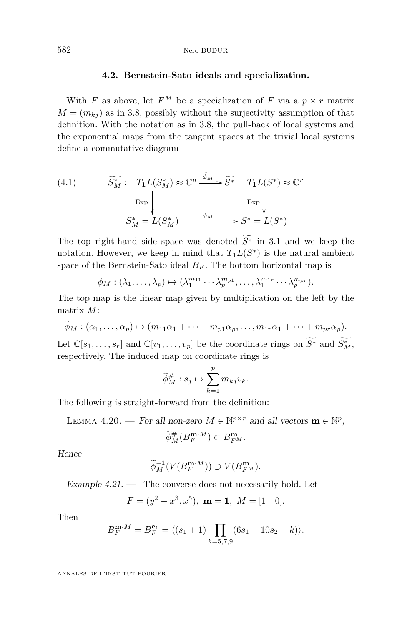# **4.2. Bernstein-Sato ideals and specialization.**

<span id="page-34-0"></span>With *F* as above, let  $F^M$  be a specialization of *F* via a  $p \times r$  matrix  $M = (m_{ki})$  as in [3.8,](#page-23-0) possibly without the surjectivity assumption of that definition. With the notation as in [3.8,](#page-23-0) the pull-back of local systems and the exponential maps from the tangent spaces at the trivial local systems define a commutative diagram

(4.1) 
$$
\widetilde{S_M^*} := T_1 L(S_M^*) \approx \mathbb{C}^p \xrightarrow{\widetilde{\phi}_M} \widetilde{S^*} = T_1 L(S^*) \approx \mathbb{C}^r
$$

$$
\xrightarrow{\text{Exp}} \downarrow \qquad \qquad \xrightarrow{\text{Exp}} \downarrow
$$

$$
S_M^* = L(S_M^*) \xrightarrow{\phi_M} S^* = L(S^*)
$$

The top right-hand side space was denoted  $\widetilde{S^*}$  in [3.1](#page-14-0) and we keep the notation. However, we keep in mind that  $T_1L(S^*)$  is the natural ambient space of the Bernstein-Sato ideal  $B_F$ . The bottom horizontal map is

$$
\phi_M : (\lambda_1, \ldots, \lambda_p) \mapsto (\lambda_1^{m_{11}} \cdots \lambda_p^{m_{p1}}, \ldots, \lambda_1^{m_{1r}} \cdots \lambda_p^{m_{pr}}).
$$

The top map is the linear map given by multiplication on the left by the matrix *M*:

$$
\phi_M : (\alpha_1, \ldots, \alpha_p) \mapsto (m_{11}\alpha_1 + \cdots + m_{p1}\alpha_p, \ldots, m_{1r}\alpha_1 + \cdots + m_{pr}\alpha_p).
$$

Let  $\mathbb{C}[s_1,\ldots,s_r]$  and  $\mathbb{C}[v_1,\ldots,v_p]$  be the coordinate rings on  $\widetilde{S^*}$  and  $\widetilde{S^*_{M}}$ , respectively. The induced map on coordinate rings is

$$
\widetilde{\phi}_M^{\#}: s_j \mapsto \sum_{k=1}^p m_{kj} v_k.
$$

The following is straight-forward from the definition:

LEMMA 4.20. — For all non-zero  $M \in \mathbb{N}^{p \times r}$  and all vectors  $\mathbf{m} \in \mathbb{N}^p$ ,

$$
\widetilde{\phi}^{\#}_{M}(B^{\mathbf{m}\cdot M}_{F}) \subset B^{\mathbf{m}}_{F^M}.
$$

Hence

 $\overline{a}$ 

$$
\widetilde{\phi}_M^{-1}(V(B_F^{\mathbf{m}\cdot M})) \supset V(B_{F^M}^{\mathbf{m}}).
$$

Example  $4.21.$  — The converse does not necessarily hold. Let

$$
F = (y^2 - x^3, x^5), \mathbf{m} = 1, M = [1 \ 0].
$$

Then

$$
B_F^{\mathbf{m}\cdot M} = B_F^{\mathbf{e}_1} = \langle (s_1 + 1) \prod_{k=5,7,9} (6s_1 + 10s_2 + k) \rangle.
$$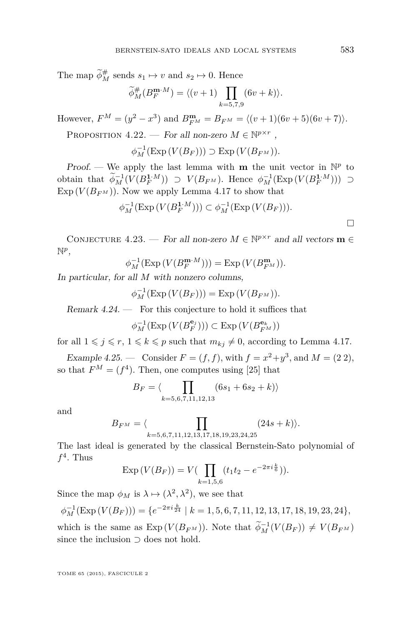<span id="page-35-0"></span>The map  $\widetilde{\phi}_M^{\#}$  sends  $s_1 \mapsto v$  and  $s_2 \mapsto 0$ . Hence

$$
\widetilde{\phi}_M^{\#}(B_F^{\mathbf{m}\cdot M}) = \langle (v+1) \prod_{k=5,7,9} (6v+k) \rangle.
$$

However,  $F^M = (y^2 - x^3)$  and  $B_{F^M}^m = B_{F^M} = \langle (v+1)(6v+5)(6v+7) \rangle$ .

PROPOSITION 4.22. — For all non-zero  $M \in \mathbb{N}^{p \times r}$ ,

$$
\phi_M^{-1}(\mathrm{Exp}\left(V(B_F)\right)) \supset \mathrm{Exp}\left(V(B_{F^M})\right).
$$

Proof. — We apply the last lemma with **m** the unit vector in  $\mathbb{N}^p$  to obtain that  $\widetilde{\phi}_M^{-1}(V(B_F^{1:M})) \supset V(B_{FM})$ . Hence  $\phi_M^{-1}(\text{Exp}(V(B_F^{1:M}))) \supset$  $\text{Exp}(V(B_{FM}))$ . Now we apply Lemma [4.17](#page-33-0) to show that

$$
\phi_M^{-1}(\mathrm{Exp}\left(V(B_F^{1\cdot M})\right)) \subset \phi_M^{-1}(\mathrm{Exp}\left(V(B_F)\right)).
$$

CONJECTURE 4.23. — For all non-zero  $M \in \mathbb{N}^{p \times r}$  and all vectors  $\mathbf{m} \in$ N *p* ,

$$
\phi_M^{-1}(\mathrm{Exp}\left(V(B_F^{\mathbf{m}\cdot M})\right)) = \mathrm{Exp}\left(V(B_{F^M}^{\mathbf{m}})\right).
$$

In particular, for all *M* with nonzero columns,

$$
\phi_M^{-1}(\mathrm{Exp}\left(V(B_F)\right)) = \mathrm{Exp}\left(V(B_{F^M})\right).
$$

Remark  $4.24.$  — For this conjecture to hold it suffices that

$$
\phi_M^{-1}(\mathrm{Exp}\left(V(B_F^{\mathbf{e}_j})\right)) \subset \mathrm{Exp}\left(V(B_{F^M}^{\mathbf{e}_k})\right)
$$

for all  $1 \leq j \leq r$ ,  $1 \leq k \leq p$  such that  $m_{kj} \neq 0$ , according to Lemma [4.17.](#page-33-0)

Example 4.25. — Consider  $F = (f, f)$ , with  $f = x^2 + y^3$ , and  $M = (2\ 2)$ , so that  $F^M = (f^4)$ . Then, one computes using [\[25\]](#page-54-0) that

$$
B_F = \langle \prod_{k=5,6,7,11,12,13} (6s_1 + 6s_2 + k) \rangle
$$

and

$$
B_{F^M} = \langle \prod_{k=5,6,7,11,12,13,17,18,19,23,24,25} (24s+k) \rangle.
$$

The last ideal is generated by the classical Bernstein-Sato polynomial of  $f^4$ . Thus

$$
\operatorname{Exp}\left(V(B_F)\right) = V\left(\prod_{k=1,5,6} (t_1 t_2 - e^{-2\pi i \frac{k}{6}})\right).
$$

Since the map  $\phi_M$  is  $\lambda \mapsto (\lambda^2, \lambda^2)$ , we see that

$$
\phi_M^{-1}(\mathrm{Exp}\left(V(B_F\right))) = \{e^{-2\pi i \frac{k}{24}} \mid k = 1, 5, 6, 7, 11, 12, 13, 17, 18, 19, 23, 24\},\
$$

which is the same as  $\text{Exp}(V(B_{FM}))$ . Note that  $\widetilde{\phi}_M^{-1}(V(B_F)) \neq V(B_{FM})$ since the inclusion ⊃ does not hold.

TOME 65 (2015), FASCICULE 2

 $\Box$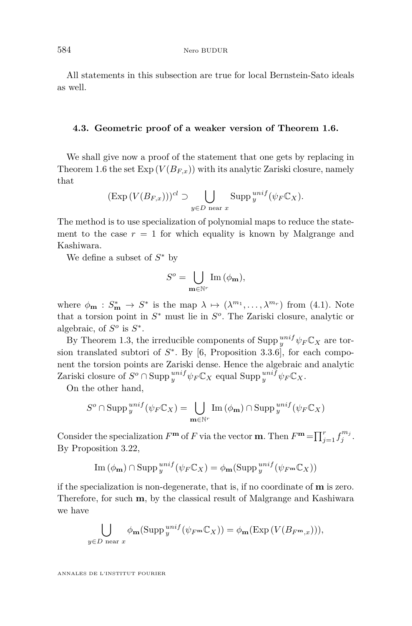<span id="page-36-0"></span>All statements in this subsection are true for local Bernstein-Sato ideals as well.

# **4.3. Geometric proof of a weaker version of Theorem [1.6.](#page-5-0)**

We shall give now a proof of the statement that one gets by replacing in Theorem [1.6](#page-5-0) the set  $Exp(V(B_{F,x}))$  with its analytic Zariski closure, namely that

$$
(\text{Exp}\left(V(B_{F,x})\right))^{cl} \supset \bigcup_{y \in D \text{ near } x} \text{Supp }_{y}^{unif}(\psi_F \mathbb{C}_X).
$$

The method is to use specialization of polynomial maps to reduce the statement to the case  $r = 1$  for which equality is known by Malgrange and Kashiwara.

We define a subset of *S* <sup>∗</sup> by

$$
S^{o} = \bigcup_{\mathbf{m} \in \mathbb{N}^{r}} \operatorname{Im} (\phi_{\mathbf{m}}),
$$

where  $\phi_{\mathbf{m}} : S_{\mathbf{m}}^* \to S^*$  is the map  $\lambda \mapsto (\lambda^{m_1}, \dots, \lambda^{m_r})$  from [\(4.1\)](#page-34-0). Note that a torsion point in  $S^*$  must lie in  $S^o$ . The Zariski closure, analytic or algebraic, of  $S^o$  is  $S^*$ .

By Theorem [1.3,](#page-5-0) the irreducible components of  $\text{Supp }_{y}^{unif} \psi_F \mathbb{C}_X$  are torsion translated subtori of  $S^*$ . By [\[6,](#page-53-0) Proposition 3.3.6], for each component the torsion points are Zariski dense. Hence the algebraic and analytic Zariski closure of  $S^o \cap \text{Supp }^{unif}_{y} \psi_F \mathbb{C}_X$  equal  $\text{Supp }^{unif}_{y} \psi_F \mathbb{C}_X$ .

On the other hand,

$$
S^{o}\cap \mathrm{Supp}\,_{y}^{unif}(\psi_{F}\mathbb{C}_{X})=\bigcup_{\mathbf{m}\in\mathbb{N}^{r}}\mathrm{Im}\,(\phi_{\mathbf{m}})\cap \mathrm{Supp}\,_{y}^{unif}(\psi_{F}\mathbb{C}_{X})
$$

Consider the specialization  $F^{\mathbf{m}}$  of  $F$  via the vector **m**. Then  $F^{\mathbf{m}} = \prod_{j=1}^{r} f_j^{m_j}$ . By Proposition [3.22,](#page-24-0)

Im 
$$
(\phi_{\mathbf{m}})
$$
  $\cap$  Supp  $_{y}^{unif}(\psi_{F}\mathbb{C}_{X}) = \phi_{\mathbf{m}}(\text{Supp }_{y}^{unif}(\psi_{F^{\mathbf{m}}}\mathbb{C}_{X}))$ 

if the specialization is non-degenerate, that is, if no coordinate of **m** is zero. Therefore, for such **m**, by the classical result of Malgrange and Kashiwara we have

$$
\bigcup_{y \in D \text{ near } x} \phi_{\mathbf{m}}(\text{Supp }^{unif}_{y}(\psi_{F^{\mathbf{m}}} \mathbb{C}_X)) = \phi_{\mathbf{m}}(\text{Exp}(V(B_{F^{\mathbf{m}},x}))),
$$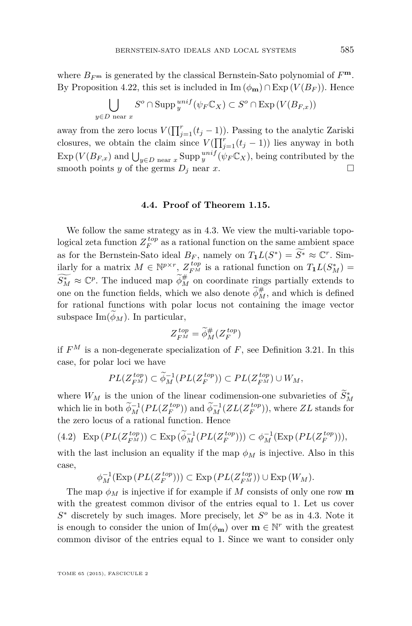<span id="page-37-0"></span>where  $B_{F^m}$  is generated by the classical Bernstein-Sato polynomial of  $F^m$ . By Proposition [4.22,](#page-35-0) this set is included in Im  $(\phi_{\mathbf{m}}) \cap \text{Exp}(V(B_F))$ . Hence

$$
\bigcup_{y \in D \text{ near } x} S^o \cap \text{Supp }_{y}^{unif} (\psi_F \mathbb{C}_X) \subset S^o \cap \text{Exp}(V(B_{F,x}))
$$

away from the zero locus  $V(\prod_{j=1}^r(t_j-1))$ . Passing to the analytic Zariski closures, we obtain the claim since  $V(\prod_{j=1}^{r}(t_j-1))$  lies anyway in both  $\exp(V(B_{F,x})$  and  $\bigcup_{y \in D} \text{max } x \text{ } \text{Supp } y^{unif}(\psi_F \mathbb{C}_X)$ , being contributed by the smooth points *y* of the germs  $D_j$  near *x*.

#### **4.4. Proof of Theorem [1.15.](#page-9-0)**

We follow the same strategy as in [4.3.](#page-36-0) We view the multi-variable topological zeta function  $Z_F^{top}$  as a rational function on the same ambient space as for the Bernstein-Sato ideal  $B_F$ , namely on  $T_1L(S^*) = \widetilde{S^*} \approx \mathbb{C}^r$ . Similarly for a matrix  $M \in \mathbb{N}^{p \times r}$ ,  $Z_{F^M}^{top}$  is a rational function on  $T_1L(S_M^*)$  $\widetilde{S_M^*} \approx \mathbb{C}^p$ . The induced map  $\widetilde{\phi}_M^{\#}$  on coordinate rings partially extends to one on the function fields, which we also denote  $\widetilde{\phi}_{M}^{\#}$ , and which is defined for rational functions with polar locus not containing the image vector subspace  $\text{Im}(\phi_M)$ . In particular,

$$
Z_{F^M}^{top} = \widetilde{\phi}_M^{\#}(Z_F^{top})
$$

if  $F^M$  is a non-degenerate specialization of  $F$ , see Definition [3.21.](#page-23-0) In this case, for polar loci we have

$$
PL(Z_{F^M}^{top}) \subset \widetilde{\phi}_M^{-1}(PL(Z_F^{top})) \subset PL(Z_{F^M}^{top}) \cup W_M,
$$

where  $W_M$  is the union of the linear codimension-one subvarieties of  $\widetilde{S}_M^*$ which lie in both  $\widetilde{\phi}_M^{-1}(PL(Z_F^{top}))$  and  $\widetilde{\phi}_M^{-1}(ZL(Z_F^{top}))$ , where  $ZL$  stands for the zero locus of a rational function. Hence

(4.2) 
$$
\operatorname{Exp}\left( PL(Z_{F^M}^{top}) \right) \subset \operatorname{Exp}\left( \widetilde{\phi}_M^{-1}(PL(Z_F^{top})) \right) \subset \phi_M^{-1}(\operatorname{Exp}\left( PL(Z_F^{top}) \right)),
$$

with the last inclusion an equality if the map  $\phi_M$  is injective. Also in this case,

$$
\phi_M^{-1}(\mathrm{Exp}\left( PL(Z_F^{top}) \right)) \subset \mathrm{Exp}\left( PL(Z_{F^M}^{top}) \right) \cup \mathrm{Exp}\left( W_M \right).
$$

The map  $\phi_M$  is injective if for example if M consists of only one row **m** with the greatest common divisor of the entries equal to 1. Let us cover *S* <sup>∗</sup> discretely by such images. More precisely, let *S <sup>o</sup>* be as in [4.3.](#page-36-0) Note it is enough to consider the union of  $\text{Im}(\phi_{\mathbf{m}})$  over  $\mathbf{m} \in \mathbb{N}^r$  with the greatest common divisor of the entries equal to 1. Since we want to consider only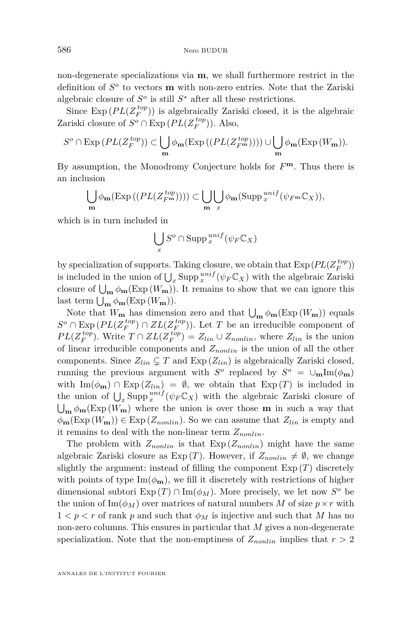non-degenerate specializations via **m**, we shall furthermore restrict in the definition of  $S^o$  to vectors **m** with non-zero entries. Note that the Zariski algebraic closure of  $S^o$  is still  $S^*$  after all these restrictions.

Since  $\text{Exp}(PL(Z_F^{top}))$  is algebraically Zariski closed, it is the algebraic Zariski closure of  $S^o \cap \text{Exp}(PL(Z_F^{top}))$ . Also,

$$
S^{o} \cap \operatorname{Exp}\left(PL(Z_{F}^{top})\right) \subset \bigcup_{\mathbf{m}} \phi_{\mathbf{m}}(\operatorname{Exp}\left((PL(Z_{F^{\mathbf{m}}}^{top}))\right)) \cup \bigcup_{\mathbf{m}} \phi_{\mathbf{m}}(\operatorname{Exp}\left(W_{\mathbf{m}}\right)).
$$

By assumption, the Monodromy Conjecture holds for  $F^{\mathbf{m}}$ . Thus there is an inclusion

$$
\bigcup_{\mathbf{m}} \phi_{\mathbf{m}}(\mathrm{Exp}\left((PL(Z_{F^{\mathbf{m}}}^{top}))\right)) \subset \bigcup_{\mathbf{m}} \bigcup_{x} \phi_{\mathbf{m}}(\mathrm{Supp}\,_{x}^{unif}(\psi_{F^{\mathbf{m}}} \mathbb{C}_{X})),
$$

which is in turn included in

$$
\bigcup_{x} S^{o} \cap \operatorname{Supp} \, {}^{unif}_{x}(\psi_{F} \mathbb{C}_{X})
$$

by specialization of supports. Taking closure, we obtain that  $\text{Exp}(PL(Z_F^{top}))$ is included in the union of  $\bigcup_{x} \text{Supp}^{unif}_{x}(\psi_F \mathbb{C}_X)$  with the algebraic Zariski closure of  $\bigcup_{\mathbf{m}} \phi_{\mathbf{m}}(\text{Exp}(W_{\mathbf{m}}))$ . It remains to show that we can ignore this last term  $\bigcup_{\mathbf{m}} \phi_{\mathbf{m}}(\text{Exp}(W_{\mathbf{m}})).$ 

Note that  $W_{\mathbf{m}}$  has dimension zero and that  $\bigcup_{\mathbf{m}} \phi_{\mathbf{m}}(\text{Exp}(W_{\mathbf{m}}))$  equals *S*<sup>*o*</sup> ∩ Exp ( $PL(Z_F^{top})$  ∩  $ZL(Z_F^{top})$ ). Let *T* be an irreducible component of *PL*( $Z_F^{top}$ ). Write  $T \cap ZL(Z_F^{top}) = Z_{lin} \cup Z_{nonlin}$ , where  $Z_{lin}$  is the union of linear irreducible components and *Znonlin* is the union of all the other components. Since  $Z_{lin} \subsetneq T$  and  $Exp(Z_{lin})$  is algebraically Zariski closed, running the previous argument with  $S^o$  replaced by  $S^o = \cup_m \text{Im}(\phi_m)$ with  $\text{Im}(\phi_{\mathbf{m}}) \cap \text{Exp}(Z_{lin}) = \emptyset$ , we obtain that  $\text{Exp}(T)$  is included in the union of  $\bigcup_{x} \text{Supp}_x^{unif}(\psi_F \mathbb{C}_X)$  with the algebraic Zariski closure of  $\bigcup_{\mathbf{m}} \phi_{\mathbf{m}}(\text{Exp}(W_{\mathbf{m}}))$  where the union is over those **m** in such a way that  $\phi_{\mathbf{m}}(\text{Exp}(W_{\mathbf{m}})) \in \text{Exp}(Z_{nonlin})$ . So we can assume that  $Z_{lin}$  is empty and it remains to deal with the non-linear term *Znonlin*.

The problem with  $Z_{nonlin}$  is that  $Exp(Z_{nonlin})$  might have the same algebraic Zariski closure as  $Exp(T)$ . However, if  $Z_{nonlin} \neq \emptyset$ , we change slightly the argument: instead of filling the component  $Exp(T)$  discretely with points of type  $\text{Im}(\phi_{\mathbf{m}})$ , we fill it discretely with restrictions of higher dimensional subtori  $\text{Exp}(T) \cap \text{Im}(\phi_M)$ . More precisely, we let now  $S^o$  be the union of  $\text{Im}(\phi_M)$  over matrices of natural numbers M of size  $p \times r$  with  $1 < p < r$  of rank p and such that  $\phi_M$  is injective and such that M has no non-zero columns. This ensures in particular that *M* gives a non-degenerate specialization. Note that the non-emptiness of  $Z_{nonlin}$  implies that  $r > 2$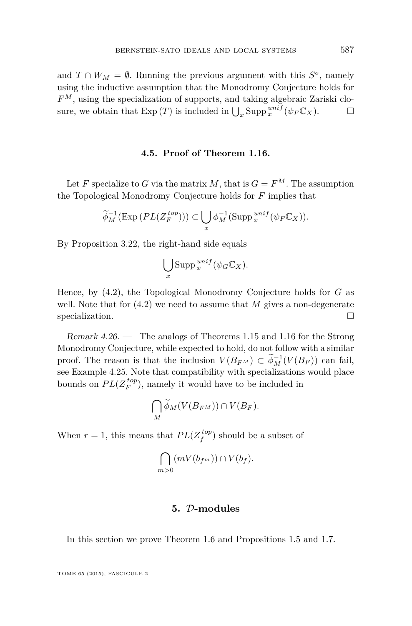<span id="page-39-0"></span>and  $T \cap W_M = \emptyset$ . Running the previous argument with this  $S^o$ , namely using the inductive assumption that the Monodromy Conjecture holds for *F <sup>M</sup>*, using the specialization of supports, and taking algebraic Zariski closure, we obtain that  $\text{Exp}(T)$  is included in  $\bigcup_x \text{Supp}_x^{unif}(\psi_F \mathbb{C}_X)$ .

#### **4.5. Proof of Theorem [1.16.](#page-10-0)**

Let *F* specialize to *G* via the matrix *M*, that is  $G = F^M$ . The assumption the Topological Monodromy Conjecture holds for *F* implies that

$$
\widetilde{\phi}_M^{-1}(\mathrm{Exp}\left(PL(Z_F^{top})\right)) \subset \bigcup_{x} \phi_M^{-1}(\mathrm{Supp}_x^{unif}(\psi_F \mathbb{C}_X)).
$$

By Proposition [3.22,](#page-24-0) the right-hand side equals

$$
\bigcup_{x} \mathrm{Supp} \, {}^{unif}_{x}(\psi_{G} \mathbb{C}_{X}).
$$

Hence, by [\(4.2\)](#page-37-0), the Topological Monodromy Conjecture holds for *G* as well. Note that for  $(4.2)$  we need to assume that M gives a non-degenerate specialization.

Remark 4.26. — The analogs of Theorems [1.15](#page-9-0) and [1.16](#page-10-0) for the Strong Monodromy Conjecture, while expected to hold, do not follow with a similar proof. The reason is that the inclusion  $V(B_{F^M}) \subset \widetilde{\phi}_M^{-1}(V(B_F))$  can fail, see Example [4.25.](#page-35-0) Note that compatibility with specializations would place bounds on  $PL(Z_F^{top})$ , namely it would have to be included in

$$
\bigcap_{M}\widetilde{\phi}_M(V(B_{F^M}))\cap V(B_F).
$$

When  $r = 1$ , this means that  $PL(Z_f^{top})$  should be a subset of

$$
\bigcap_{m>0} (mV(b_{f^m})) \cap V(b_f).
$$

# **5.** D**-modules**

In this section we prove Theorem [1.6](#page-5-0) and Propositions [1.5](#page-5-0) and [1.7.](#page-5-0)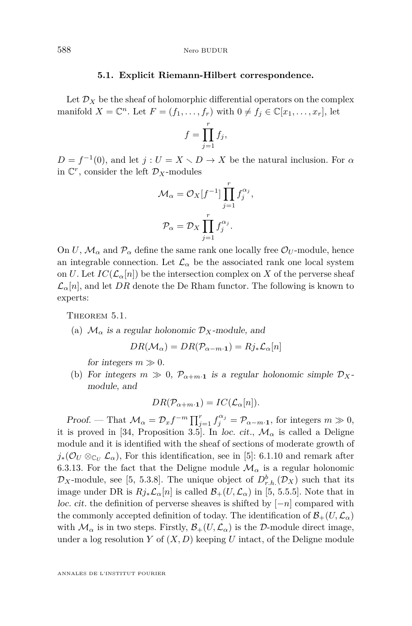#### **5.1. Explicit Riemann-Hilbert correspondence.**

<span id="page-40-0"></span>Let  $\mathcal{D}_X$  be the sheaf of holomorphic differential operators on the complex manifold  $X = \mathbb{C}^n$ . Let  $F = (f_1, \ldots, f_r)$  with  $0 \neq f_j \in \mathbb{C}[x_1, \ldots, x_r]$ , let

$$
f=\prod_{j=1}^r f_j,
$$

 $D = f^{-1}(0)$ , and let  $j: U = X \setminus D \to X$  be the natural inclusion. For *α* in  $\mathbb{C}^r$ , consider the left  $\mathcal{D}_X$ -modules

$$
\mathcal{M}_{\alpha} = \mathcal{O}_X[f^{-1}] \prod_{j=1}^r f_j^{\alpha_j},
$$

$$
\mathcal{P}_{\alpha} = \mathcal{D}_X \prod_{j=1}^r f_j^{\alpha_j}.
$$

On *U*,  $\mathcal{M}_{\alpha}$  and  $\mathcal{P}_{\alpha}$  define the same rank one locally free  $\mathcal{O}_U$ -module, hence an integrable connection. Let  $\mathcal{L}_{\alpha}$  be the associated rank one local system on *U*. Let  $IC(\mathcal{L}_{\alpha}[n])$  be the intersection complex on X of the perverse sheaf  $\mathcal{L}_{\alpha}[n]$ , and let *DR* denote the De Rham functor. The following is known to experts:

THEOREM 5.1.

(a)  $\mathcal{M}_{\alpha}$  is a regular holonomic  $\mathcal{D}_X$ -module, and

$$
DR(\mathcal{M}_{\alpha}) = DR(\mathcal{P}_{\alpha-m\cdot 1}) = Rj_* \mathcal{L}_{\alpha}[n]
$$

for integers  $m \gg 0$ .

(b) For integers  $m \gg 0$ ,  $\mathcal{P}_{\alpha+m}$ **1** is a regular holonomic simple  $\mathcal{D}_X$ module, and

$$
DR(\mathcal{P}_{\alpha+m\cdot 1}) = IC(\mathcal{L}_{\alpha}[n]).
$$

Proof. — That  $\mathcal{M}_{\alpha} = \mathcal{D}_x f^{-m} \prod_{j=1}^r f_j^{\alpha_j} = \mathcal{P}_{\alpha-m \cdot \mathbf{1}}$ , for integers  $m \gg 0$ , it is proved in [\[34,](#page-54-0) Proposition 3.5]. In loc. cit.,  $\mathcal{M}_{\alpha}$  is called a Deligne module and it is identified with the sheaf of sections of moderate growth of  $j_*(\mathcal{O}_U \otimes_{\mathbb{C}_U} \mathcal{L}_\alpha)$ , For this identification, see in [\[5\]](#page-53-0): 6.1.10 and remark after 6.3.13. For the fact that the Deligne module  $\mathcal{M}_{\alpha}$  is a regular holonomic  $\mathcal{D}_X$ -module, see [\[5,](#page-53-0) 5.3.8]. The unique object of  $D^b_{r.h.}(\mathcal{D}_X)$  such that its image under DR is  $Rj_*\mathcal{L}_\alpha[n]$  is called  $\mathcal{B}_+(U,\mathcal{L}_\alpha)$  in [\[5,](#page-53-0) 5.5.5]. Note that in loc. cit. the definition of perverse sheaves is shifted by [−*n*] compared with the commonly accepted definition of today. The identification of  $\mathcal{B}_+(U,\mathcal{L}_\alpha)$ with  $\mathcal{M}_{\alpha}$  is in two steps. Firstly,  $\mathcal{B}_{+}(U,\mathcal{L}_{\alpha})$  is the D-module direct image, under a log resolution *Y* of  $(X, D)$  keeping *U* intact, of the Deligne module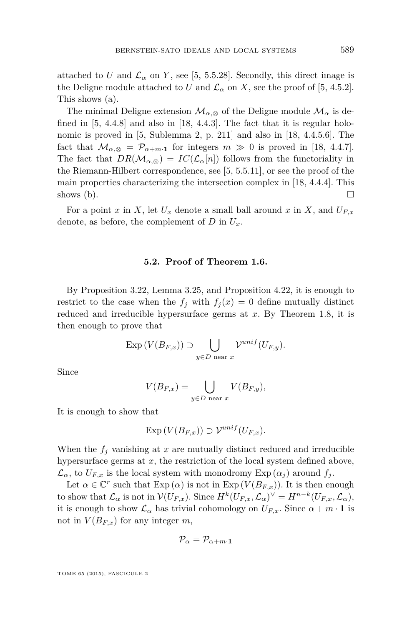attached to *U* and  $\mathcal{L}_{\alpha}$  on *Y*, see [\[5,](#page-53-0) 5.5.28]. Secondly, this direct image is the Deligne module attached to *U* and  $\mathcal{L}_{\alpha}$  on *X*, see the proof of [\[5,](#page-53-0) 4.5.2]. This shows (a).

The minimal Deligne extension  $\mathcal{M}_{\alpha,\otimes}$  of the Deligne module  $\mathcal{M}_{\alpha}$  is defined in [\[5,](#page-53-0) 4.4.8] and also in [\[18,](#page-53-0) 4.4.3]. The fact that it is regular holonomic is proved in [\[5,](#page-53-0) Sublemma 2, p. 211] and also in [\[18,](#page-53-0) 4.4.5.6]. The fact that  $\mathcal{M}_{\alpha,\otimes} = \mathcal{P}_{\alpha+m\cdot 1}$  for integers  $m \gg 0$  is proved in [\[18,](#page-53-0) 4.4.7]. The fact that  $DR(\mathcal{M}_{\alpha,\otimes}) = IC(\mathcal{L}_{\alpha}[n])$  follows from the functoriality in the Riemann-Hilbert correspondence, see [\[5,](#page-53-0) 5.5.11], or see the proof of the main properties characterizing the intersection complex in [\[18,](#page-53-0) 4.4.4]. This shows (b).  $\Box$ 

For a point x in X, let  $U_x$  denote a small ball around x in X, and  $U_{F,x}$ denote, as before, the complement of  $D$  in  $U_x$ .

#### **5.2. Proof of Theorem [1.6.](#page-5-0)**

By Proposition [3.22,](#page-24-0) Lemma [3.25,](#page-26-0) and Proposition [4.22,](#page-35-0) it is enough to restrict to the case when the  $f_i$  with  $f_i(x) = 0$  define mutually distinct reduced and irreducible hypersurface germs at *x*. By Theorem [1.8,](#page-6-0) it is then enough to prove that

$$
\operatorname{Exp}\left(V(B_{F,x})\right) \supset \bigcup_{y \in D \text{ near } x} \mathcal{V}^{unif}(U_{F,y}).
$$

Since

$$
V(B_{F,x}) = \bigcup_{y \in D \text{ near } x} V(B_{F,y}),
$$

It is enough to show that

$$
\operatorname{Exp}\left(V(B_{F,x})\right) \supset \mathcal{V}^{unif}(U_{F,x}).
$$

When the  $f_j$  vanishing at  $x$  are mutually distinct reduced and irreducible hypersurface germs at *x*, the restriction of the local system defined above,  $\mathcal{L}_{\alpha}$ , to  $U_{F,x}$  is the local system with monodromy Exp  $(\alpha_i)$  around  $f_i$ .

Let  $\alpha \in \mathbb{C}^r$  such that  $\text{Exp}(\alpha)$  is not in  $\text{Exp}(V(B_{F,x}))$ . It is then enough to show that  $\mathcal{L}_{\alpha}$  is not in  $\mathcal{V}(U_{F,x})$ . Since  $H^k(U_{F,x}, \mathcal{L}_{\alpha})^{\vee} = H^{n-k}(U_{F,x}, \mathcal{L}_{\alpha})$ , it is enough to show  $\mathcal{L}_{\alpha}$  has trivial cohomology on  $U_{F,x}$ . Since  $\alpha + m \cdot \mathbf{1}$  is not in  $V(B_{F,x})$  for any integer *m*,

$$
\mathcal{P}_{\alpha}=\mathcal{P}_{\alpha+m\cdot\mathbf{1}}
$$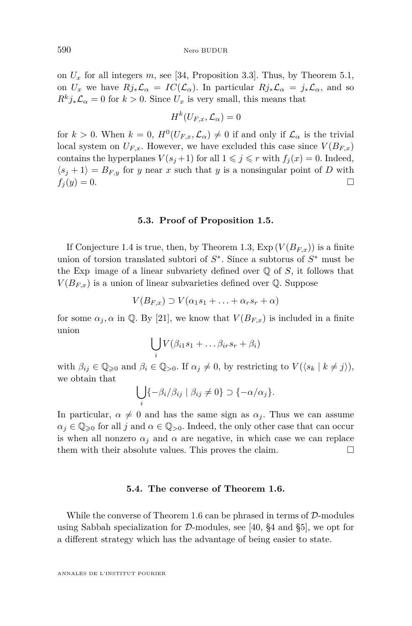on  $U_x$  for all integers  $m$ , see [\[34,](#page-54-0) Proposition 3.3]. Thus, by Theorem [5.1,](#page-40-0) on  $U_x$  we have  $Rj_*\mathcal{L}_\alpha = IC(\mathcal{L}_\alpha)$ . In particular  $Rj_*\mathcal{L}_\alpha = j_*\mathcal{L}_\alpha$ , and so  $R^k j_* \mathcal{L}_\alpha = 0$  for  $k > 0$ . Since  $U_x$  is very small, this means that

$$
H^k(U_{F,x},{\mathcal L}_\alpha)=0
$$

for  $k > 0$ . When  $k = 0$ ,  $H^0(U_{F,x}, \mathcal{L}_{\alpha}) \neq 0$  if and only if  $\mathcal{L}_{\alpha}$  is the trivial local system on  $U_{F,x}$ . However, we have excluded this case since  $V(B_{F,x})$ contains the hyperplanes  $V(s_j + 1)$  for all  $1 \leq j \leq r$  with  $f_j(x) = 0$ . Indeed,  $\langle s_j + 1 \rangle = B_{F,y}$  for *y* near *x* such that *y* is a nonsingular point of *D* with  $f_j(y) = 0.$ 

#### **5.3. Proof of Proposition [1.5.](#page-5-0)**

If Conjecture [1.4](#page-5-0) is true, then, by Theorem [1.3,](#page-5-0)  $Exp(V(B_{F,x}))$  is a finite union of torsion translated subtori of *S* ∗ . Since a subtorus of *S* <sup>∗</sup> must be the Exp image of a linear subvariety defined over  $\mathbb Q$  of  $S$ , it follows that  $V(B_{F,x})$  is a union of linear subvarieties defined over  $\mathbb{Q}$ . Suppose

$$
V(B_{F,x}) \supset V(\alpha_1 s_1 + \ldots + \alpha_r s_r + \alpha)
$$

for some  $\alpha_j$ ,  $\alpha$  in Q. By [\[21\]](#page-53-0), we know that  $V(B_{F,x})$  is included in a finite union

$$
\bigcup_i V(\beta_{i1} s_1 + \dots \beta_{ir} s_r + \beta_i)
$$

with  $\beta_{ij} \in \mathbb{Q}_{\geqslant 0}$  and  $\beta_i \in \mathbb{Q}_{>0}$ . If  $\alpha_j \neq 0$ , by restricting to  $V(\langle s_k | k \neq j \rangle)$ , we obtain that

$$
\bigcup_i \{-\beta_i/\beta_{ij} \mid \beta_{ij} \neq 0\} \supset \{-\alpha/\alpha_j\}.
$$

In particular,  $\alpha \neq 0$  and has the same sign as  $\alpha_j$ . Thus we can assume  $\alpha_j \in \mathbb{Q}_{\geqslant 0}$  for all *j* and  $\alpha \in \mathbb{Q}_{>0}$ . Indeed, the only other case that can occur is when all nonzero  $\alpha_j$  and  $\alpha$  are negative, in which case we can replace them with their absolute values. This proves the claim.  $\Box$ 

# **5.4. The converse of Theorem [1.6.](#page-5-0)**

While the converse of Theorem [1.6](#page-5-0) can be phrased in terms of  $D$ -modules using Sabbah specialization for  $\mathcal{D}$ -modules, see [\[40,](#page-54-0) §4 and §5], we opt for a different strategy which has the advantage of being easier to state.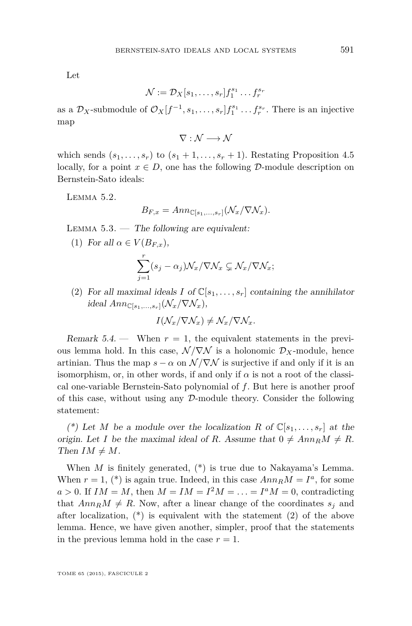<span id="page-43-0"></span>Let

$$
\mathcal{N} := \mathcal{D}_X[s_1, \ldots, s_r] f_1^{s_1} \ldots f_r^{s_r}
$$

as a  $\mathcal{D}_X$ -submodule of  $\mathcal{O}_X[f^{-1}, s_1, \ldots, s_r] f_1^{s_1} \ldots f_r^{s_r}$ . There is an injective map

 $\nabla: \mathcal{N} \longrightarrow \mathcal{N}$ 

which sends  $(s_1, \ldots, s_r)$  to  $(s_1 + 1, \ldots, s_r + 1)$ . Restating Proposition [4.5](#page-30-0) locally, for a point  $x \in D$ , one has the following D-module description on Bernstein-Sato ideals:

Lemma 5.2.

$$
B_{F,x} = Ann_{\mathbb{C}[s_1,\ldots,s_r]}(\mathcal{N}_x/\nabla \mathcal{N}_x).
$$

LEMMA  $5.3.$  — The following are equivalent:

(1) For all  $\alpha \in V(B_{F,x}),$ 

$$
\sum_{j=1}^r (s_j - \alpha_j) \mathcal{N}_x / \nabla \mathcal{N}_x \subsetneq \mathcal{N}_x / \nabla \mathcal{N}_x;
$$

(2) For all maximal ideals *I* of  $\mathbb{C}[s_1,\ldots,s_r]$  containing the annihilator  $ideal \, Ann_{\mathbb{C}[s_1,...,s_r]}(\mathcal{N}_x/\nabla \mathcal{N}_x),$ 

$$
I(\mathcal{N}_x/\nabla \mathcal{N}_x) \neq \mathcal{N}_x/\nabla \mathcal{N}_x.
$$

Remark  $5.4.$  — When  $r = 1$ , the equivalent statements in the previous lemma hold. In this case,  $\mathcal{N}/\nabla\mathcal{N}$  is a holonomic  $\mathcal{D}_X$ -module, hence artinian. Thus the map  $s - \alpha$  on  $\mathcal{N}/\nabla\mathcal{N}$  is surjective if and only if it is an isomorphism, or, in other words, if and only if  $\alpha$  is not a root of the classical one-variable Bernstein-Sato polynomial of *f*. But here is another proof of this case, without using any  $D$ -module theory. Consider the following statement:

(\*) Let *M* be a module over the localization *R* of  $\mathbb{C}[s_1,\ldots,s_r]$  at the origin. Let *I* be the maximal ideal of *R*. Assume that  $0 \neq Ann_R M \neq R$ . Then  $IM \neq M$ .

When *M* is finitely generated, (\*) is true due to Nakayama's Lemma. When  $r = 1$ , (\*) is again true. Indeed, in this case  $Ann_R M = I^a$ , for some  $a > 0$ . If  $IM = M$ , then  $M = IM = I^2M = \ldots = I^aM = 0$ , contradicting that  $Ann_R M \neq R$ . Now, after a linear change of the coordinates  $s_j$  and after localization,  $(*)$  is equivalent with the statement (2) of the above lemma. Hence, we have given another, simpler, proof that the statements in the previous lemma hold in the case  $r = 1$ .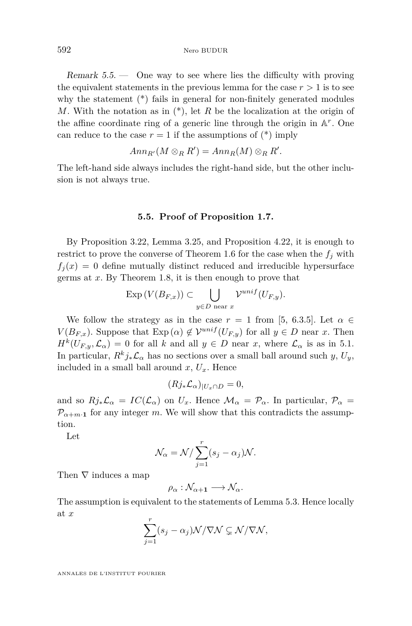Remark  $5.5.$  — One way to see where lies the difficulty with proving the equivalent statements in the previous lemma for the case  $r > 1$  is to see why the statement (\*) fails in general for non-finitely generated modules *M*. With the notation as in (\*), let *R* be the localization at the origin of the affine coordinate ring of a generic line through the origin in A *r* . One can reduce to the case  $r = 1$  if the assumptions of  $(*)$  imply

$$
Ann_{R'}(M\otimes_R R')=Ann_R(M)\otimes_R R'.
$$

The left-hand side always includes the right-hand side, but the other inclusion is not always true.

#### **5.5. Proof of Proposition [1.7.](#page-5-0)**

By Proposition [3.22,](#page-24-0) Lemma [3.25,](#page-26-0) and Proposition [4.22,](#page-35-0) it is enough to restrict to prove the converse of Theorem [1.6](#page-5-0) for the case when the  $f_j$  with  $f_j(x) = 0$  define mutually distinct reduced and irreducible hypersurface germs at *x*. By Theorem [1.8,](#page-6-0) it is then enough to prove that

$$
\operatorname{Exp}\left(V(B_{F,x})\right) \subset \bigcup_{y \in D \text{ near } x} \mathcal{V}^{unif}(U_{F,y}).
$$

We follow the strategy as in the case  $r = 1$  from [\[5,](#page-53-0) 6.3.5]. Let  $\alpha \in$ *V*( $B_{F,x}$ ). Suppose that Exp( $\alpha$ )  $\notin \mathcal{V}^{unif}(U_{F,y})$  for all  $y \in D$  near *x*. Then  $H^k(U_{F,y}, \mathcal{L}_{\alpha}) = 0$  for all *k* and all  $y \in D$  near *x*, where  $\mathcal{L}_{\alpha}$  is as in [5.1.](#page-40-0) In particular,  $R^k j_* \mathcal{L}_{\alpha}$  has no sections over a small ball around such *y*,  $U_y$ , included in a small ball around  $x, U_x$ . Hence

$$
(Rj_*\mathcal{L}_\alpha)_{|U_x \cap D} = 0,
$$

and so  $Rj_*\mathcal{L}_\alpha = IC(\mathcal{L}_\alpha)$  on  $U_x$ . Hence  $\mathcal{M}_\alpha = \mathcal{P}_\alpha$ . In particular,  $\mathcal{P}_\alpha =$  $\mathcal{P}_{\alpha+m}$ **t** for any integer *m*. We will show that this contradicts the assumption.

Let

$$
\mathcal{N}_{\alpha} = \mathcal{N} / \sum_{j=1}^{r} (s_j - \alpha_j) \mathcal{N}.
$$

Then  $\nabla$  induces a map

$$
\rho_\alpha:\mathcal{N}_{\alpha+1}\longrightarrow\mathcal{N}_{\alpha}.
$$

The assumption is equivalent to the statements of Lemma [5.3.](#page-43-0) Hence locally at *x*

$$
\sum_{j=1}^r (s_j - \alpha_j) \mathcal{N} / \nabla \mathcal{N} \subsetneq \mathcal{N} / \nabla \mathcal{N},
$$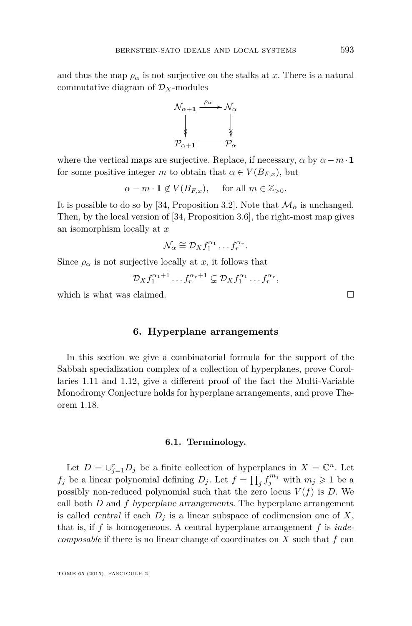<span id="page-45-0"></span>and thus the map  $\rho_{\alpha}$  is not surjective on the stalks at x. There is a natural commutative diagram of  $\mathcal{D}_X$ -modules



where the vertical maps are surjective. Replace, if necessary,  $\alpha$  by  $\alpha - m \cdot \mathbf{1}$ for some positive integer *m* to obtain that  $\alpha \in V(B_{F,x})$ , but

 $\alpha - m \cdot \mathbf{1} \notin V(B_{F,x}),$  for all  $m \in \mathbb{Z}_{>0}$ .

It is possible to do so by [\[34,](#page-54-0) Proposition 3.2]. Note that  $\mathcal{M}_{\alpha}$  is unchanged. Then, by the local version of [\[34,](#page-54-0) Proposition 3.6], the right-most map gives an isomorphism locally at *x*

$$
\mathcal{N}_{\alpha} \cong \mathcal{D}_X f_1^{\alpha_1} \dots f_r^{\alpha_r}.
$$

Since  $\rho_{\alpha}$  is not surjective locally at *x*, it follows that

$$
\mathcal{D}_X f_1^{\alpha_1+1} \dots f_r^{\alpha_r+1} \subsetneq \mathcal{D}_X f_1^{\alpha_1} \dots f_r^{\alpha_r},
$$

which is what was claimed.  $\square$ 

# **6. Hyperplane arrangements**

In this section we give a combinatorial formula for the support of the Sabbah specialization complex of a collection of hyperplanes, prove Corollaries [1.11](#page-8-0) and [1.12,](#page-8-0) give a different proof of the fact the Multi-Variable Monodromy Conjecture holds for hyperplane arrangements, and prove Theorem [1.18.](#page-10-0)

#### **6.1. Terminology.**

Let  $D = \bigcup_{j=1}^r D_j$  be a finite collection of hyperplanes in  $X = \mathbb{C}^n$ . Let *f<sub>j</sub>* be a linear polynomial defining  $D_j$ . Let  $f = \prod_j f_j^{m_j}$  with  $m_j \geq 1$  be a possibly non-reduced polynomial such that the zero locus  $V(f)$  is *D*. We call both *D* and *f* hyperplane arrangements. The hyperplane arrangement is called *central* if each  $D_j$  is a linear subspace of codimension one of  $X$ , that is, if *f* is homogeneous. A central hyperplane arrangement *f* is *indecomposable* if there is no linear change of coordinates on *X* such that *f* can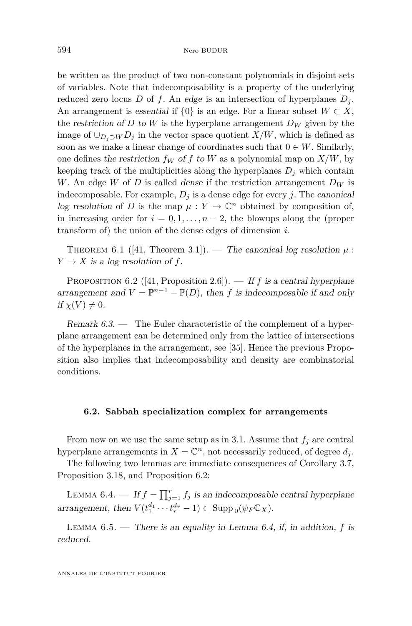<span id="page-46-0"></span>be written as the product of two non-constant polynomials in disjoint sets of variables. Note that indecomposability is a property of the underlying reduced zero locus *D* of *f*. An edge is an intersection of hyperplanes  $D_i$ . An arrangement is essential if  $\{0\}$  is an edge. For a linear subset  $W \subset X$ , the restriction of *D* to *W* is the hyperplane arrangement  $D_W$  given by the image of  $\cup_{D_i\supset W} D_j$  in the vector space quotient *X/W*, which is defined as soon as we make a linear change of coordinates such that  $0 \in W$ . Similarly, one defines the restriction  $f_W$  of  $f$  to  $W$  as a polynomial map on  $X/W$ , by keeping track of the multiplicities along the hyperplanes  $D_j$  which contain *W*. An edge *W* of *D* is called dense if the restriction arrangement *D<sup>W</sup>* is indecomposable. For example,  $D_i$  is a dense edge for every *j*. The canonical log resolution of *D* is the map  $\mu: Y \to \mathbb{C}^n$  obtained by composition of, in increasing order for  $i = 0, 1, \ldots, n-2$ , the blowups along the (proper transform of) the union of the dense edges of dimension *i*.

THEOREM 6.1 ([\[41,](#page-54-0) Theorem 3.1]). — The canonical log resolution  $\mu$ :  $Y \rightarrow X$  is a log resolution of f.

PROPOSITION 6.2 ([\[41,](#page-54-0) Proposition 2.6]). — If *f* is a central hyperplane arrangement and  $V = \mathbb{P}^{n-1} - \mathbb{P}(D)$ , then *f* is indecomposable if and only if  $\chi(V) \neq 0$ .

Remark 6.3. — The Euler characteristic of the complement of a hyperplane arrangement can be determined only from the lattice of intersections of the hyperplanes in the arrangement, see [\[35\]](#page-54-0). Hence the previous Proposition also implies that indecomposability and density are combinatorial conditions.

#### **6.2. Sabbah specialization complex for arrangements**

From now on we use the same setup as in [3.1.](#page-14-0) Assume that  $f_j$  are central hyperplane arrangements in  $X = \mathbb{C}^n$ , not necessarily reduced, of degree  $d_j$ .

The following two lemmas are immediate consequences of Corollary [3.7,](#page-16-0) Proposition [3.18,](#page-22-0) and Proposition 6.2:

LEMMA 6.4. — If  $f = \prod_{j=1}^r f_j$  is an indecomposable central hyperplane arrangement, then  $V(t_1^{d_1} \cdots t_r^{d_r} - 1) \subset \text{Supp}_0(\psi_F \mathbb{C}_X)$ .

LEMMA  $6.5.$  — There is an equality in Lemma  $6.4$ , if, in addition, f is reduced.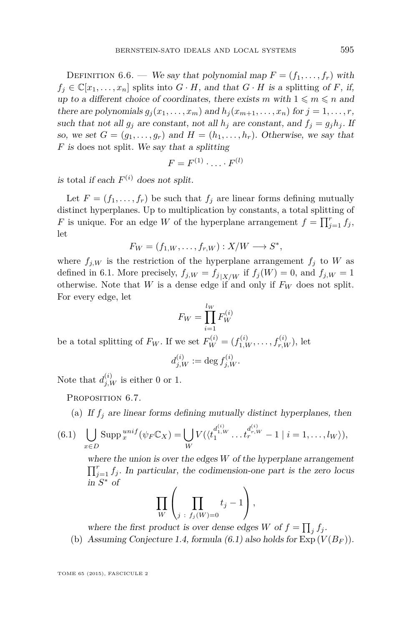<span id="page-47-0"></span>DEFINITION 6.6. — We say that polynomial map  $F = (f_1, \ldots, f_r)$  with  $f_i \in \mathbb{C}[x_1, \ldots, x_n]$  splits into  $G \cdot H$ , and that  $G \cdot H$  is a splitting of *F*, if, up to a different choice of coordinates, there exists *m* with  $1 \leq m \leq n$  and there are polynomials  $g_j(x_1, \ldots, x_m)$  and  $h_j(x_{m+1}, \ldots, x_n)$  for  $j = 1, \ldots, r$ , such that not all  $g_i$  are constant, not all  $h_j$  are constant, and  $f_j = g_j h_j$ . If so, we set  $G = (g_1, \ldots, g_r)$  and  $H = (h_1, \ldots, h_r)$ . Otherwise, we say that *F* is does not split. We say that a splitting

$$
F = F^{(1)} \cdot \ldots \cdot F^{(l)}
$$

is total if each  $F^{(i)}$  does not split.

Let  $F = (f_1, \ldots, f_r)$  be such that  $f_j$  are linear forms defining mutually distinct hyperplanes. Up to multiplication by constants, a total splitting of *F* is unique. For an edge *W* of the hyperplane arrangement  $f = \prod_{j=1}^{r} f_j$ , let

$$
F_W = (f_{1,W}, \ldots, f_{r,W}) : X/W \longrightarrow S^*,
$$

where  $f_{j,W}$  is the restriction of the hyperplane arrangement  $f_j$  to *W* as defined in [6.1.](#page-45-0) More precisely,  $f_{j,W} = f_{j|X/W}$  if  $f_j(W) = 0$ , and  $f_{j,W} = 1$ otherwise. Note that *W* is a dense edge if and only if  $F_W$  does not split. For every edge, let

$$
F_W = \prod_{i=1}^{l_W} F_W^{(i)}
$$

be a total splitting of  $F_W$ . If we set  $F_W^{(i)} = (f_{1,W}^{(i)}, \ldots, f_{r,W}^{(i)}),$  let

$$
d_{j,W}^{(i)} := \deg f_{j,W}^{(i)}.
$$

Note that  $d_{j,W}^{(i)}$  is either 0 or 1.

PROPOSITION 6.7.

(a) If  $f_i$  are linear forms defining mutually distinct hyperplanes, then

(6.1) 
$$
\bigcup_{x \in D} \text{Supp}_x^{unif}(\psi_F \mathbb{C}_X) = \bigcup_W V(\langle t_1^{d_{1,W}^{(i)}} \dots t_r^{d_{r,W}^{(i)}} - 1 \mid i = 1, \dots, l_W \rangle),
$$

where the union is over the edges *W* of the hyperplane arrangement  $\prod_{j=1}^r f_j$ . In particular, the codimension-one part is the zero locus in *S* <sup>∗</sup> of

$$
\prod_{W}\left(\prod_{j\;:\;f_j(W)=0}t_j-1\right),\,
$$

where the first product is over dense edges *W* of  $f = \prod_j f_j$ .

(b) Assuming Conjecture [1.4,](#page-5-0) formula  $(6.1)$  also holds for  $Exp(V(B_F))$ .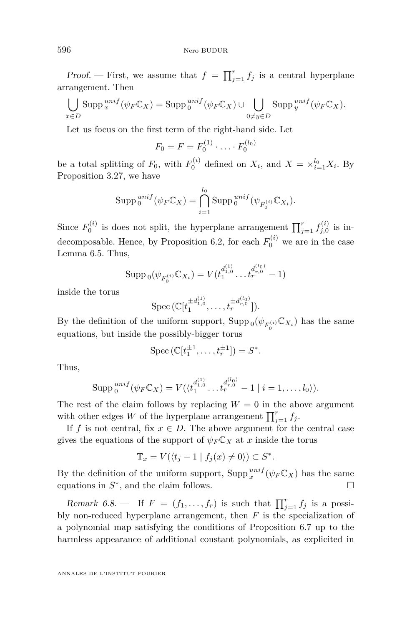<span id="page-48-0"></span>Proof. – First, we assume that  $f = \prod_{j=1}^r f_j$  is a central hyperplane arrangement. Then

$$
\bigcup_{x \in D} \operatorname{Supp}^{unif}_{x}(\psi_F \mathbb{C}_X) = \operatorname{Supp}^{unif}_{0}(\psi_F \mathbb{C}_X) \cup \bigcup_{0 \neq y \in D} \operatorname{Supp}^{unif}_{y}(\psi_F \mathbb{C}_X).
$$

Let us focus on the first term of the right-hand side. Let

$$
F_0 = F = F_0^{(1)} \cdot \ldots \cdot F_0^{(l_0)}
$$

be a total splitting of  $F_0$ , with  $F_0^{(i)}$  defined on  $X_i$ , and  $X = \times_{i=1}^{l_0} X_i$ . By Proposition [3.27,](#page-28-0) we have

$$
\operatorname{Supp}_{0}^{unif}(\psi_{F}\mathbb{C}_{X}) = \bigcap_{i=1}^{l_{0}} \operatorname{Supp}_{0}^{unif}(\psi_{F_{0}^{(i)}}\mathbb{C}_{X_{i}}).
$$

Since  $F_0^{(i)}$  is does not split, the hyperplane arrangement  $\prod_{j=1}^r f_{j,0}^{(i)}$  is in-decomposable. Hence, by Proposition [6.2,](#page-46-0) for each  $F_0^{(i)}$  we are in the case Lemma [6.5.](#page-46-0) Thus,

$$
\operatorname{Supp}_0(\psi_{F_0^{(i)}} \mathbb{C}_{X_i}) = V(t_1^{d_{1,0}^{(1)}} \dots t_r^{d_{r,0}^{(l_0)}} - 1)
$$

inside the torus

Spec 
$$
(\mathbb{C}[t_1^{\pm d_{1,0}^{(1)}}, \ldots, t_r^{\pm d_{r,0}^{(l_0)}}]).
$$

By the definition of the uniform support,  $\text{Supp}_0(\psi_{F_0^{(i)}} \mathbb{C}_{X_i})$  has the same equations, but inside the possibly-bigger torus

$$
\operatorname{Spec} (\mathbb{C}[t_1^{\pm 1}, \ldots, t_r^{\pm 1}]) = S^*.
$$

Thus,

$$
\operatorname{Supp}_{0}^{unif}(\psi_{F}\mathbb{C}_{X})=V(\langle t_{1}^{d_{1,0}^{(1)}}\dots t_{r}^{d_{r,0}^{(l_{0})}}-1\mid i=1,\dots,l_{0}\rangle).
$$

The rest of the claim follows by replacing  $W = 0$  in the above argument with other edges *W* of the hyperplane arrangement  $\prod_{j=1}^{r} f_j$ .

If *f* is not central, fix  $x \in D$ . The above argument for the central case gives the equations of the support of  $\psi_F C_X$  at *x* inside the torus

$$
\mathbb{T}_x = V(\langle t_j - 1 \mid f_j(x) \neq 0 \rangle) \subset S^*.
$$

By the definition of the uniform support,  $\text{Supp}\,{}^{unif}_{x}(\psi_{F}\mathbb{C}_{X})$  has the same equations in  $S^*$ , and the claim follows.  $\Box$ 

Remark 6.8. – If  $F = (f_1, \ldots, f_r)$  is such that  $\prod_{j=1}^r f_j$  is a possibly non-reduced hyperplane arrangement, then *F* is the specialization of a polynomial map satisfying the conditions of Proposition [6.7](#page-47-0) up to the harmless appearance of additional constant polynomials, as explicited in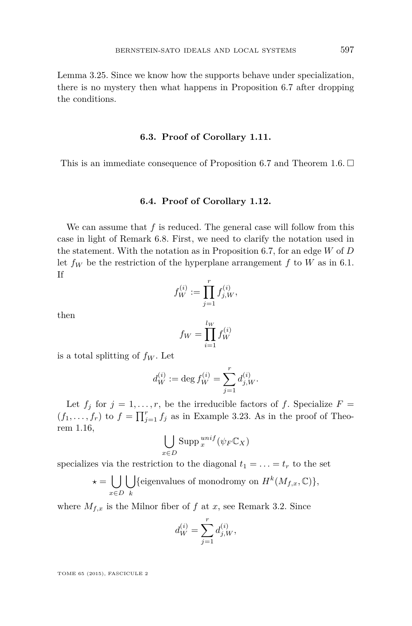Lemma [3.25.](#page-26-0) Since we know how the supports behave under specialization, there is no mystery then what happens in Proposition [6.7](#page-47-0) after dropping the conditions.

### **6.3. Proof of Corollary [1.11.](#page-8-0)**

This is an immediate consequence of Proposition [6.7](#page-47-0) and Theorem [1.6.](#page-5-0)  $\Box$ 

#### **6.4. Proof of Corollary [1.12.](#page-8-0)**

We can assume that *f* is reduced. The general case will follow from this case in light of Remark [6.8.](#page-48-0) First, we need to clarify the notation used in the statement. With the notation as in Proposition [6.7,](#page-47-0) for an edge *W* of *D* let  $f_W$  be the restriction of the hyperplane arrangement  $f$  to  $W$  as in [6.1.](#page-45-0) If

$$
f_W^{(i)} := \prod_{j=1}^r f_{j,W}^{(i)},
$$

then

$$
f_W = \prod_{i=1}^{l_W} f_W^{(i)}
$$

is a total splitting of  $f_W$ . Let

$$
d_W^{(i)} := \deg f_W^{(i)} = \sum_{j=1}^r d_{j,W}^{(i)}.
$$

Let  $f_j$  for  $j = 1, \ldots, r$ , be the irreducible factors of f. Specialize  $F =$  $(f_1, \ldots, f_r)$  to  $f = \prod_{j=1}^r f_j$  as in Example [3.23.](#page-25-0) As in the proof of Theorem [1.16,](#page-10-0)

$$
\bigcup_{x \in D} \operatorname{Supp} \, {}^{unif}_{x}(\psi_F \mathbb{C}_X)
$$

specializes via the restriction to the diagonal  $t_1 = \ldots = t_r$  to the set

$$
\star = \bigcup_{x \in D} \bigcup_{k} \{ \text{eigenvalues of monodromy on } H^k(M_{f,x}, \mathbb{C}) \},
$$

where  $M_{f,x}$  is the Milnor fiber of f at x, see Remark [3.2.](#page-14-0) Since

$$
d_W^{(i)} = \sum_{j=1}^r d_{j,W}^{(i)},
$$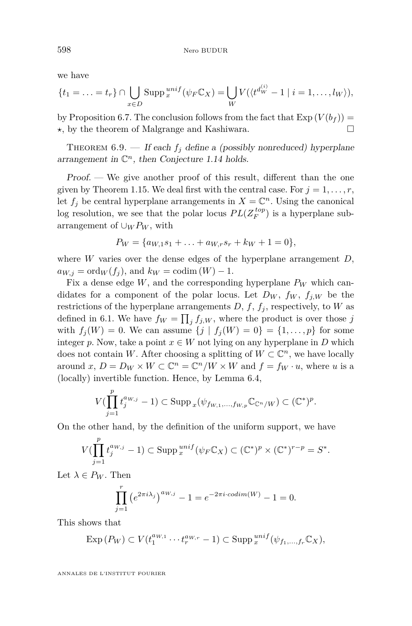<span id="page-50-0"></span>we have

$$
\{t_1 = \ldots = t_r\} \cap \bigcup_{x \in D} \text{Supp}_x^{unif}(\psi_F \mathbb{C}_X) = \bigcup_W V(\langle t^{d_W^{(i)}} - 1 \mid i = 1, \ldots, l_W \rangle),
$$

by Proposition [6.7.](#page-47-0) The conclusion follows from the fact that  $Exp(V(b_f)) =$ **★**, by the theorem of Malgrange and Kashiwara.  $□$ 

THEOREM  $6.9.$  — If each  $f_j$  define a (possibly nonreduced) hyperplane arrangement in  $\mathbb{C}^n$ , then Conjecture [1.14](#page-9-0) holds.

Proof. — We give another proof of this result, different than the one given by Theorem [1.15.](#page-9-0) We deal first with the central case. For  $j = 1, \ldots, r$ , let  $f_j$  be central hyperplane arrangements in  $X = \mathbb{C}^n$ . Using the canonical log resolution, we see that the polar locus  $PL(Z_F^{top})$  is a hyperplane subarrangement of  $\cup_W P_W$ , with

$$
P_W = \{a_{W,1}s_1 + \ldots + a_{W,r}s_r + k_W + 1 = 0\},\,
$$

where *W* varies over the dense edges of the hyperplane arrangement *D*,  $a_{W,i} = \text{ord}_W(f_i)$ , and  $k_W = \text{codim}(W) - 1$ .

Fix a dense edge  $W$ , and the corresponding hyperplane  $P_W$  which candidates for a component of the polar locus. Let  $D_W$ ,  $f_W$ ,  $f_{j,W}$  be the restrictions of the hyperplane arrangements  $D, f, f<sub>j</sub>$ , respectively, to *W* as defined in [6.1.](#page-45-0) We have  $f_W = \prod_j f_{j,W}$ , where the product is over those *j* with  $f_j(W) = 0$ . We can assume  $\{j \mid f_j(W) = 0\} = \{1, ..., p\}$  for some integer *p*. Now, take a point  $x \in W$  not lying on any hyperplane in *D* which does not contain *W*. After choosing a splitting of  $W \subset \mathbb{C}^n$ , we have locally around *x*,  $D = D_W \times W \subset \mathbb{C}^n = \mathbb{C}^n/W \times W$  and  $f = f_W \cdot u$ , where *u* is a (locally) invertible function. Hence, by Lemma [6.4,](#page-46-0)

$$
V(\prod_{j=1}^p t_j^{a_{W,j}} - 1) \subset \operatorname{Supp}_x(\psi_{f_{W,1},\ldots,f_{W,p}} \mathbb{C}_{\mathbb{C}^n/W}) \subset (\mathbb{C}^*)^p.
$$

On the other hand, by the definition of the uniform support, we have

$$
V(\prod_{j=1}^p t_j^{a_{W,j}} - 1) \subset \operatorname{Supp} \, _{x}^{unif}(\psi_F \mathbb{C}_X) \subset (\mathbb{C}^*)^p \times (\mathbb{C}^*)^{r-p} = S^*.
$$

Let  $\lambda \in P_W$ . Then

$$
\prod_{j=1}^{r} (e^{2\pi i \lambda_j})^{a_{W,j}} - 1 = e^{-2\pi i \cdot codim(W)} - 1 = 0.
$$

This shows that

$$
\operatorname{Exp}\left(P_W\right) \subset V(t_1^{a_{W,1}} \cdots t_r^{a_{W,r}} - 1) \subset \operatorname{Supp} \, _x^{unif}(\psi_{f_1,\ldots,f_r} \mathbb{C}_X),
$$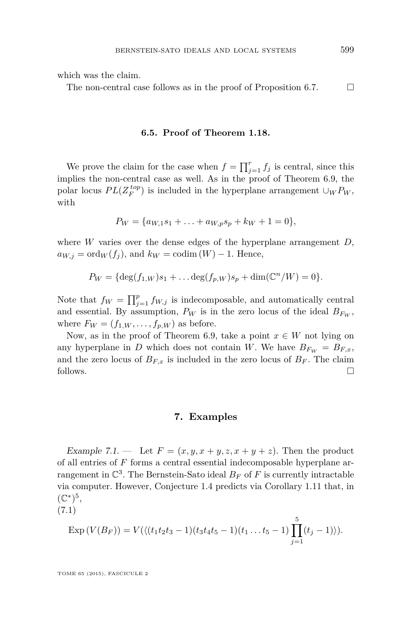<span id="page-51-0"></span>which was the claim.

The non-central case follows as in the proof of Proposition [6.7.](#page-47-0)  $\Box$ 

# **6.5. Proof of Theorem [1.18.](#page-10-0)**

We prove the claim for the case when  $f = \prod_{j=1}^{r} f_j$  is central, since this implies the non-central case as well. As in the proof of Theorem [6.9,](#page-50-0) the polar locus  $PL(Z_F^{top})$  is included in the hyperplane arrangement  $\cup_W P_W$ , with

$$
P_W = \{a_{W,1}s_1 + \ldots + a_{W,p}s_p + k_W + 1 = 0\},\
$$

where *W* varies over the dense edges of the hyperplane arrangement *D*,  $a_{W,j} = \text{ord}_W(f_j)$ , and  $k_W = \text{codim}(W) - 1$ . Hence,

 $P_W = {\text{deg}(f_{1,W})s_1 + ... \text{deg}(f_{p,W})s_p + \dim(\mathbb{C}^n/W) = 0}.$ 

Note that  $f_W = \prod_{j=1}^p f_{W,j}$  is indecomposable, and automatically central and essential. By assumption,  $P_W$  is in the zero locus of the ideal  $B_{F_W}$ , where  $F_W = (f_{1,W}, \ldots, f_{p,W})$  as before.

Now, as in the proof of Theorem [6.9,](#page-50-0) take a point  $x \in W$  not lying on any hyperplane in *D* which does not contain *W*. We have  $B_{F_W} = B_{F,x}$ , and the zero locus of  $B_{F,x}$  is included in the zero locus of  $B_F$ . The claim follows.

#### **7. Examples**

Example 7.1. — Let  $F = (x, y, x + y, z, x + y + z)$ . Then the product of all entries of *F* forms a central essential indecomposable hyperplane arrangement in  $\mathbb{C}^3$ . The Bernstein-Sato ideal  $B_F$  of  $F$  is currently intractable via computer. However, Conjecture [1.4](#page-5-0) predicts via Corollary [1.11](#page-8-0) that, in  $(\mathbb{C}^*)^5,$ 

(7.1)

$$
\operatorname{Exp}\left(V(B_F)\right) = V(\langle (t_1t_2t_3-1)(t_3t_4t_5-1)(t_1...t_5-1)\prod_{j=1}^5(t_j-1)\rangle).
$$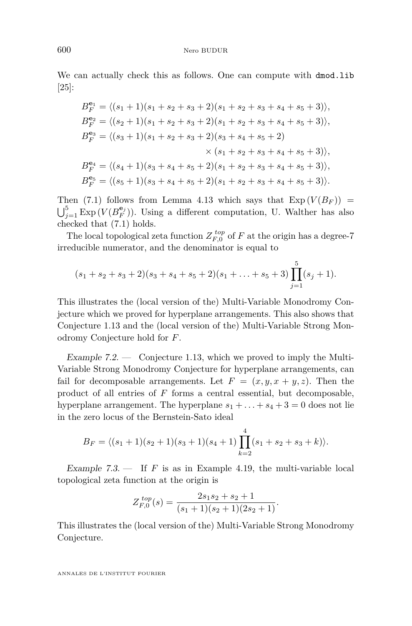We can actually check this as follows. One can compute with  $dmod$ .lib [\[25\]](#page-54-0):

$$
B_F^{\mathbf{e}_1} = \langle (s_1 + 1)(s_1 + s_2 + s_3 + 2)(s_1 + s_2 + s_3 + s_4 + s_5 + 3) \rangle,
$$
  
\n
$$
B_F^{\mathbf{e}_2} = \langle (s_2 + 1)(s_1 + s_2 + s_3 + 2)(s_1 + s_2 + s_3 + s_4 + s_5 + 3) \rangle,
$$
  
\n
$$
B_F^{\mathbf{e}_3} = \langle (s_3 + 1)(s_1 + s_2 + s_3 + 2)(s_3 + s_4 + s_5 + 2) \rangle
$$
  
\n
$$
\times (s_1 + s_2 + s_3 + s_4 + s_5 + 3) \rangle,
$$
  
\n
$$
B_F^{\mathbf{e}_4} = \langle (s_4 + 1)(s_3 + s_4 + s_5 + 2)(s_1 + s_2 + s_3 + s_4 + s_5 + 3) \rangle,
$$
  
\n
$$
B_F^{\mathbf{e}_5} = \langle (s_5 + 1)(s_3 + s_4 + s_5 + 2)(s_1 + s_2 + s_3 + s_4 + s_5 + 3) \rangle.
$$

Then [\(7.1\)](#page-51-0) follows from Lemma [4.13](#page-32-0) which says that  $\text{Exp}(V(B_F))$  =  $\bigcup_{j=1}^{5}$  Exp  $(V(B_F^{\mathbf{e}_j}))$ . Using a different computation, U. Walther has also checked that [\(7.1\)](#page-51-0) holds.

The local topological zeta function  $Z_{F,0}^{top}$  of  $F$  at the origin has a degree-7 irreducible numerator, and the denominator is equal to

$$
(s_1 + s_2 + s_3 + 2)(s_3 + s_4 + s_5 + 2)(s_1 + \ldots + s_5 + 3) \prod_{j=1}^{5} (s_j + 1).
$$

This illustrates the (local version of the) Multi-Variable Monodromy Conjecture which we proved for hyperplane arrangements. This also shows that Conjecture [1.13](#page-8-0) and the (local version of the) Multi-Variable Strong Monodromy Conjecture hold for *F*.

Example 7.2. — Conjecture [1.13,](#page-8-0) which we proved to imply the Multi-Variable Strong Monodromy Conjecture for hyperplane arrangements, can fail for decomposable arrangements. Let  $F = (x, y, x + y, z)$ . Then the product of all entries of *F* forms a central essential, but decomposable, hyperplane arrangement. The hyperplane  $s_1 + \ldots + s_4 + 3 = 0$  does not lie in the zero locus of the Bernstein-Sato ideal

$$
B_F = \langle (s_1 + 1)(s_2 + 1)(s_3 + 1)(s_4 + 1) \prod_{k=2}^4 (s_1 + s_2 + s_3 + k) \rangle.
$$

Example  $7.3.$  — If *F* is as in Example [4.19,](#page-33-0) the multi-variable local topological zeta function at the origin is

$$
Z_{F,0}^{top}(s) = \frac{2s_1s_2 + s_2 + 1}{(s_1+1)(s_2+1)(2s_2+1)}.
$$

This illustrates the (local version of the) Multi-Variable Strong Monodromy Conjecture.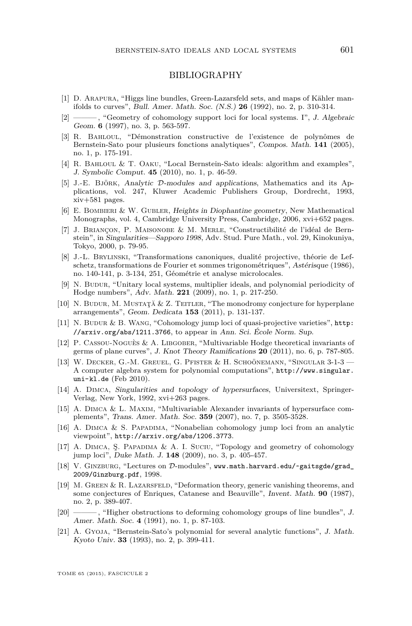#### BIBLIOGRAPHY

- <span id="page-53-0"></span>[1] D. Arapura, "Higgs line bundles, Green-Lazarsfeld sets, and maps of Kähler manifolds to curves", Bull. Amer. Math. Soc. (N.S.) **26** (1992), no. 2, p. 310-314.
- [2] ——— , "Geometry of cohomology support loci for local systems. I", J. Algebraic Geom. **6** (1997), no. 3, p. 563-597.
- [3] R. Bahloul, "Démonstration constructive de l'existence de polynômes de Bernstein-Sato pour plusieurs fonctions analytiques", Compos. Math. **141** (2005), no. 1, p. 175-191.
- [4] R. Bahloul & T. Oaku, "Local Bernstein-Sato ideals: algorithm and examples", J. Symbolic Comput. **45** (2010), no. 1, p. 46-59.
- [5] J.-E. Björk, Analytic D-modules and applications, Mathematics and its Applications, vol. 247, Kluwer Academic Publishers Group, Dordrecht, 1993, xiv+581 pages.
- [6] E. BOMBIERI & W. GUBLER, Heights in Diophantine geometry, New Mathematical Monographs, vol. 4, Cambridge University Press, Cambridge, 2006, xvi+652 pages.
- [7] J. Briançon, P. Maisonobe & M. Merle, "Constructibilité de l'idéal de Bernstein", in Singularities—Sapporo 1998, Adv. Stud. Pure Math., vol. 29, Kinokuniya, Tokyo, 2000, p. 79-95.
- [8] J.-L. Brylinski, "Transformations canoniques, dualité projective, théorie de Lefschetz, transformations de Fourier et sommes trigonométriques", Astérisque (1986), no. 140-141, p. 3-134, 251, Géométrie et analyse microlocales.
- [9] N. BUDUR, "Unitary local systems, multiplier ideals, and polynomial periodicity of Hodge numbers", Adv. Math. **221** (2009), no. 1, p. 217-250.
- [10] N. Budur, M. Mustaţă & Z. Teitler, "The monodromy conjecture for hyperplane arrangements", Geom. Dedicata **153** (2011), p. 131-137.
- [11] N. Budur & B. Wang, "Cohomology jump loci of quasi-projective varieties", [http:](http://arxiv.org/abs/1211.3766) [//arxiv.org/abs/1211.3766](http://arxiv.org/abs/1211.3766), to appear in Ann. Sci. École Norm. Sup.
- [12] P. Cassou-Noguès & A. Libgober, "Multivariable Hodge theoretical invariants of germs of plane curves", J. Knot Theory Ramifications **20** (2011), no. 6, p. 787-805.
- [13] W. Decker, G.-M. Greuel, G. Pfister & H. Schoönemann, "Singular 3-1-3 A computer algebra system for polynomial computations", [http://www.singular.](http://www.singular.uni-kl.de) [uni-kl.de](http://www.singular.uni-kl.de) (Feb 2010).
- [14] A. Dimca, Singularities and topology of hypersurfaces, Universitext, Springer-Verlag, New York, 1992, xvi+263 pages.
- [15] A. Dimca & L. Maxim, "Multivariable Alexander invariants of hypersurface complements", Trans. Amer. Math. Soc. **359** (2007), no. 7, p. 3505-3528.
- [16] A. Dimca & S. Papadima, "Nonabelian cohomology jump loci from an analytic viewpoint", <http://arxiv.org/abs/1206.3773>.
- [17] A. Dimca, Ş. Papadima & A. I. Suciu, "Topology and geometry of cohomology jump loci", Duke Math. J. **148** (2009), no. 3, p. 405-457.
- [18] V. GINZBURG, "Lectures on D-modules", [www.math.harvard.edu/~gaitsgde/grad\\_](www.math.harvard.edu/~gaitsgde/grad_2009/Ginzburg.pdf) [2009/Ginzburg.pdf](www.math.harvard.edu/~gaitsgde/grad_2009/Ginzburg.pdf), 1998.
- [19] M. Green & R. Lazarsfeld, "Deformation theory, generic vanishing theorems, and some conjectures of Enriques, Catanese and Beauville", Invent. Math. **90** (1987), no. 2, p. 389-407.
- [20] ——, "Higher obstructions to deforming cohomology groups of line bundles", J. Amer. Math. Soc. **4** (1991), no. 1, p. 87-103.
- [21] A. Gyoja, "Bernstein-Sato's polynomial for several analytic functions", J. Math. Kyoto Univ. **33** (1993), no. 2, p. 399-411.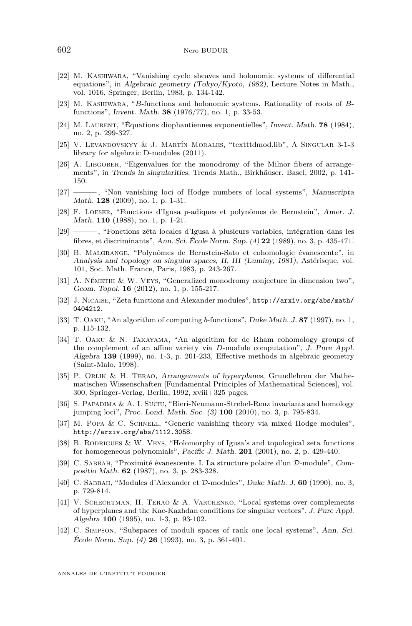- <span id="page-54-0"></span>[22] M. Kashiwara, "Vanishing cycle sheaves and holonomic systems of differential equations", in Algebraic geometry (Tokyo/Kyoto, 1982), Lecture Notes in Math., vol. 1016, Springer, Berlin, 1983, p. 134-142.
- [23] M. Kashiwara, "*B*-functions and holonomic systems. Rationality of roots of *B*functions", Invent. Math. **38** (1976/77), no. 1, p. 33-53.
- [24] M. Laurent, "Équations diophantiennes exponentielles", Invent. Math. **78** (1984), no. 2, p. 299-327.
- [25] V. Levandovskyy & J. Martín Morales, "textttdmod.lib", A Singular 3-1-3 library for algebraic D-modules (2011).
- [26] A. LIBGOBER, "Eigenvalues for the monodromy of the Milnor fibers of arrangements", in Trends in singularities, Trends Math., Birkhäuser, Basel, 2002, p. 141- 150.
- [27] ——— , "Non vanishing loci of Hodge numbers of local systems", Manuscripta Math. **128** (2009), no. 1, p. 1-31.
- [28] F. Loeser, "Fonctions d'Igusa *p*-adiques et polynômes de Bernstein", Amer. J. Math. **110** (1988), no. 1, p. 1-21.
- [29] ——— , "Fonctions zêta locales d'Igusa à plusieurs variables, intégration dans les fibres, et discriminants", Ann. Sci. École Norm. Sup. (4) **22** (1989), no. 3, p. 435-471.
- [30] B. Malgrange, "Polynômes de Bernstein-Sato et cohomologie évanescente", in Analysis and topology on singular spaces, II, III (Luminy, 1981), Astérisque, vol. 101, Soc. Math. France, Paris, 1983, p. 243-267.
- [31] A. Némethi & W. Veys, "Generalized monodromy conjecture in dimension two", Geom. Topol. **16** (2012), no. 1, p. 155-217.
- [32] J. Nicaise, "Zeta functions and Alexander modules", [http://arxiv.org/abs/math/](http://arxiv.org/abs/math/0404212) [0404212](http://arxiv.org/abs/math/0404212).
- [33] T. Oaku, "An algorithm of computing *b*-functions", Duke Math. J. **87** (1997), no. 1, p. 115-132.
- [34] T. Oaku & N. Takayama, "An algorithm for de Rham cohomology groups of the complement of an affine variety via *D*-module computation", J. Pure Appl. Algebra **139** (1999), no. 1-3, p. 201-233, Effective methods in algebraic geometry (Saint-Malo, 1998).
- [35] P. Orlik & H. Terao, Arrangements of hyperplanes, Grundlehren der Mathematischen Wissenschaften [Fundamental Principles of Mathematical Sciences], vol. 300, Springer-Verlag, Berlin, 1992, xviii+325 pages.
- [36] S. Papadima & A. I. Suciu, "Bieri-Neumann-Strebel-Renz invariants and homology jumping loci", Proc. Lond. Math. Soc. (3) **100** (2010), no. 3, p. 795-834.
- [37] M. Popa & C. Schnell, "Generic vanishing theory via mixed Hodge modules", <http://arxiv.org/abs/1112.3058>.
- [38] B. Rodrigues & W. Veys, "Holomorphy of Igusa's and topological zeta functions for homogeneous polynomials", Pacific J. Math. **201** (2001), no. 2, p. 429-440.
- [39] C. Sabbah, "Proximité évanescente. I. La structure polaire d'un D-module", Compositio Math. **62** (1987), no. 3, p. 283-328.
- [40] C. Sabbah, "Modules d'Alexander et D-modules", Duke Math. J. **60** (1990), no. 3, p. 729-814.
- [41] V. Schechtman, H. Terao & A. Varchenko, "Local systems over complements of hyperplanes and the Kac-Kazhdan conditions for singular vectors", J. Pure Appl. Algebra **100** (1995), no. 1-3, p. 93-102.
- [42] C. Simpson, "Subspaces of moduli spaces of rank one local systems", Ann. Sci. École Norm. Sup. (4) **26** (1993), no. 3, p. 361-401.